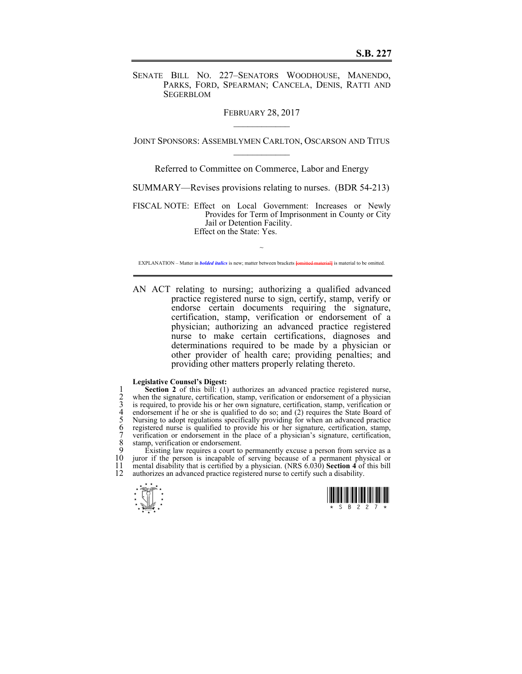SENATE BILL NO. 227–SENATORS WOODHOUSE, MANENDO, PARKS, FORD, SPEARMAN; CANCELA, DENIS, RATTI AND SEGERBLOM

FEBRUARY 28, 2017

JOINT SPONSORS: ASSEMBLYMEN CARLTON, OSCARSON AND TITUS  $\mathcal{L}_\text{max}$ 

Referred to Committee on Commerce, Labor and Energy

SUMMARY—Revises provisions relating to nurses. (BDR 54-213)

FISCAL NOTE: Effect on Local Government: Increases or Newly Provides for Term of Imprisonment in County or City Jail or Detention Facility. Effect on the State: Yes.

~ EXPLANATION – Matter in *bolded italics* is new; matter between brackets **{omitted material}** is material to be omitted.

AN ACT relating to nursing; authorizing a qualified advanced practice registered nurse to sign, certify, stamp, verify or endorse certain documents requiring the signature, certification, stamp, verification or endorsement of a physician; authorizing an advanced practice registered nurse to make certain certifications, diagnoses and determinations required to be made by a physician or other provider of health care; providing penalties; and providing other matters properly relating thereto.

## **Legislative Counsel's Digest:**

**Section 2** of this bill: (1) authorizes an advanced practice registered nurse,<br>
2 when the signature, certification, stamp, verification, stamp, verification or<br>
4 endorsement if he or she is qualified to do so; and (2) r when the signature, certification, stamp, verification or endorsement of a physician is required, to provide his or her own signature, certification, stamp, verification or endorsement if he or she is qualified to do so; and  $(2)$  requires the State Board of 5 Nursing to adopt regulations specifically providing for when an advanced practice 6 registered nurse is qualified to provide his or her signature, certification, stamp, 7 verification or endorsement in the place of a physician's signature, certification, 8 stamp, verification or endorsement.<br>9 Existing law requires a court to

 $\dot{p}$  Existing law requires a court to permanently excuse a person from service as a 10 juror if the person is incapable of serving because of a permanent physical or 10 juror if the person is incapable of serving because of a permanent physical or 11 mental disability that is certified by a physician. (NRS 6.030) **Section 4** of this bill 11 mental disability that is certified by a physician. (NRS 6.030) **Section 4** of this bill 12 authorizes an advanced practice registered nurse to certify such a disability.



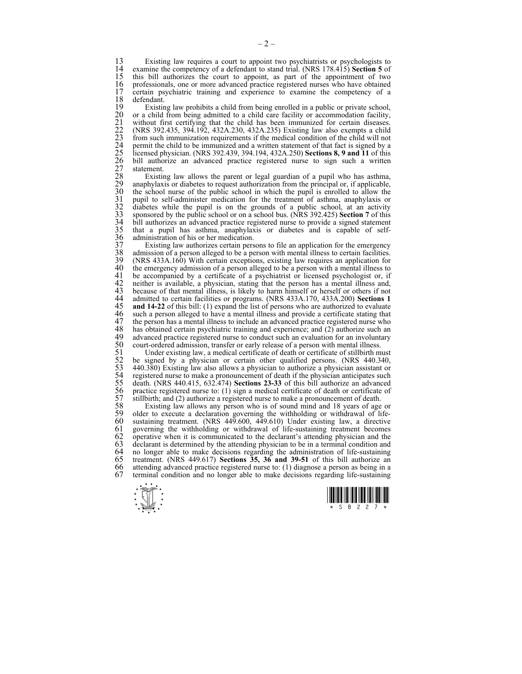13 Existing law requires a court to appoint two psychiatrists or psychologists to the examine the competency of a defendant to stand trial (NRS 178 415) Section 5 of 14 examine the competency of a defendant to stand trial. (NRS 178.415) **Section 5** of 15 this bill authorizes the court to appoint, as part of the appointment of two 16 professionals, one or more advanced practice registered nurses who have obtained 17 certain provehiatric training and experience to examine the competency of a 17 certain psychiatric training and experience to examine the competency of a 18 defendant.<br>19 Existin

19 Existing law prohibits a child from being enrolled in a public or private school, 20 or a child from being admitted to a child care facility or accommodation facility,<br>
21 without first certifying that the child has been immunized for certain diseases.<br>
22 (NRS 392.435, 394.192, 432A.230, 432A.235) Exis without first certifying that the child has been immunized for certain diseases. 22 (NRS 392.435, 394.192, 432A.230, 432A.235) Existing law also exempts a child from such immunization requirements if the medical condition of the child will not 24 permit the child to be immunized and a written statement of that fact is signed by a 25 licensed physician. (NRS 392.439, 394.194, 432A.250) **Sections 8, 9 and 11** of this 26 bill authorize an advanced practice registered nurse to sign such a written statement.

Existing law allows the parent or legal guardian of a pupil who has asthma, 29 anaphylaxis or diabetes to request authorization from the principal or, if applicable, the school nurse of the public school in which the pupil is enrolled to allow the 31 pupil to self-administer medication for the treatment of asthma, anaphylaxis or diabetes while the pupil is on the grounds of a public school, at an activity sponsored by the public school or on a school bus. (NRS 392.4 diabetes while the pupil is on the grounds of a public school, at an activity 33 sponsored by the public school or on a school bus. (NRS 392.425) **Section 7** of this 34 bill authorizes an advanced practice registered nurse to provide a signed statement 35 that a pupil has asthma, anaphylaxis or diabetes and is capable of self-<br>36 administration of his or her medication.<br>37 Existing law authorizes certain persons to file an application for the emergency administration of his or her medication.

37 Existing law authorizes certain persons to file an application for the emergency 38 admission of a person alleged to be a person with mental illness to certain facilities.<br>39 (NRS 433A.160) With certain exceptions, existing law requires an application for 39 (NRS 433A.160) With certain exceptions, existing law requires an application for 40 the emergency admission of a person alleged to be a person with a mental illness to 41 be accompanied by a certificate of a psychiatrist or licensed psychologist or, if 41 be accompanied by a certificate of a psychiatrist or licensed psychologist or, if 42 neither is available, a physician, stating that the person has a mental illness and. 42 neither is available, a physician, stating that the person has a mental illness and, 43 because of that mental illness, is likely to harm himself or herself or others if not 43 because of that mental illness, is likely to harm himself or herself or others if not 44 admitted to certain facilities or programs. (NRS 433A.170, 433A.200) **Sections 1** 44 admitted to certain facilities or programs. (NRS 433A.170, 433A.200) **Sections 1**  45 **and 14-22** of this bill: (1) expand the list of persons who are authorized to evaluate 46 such a person alleged to have a mental illness and provide a certificate stating that 47 the person has a mental illness to include an advanced practice registered nurse who 47 the person has a mental illness to include an advanced practice registered nurse who<br>48 has obtained certain psychiatric training and experience: and (2) authorize such an 48 has obtained certain psychiatric training and experience; and (2) authorize such an advanced practice registered nurse to conduct such an evaluation for an involuntary 49 advanced practice registered nurse to conduct such an evaluation for an involuntary<br>50 court-ordered admission, transfer or early release of a person with mental illness.

50 court-ordered admission, transfer or early release of a person with mental illness.<br>51 Under existing law, a medical certificate of death or certificate of still<br>birth m<br>52 be signed by a physician or certain other qua Under existing law, a medical certificate of death or certificate of stillbirth must 52 be signed by a physician or certain other qualified persons. (NRS 440.340, 53 440.380) Existing law also allows a physician to authorize a physician assistant or 54 registered nurse to make a pronouncement of death if the physician anticipates such 55 death. (NRS 440.415, 632.474) **Sections 23-33** of this bill authorize an advanced practice registered nurse to: (1) sign a medical certificate of death or certificate of 57 stillbirth; and (2) authorize a registered nurse to make a pronouncement of death.<br>58 Existing law allows any person who is of sound mind and 18 years of age

58 Existing law allows any person who is of sound mind and 18 years of age or 59 older to execute a declaration governing the withholding or withdrawal of life-<br>60 sustaining treatment. (NRS 449.600, 449.610) Under existing law, a directive 60 sustaining treatment. (NRS 449.600, 449.610) Under existing law, a directive 61 governing the withholding or withdrawal of life-sustaining treatment becomes 62 operative when it is communicated to the declarant's attending physician and the 63 declarant is determined by the attending physician to be in a terminal condition and 64 no longer able to make decisions regarding the administration of life-sustaining  $65$  treatment. (NRS 449.617) Sections 35, 36 and 39-51 of this bill authorize an 65 treatment. (NRS 449.617) **Sections 35, 36 and 39-51** of this bill authorize an 66 attending advanced practice registered nurse to:  $(1)$  diagnose a person as being in a 67 terminal condition and no longer able to make decisions regarding life-sustaining 67 terminal condition and no longer able to make decisions regarding life-sustaining



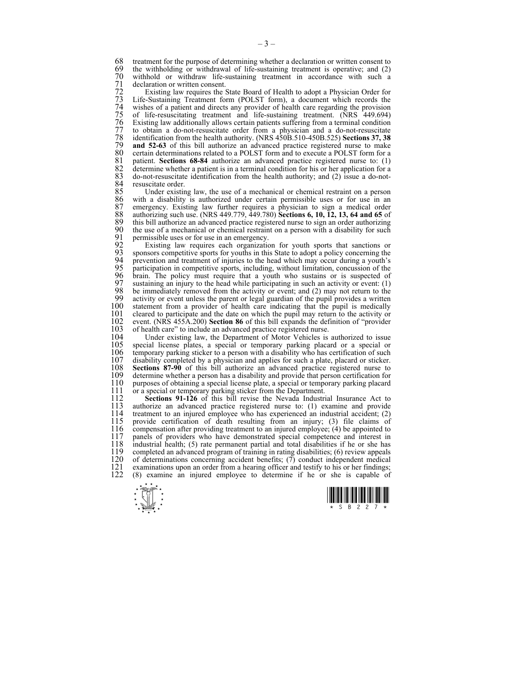68 treatment for the purpose of determining whether a declaration or written consent to the withholding or withdrawal of life-sustaining treatment is operative; and (2) 69 the withholding or withdrawal of life-sustaining treatment is operative; and  $(2)$  withhold or withdraw life-sustaining treatment in accordance with such a 70 withhold or withdraw life-sustaining treatment in accordance with such a 71 declaration or written consent.<br>72 Existing law requires the :

72 Existing law requires the State Board of Health to adopt a Physician Order for<br>73 Life-Sustaining Treatment form (POLST form), a document which records the<br>74 wishes of a patient and directs any provider of health care Life-Sustaining Treatment form (POLST form), a document which records the wishes of a patient and directs any provider of health care regarding the provision 75 of life-resuscitating treatment and life-sustaining treatment. (NRS 449.694)<br>76 Existing law additionally allows certain patients suffering from a terminal condition<br>77 to obtain a do-not-resuscitate order from a physic Existing law additionally allows certain patients suffering from a terminal condition 77 to obtain a do-not-resuscitate order from a physician and a do-not-resuscitate<br>78 identification from the health authority. (NRS 450B.510-450B.525) **Sections 37, 38**<br>79 and 52-63 of this bill authorize an advanced pract 78 identification from the health authority. (NRS 450B.510-450B.525) **Sections 37, 38**  79 **and 52-63** of this bill authorize an advanced practice registered nurse to make 80 certain determinations related to a POLST form and to execute a POLST form for a 81 patient. Sections 68-84 authorize an advanced practice registered nurse to: (1) 81 patient. **Sections 68-84** authorize an advanced practice registered nurse to: (1) 82 determine whether a patient is in a terminal condition for his or her application for a 83 do-not-resuscitate identification from the health authority; and (2) issue a do-not-83 do-not-resuscitate identification from the health authority; and (2) issue a do-not-84 resuscitate order.<br>85 Under existin

85 Under existing law, the use of a mechanical or chemical restraint on a person 86 with a disability is authorized under certain permissible uses or for use in an 86 with a disability is authorized under certain permissible uses or for use in an 87 emergency. Existing law further requires a physician to sign a medical order 88 authorizing such use (NRS 449.779, 449.780) **Sections 6, 10, 12, 13, 64 and 65** of 88 authorizing such use. (NRS 449.779, 449.780) **Sections 6, 10, 12, 13, 64 and 65** of 89 this bill authorize an advanced practice registered nurse to sign an order authorizing 90 the use of a mechanical or chemical restraint on a person with a disability for such 90 the use of a mechanical or chemical restraint on a person with a disability for such 91 permissible uses or for use in an emergency. 91 permissible uses or for use in an emergency.<br>92 Existing law requires each organization

92 Existing law requires each organization for youth sports that sanctions or 93 sponsors competitive sports for youths in this State to adopt a policy concerning the 94 revention and treatment of injuries to the head which may occur during a youth's 94 prevention and treatment of injuries to the head which may occur during a youth's 95 participation in competitive sports, including, without limitation, concussion of the 96 brain. The policy must require that a youth who sustains or is suspected of 97 sustaining an injury to the head while participating in such an activity or event: (1) 98 be immediately removed from the activity or event: and (2) may not return to the 98 be immediately removed from the activity or event; and (2) may not return to the 99 activity or event unless the parent or legal guardian of the pupil provides a written 100 statement from a provider of health care indicating that the pupil is medically 100 statement from a provider of health care indicating that the pupil is medically cleared to participate and the date on which the pupil may return to the activity or 101 cleared to participate and the date on which the pupil may return to the activity or event. (NRS 455A.200) **Section 86** of this bill expands the definition of "provider" 102 event. (NRS 455A.200) **Section 86** of this bill expands the definition of "provider 103 of health care" to include an advanced practice registered nurse.<br>104 Under existing law, the Department of Motor Vehicles is

104 Under existing law, the Department of Motor Vehicles is authorized to issue 105 special license plates, a special or temporary parking placard or a special or 105 special license plates, a special or temporary parking placard or a special or 106 temporary parking sticker to a person with a disability who has certification of such 106 temporary parking sticker to a person with a disability who has certification of such 107 disability completed by a physician and applies for such a plate, placard or sticker. 107 disability completed by a physician and applies for such a plate, placard or sticker.<br>108 **Sections 87-90** of this bill authorize an advanced practice registered nurse to 108 **Sections 87-90** of this bill authorize an advanced practice registered nurse to 109 determine whether a person has a disability and provide that person certification for 109 determine whether a person has a disability and provide that person certification for 110 purposes of obtaining a special license plate. a special or temporary parking placard 110 purposes of obtaining a special license plate, a special or temporary parking placard 111 or a special or temporary parking sticker from the Department. 111 or a special or temporary parking sticker from the Department.<br>112 **Sections 91-126** of this bill revise the Nevada Industri

112 **Sections 91-126** of this bill revise the Nevada Industrial Insurance Act to 113 authorize an advanced practice registered nurse to: (1) examine and provide 113 authorize an advanced practice registered nurse to: (1) examine and provide 114 treatment to an injured employee who has experienced an industrial accident; (2) 115 provide certification of death resulting from an injury: (3) file claims of 115 provide certification of death resulting from an injury; (3) file claims of 116 compensation after providing treatment to an injured employee; (4) be appointed to 117 panels of providers who have demonstrated special competence and interest in 117 panels of providers who have demonstrated special competence and interest in 118 industrial health: (5) rate permanent partial and total disabilities if he or she has 118 industrial health; (5) rate permanent partial and total disabilities if he or she has 119 completed an advanced program of training in rating disabilities; (6) review appeals 120 of determinations concerning accident benefits; (7) conduct independent medical 120 of determinations concerning accident benefits;  $(7)$  conduct independent medical examinations upon an order from a hearing officer and testify to his or her findings; 121 examinations upon an order from a hearing officer and testify to his or her findings;<br>122 (8) examine an injured employee to determine if he or she is capable of 122 (8) examine an injured employee to determine if he or she is capable of



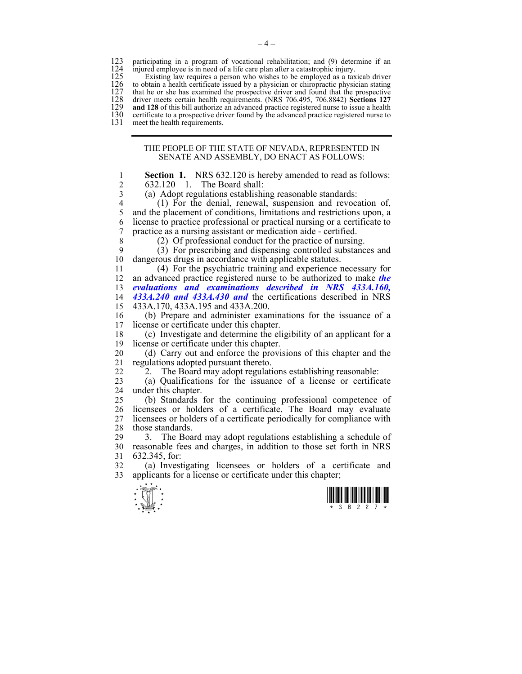123 participating in a program of vocational rehabilitation; and (9) determine if an 124 injured employee is in need of a life care plan after a catastrophic injury. 124 injured employee is in need of a life care plan after a catastrophic injury.<br>125 Existing law requires a person who wishes to be employed as a tax

125 Existing law requires a person who wishes to be employed as a taxicab driver 126 to obtain a health certificate issued by a physician or chiropractic physician stating 126 to obtain a health certificate issued by a physician or chiropractic physician stating that he or she has examined the prospective driver and found that the prospective 127 that he or she has examined the prospective driver and found that the prospective driver meets certain health requirements. (NRS 706.495, 706.8842) **Sections 127** 128 driver meets certain health requirements. (NRS 706.495, 706.8842) **Sections 127 and 128** of this bill authorize an advanced practice registered nurse to issue a health certificate to a prospective driver found by the advanced practice registered nurse to 130 certificate to a prospective driver found by the advanced practice registered nurse to 131 meet the health requirements. meet the health requirements.

## THE PEOPLE OF THE STATE OF NEVADA, REPRESENTED IN SENATE AND ASSEMBLY, DO ENACT AS FOLLOWS:

 $\frac{1}{x}$   $\frac{1}{x}$   $\frac{1}{x}$   $\frac{1}{x}$   $\frac{1}{x}$   $\frac{1}{x}$   $\frac{1}{x}$   $\frac{1}{x}$   $\frac{1}{x}$   $\frac{1}{x}$ 1 **Section 1.** NRS 632.120 is hereby amended to read as follows: 2  $632.120$  1. The Board shall:<br>3  $(a)$  Adopt regulations establishi (a) Adopt regulations establishing reasonable standards: 4 (1) For the denial, renewal, suspension and revocation of, 5 and the placement of conditions, limitations and restrictions upon, a 6 license to practice professional or practical nursing or a certificate to 7 practice as a nursing assistant or medication aide - certified. 8 (2) Of professional conduct for the practice of nursing.  $9$  (3) For prescribing and dispensing controlled substances and 10 dangerous drugs in accordance with applicable statutes. 11 (4) For the psychiatric training and experience necessary for 12 an advanced practice registered nurse to be authorized to make *the*  13 *evaluations and examinations described in NRS 433A.160,*  14 *433A.240 and 433A.430 and* the certifications described in NRS 15 433A.170, 433A.195 and 433A.200. 16 (b) Prepare and administer examinations for the issuance of a 17 license or certificate under this chapter. 18 (c) Investigate and determine the eligibility of an applicant for a 19 license or certificate under this chapter. 20 (d) Carry out and enforce the provisions of this chapter and the 21 regulations adopted pursuant thereto. 22 <sup>2</sup>2. The Board may adopt regulations establishing reasonable: 23 (a) Qualifications for the issuance of a license or certificate 24 under this chapter. 25 (b) Standards for the continuing professional competence of 26 licensees or holders of a certificate. The Board may evaluate 27 licensees or holders of a certificate periodically for compliance with licensees or holders of a certificate periodically for compliance with 28 those standards. 29 3. The Board may adopt regulations establishing a schedule of 30 reasonable fees and charges, in addition to those set forth in NRS 31 632.345, for: 32 (a) Investigating licensees or holders of a certificate and 33 applicants for a license or certificate under this chapter;



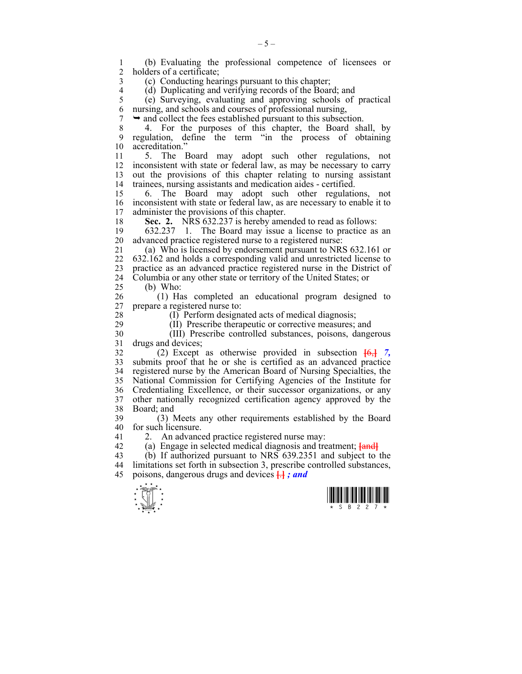$\frac{1}{x}$   $\frac{1}{x}$   $\frac{1}{x}$   $\frac{1}{x}$   $\frac{1}{x}$   $\frac{1}{x}$   $\frac{1}{x}$   $\frac{1}{x}$   $\frac{1}{x}$   $\frac{1}{x}$ 1 (b) Evaluating the professional competence of licensees or holders of a certificate: 3 (c) Conducting hearings pursuant to this chapter; 4 (d) Duplicating and verifying records of the Board; and<br>5 (e) Surveving, evaluating and approving schools of 5 (e) Surveying, evaluating and approving schools of practical 6 nursing, and schools and courses of professional nursing,  $7 \rightarrow$  and collect the fees established pursuant to this subsection. 8 4. For the purposes of this chapter, the Board shall, by 9 regulation, define the term "in the process of obtaining 10 accreditation" 11 5. The Board may adopt such other regulations, not 12 inconsistent with state or federal law, as may be necessary to carry 13 out the provisions of this chapter relating to nursing assistant 14 trainees, nursing assistants and medication aides - certified. 15 6. The Board may adopt such other regulations, not 16 inconsistent with state or federal law, as are necessary to enable it to 17 administer the provisions of this chapter. 18 **Sec. 2.** NRS 632.237 is hereby amended to read as follows: 19 632.237 1. The Board may issue a license to practice as an 20 advanced practice registered nurse to a registered nurse: 21 (a) Who is licensed by endorsement pursuant to NRS 632.161 or 22 632.162 and holds a corresponding valid and unrestricted license to 23 practice as an advanced practice registered nurse in the District of 24 Columbia or any other state or territory of the United States; or 25 (b) Who: 26 (1) Has completed an educational program designed to 27 prepare a registered nurse to: 28 (I) Perform designated acts of medical diagnosis; 29 (II) Prescribe therapeutic or corrective measures; and 30 (III) Prescribe controlled substances, poisons, dangerous 31 drugs and devices; 32 (2) Except as otherwise provided in subsection **[**6,**]** *7,*  33 submits proof that he or she is certified as an advanced practice 34 registered nurse by the American Board of Nursing Specialties, the 35 National Commission for Certifying Agencies of the Institute for 36 Credentialing Excellence, or their successor organizations, or any 37 other nationally recognized certification agency approved by the 38 Board; and 39 (3) Meets any other requirements established by the Board 40 for such licensure. 41 2. An advanced practice registered nurse may: 42 (a) Engage in selected medical diagnosis and treatment; **[**and**]** 43 (b) If authorized pursuant to NRS 639.2351 and subject to the 44 limitations set forth in subsection 3, prescribe controlled substances, 45 poisons, dangerous drugs and devices **[**.**]** *; and* 



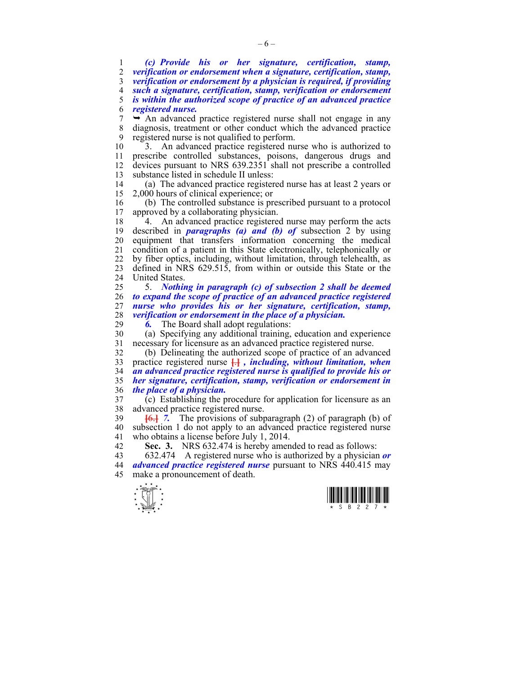*(c) Provide his or her signature, certification, stamp, verification or endorsement when a signature, certification, stamp, verification or endorsement by a physician is required, if providing such a signature, certification, stamp, verification or endorsement is within the authorized scope of practice of an advanced practice registered nurse.*   $7 \rightarrow$  An advanced practice registered nurse shall not engage in any 8 diagnosis, treatment or other conduct which the advanced practice 9 registered nurse is not qualified to perform.

10 3. An advanced practice registered nurse who is authorized to 11 prescribe controlled substances, poisons, dangerous drugs and 12 devices pursuant to NRS 639.2351 shall not prescribe a controlled 13 substance listed in schedule II unless:

14 (a) The advanced practice registered nurse has at least 2 years or 15 2,000 hours of clinical experience; or

16 (b) The controlled substance is prescribed pursuant to a protocol approved by a collaborating physician.

18 4. An advanced practice registered nurse may perform the acts 19 described in *paragraphs (a) and (b) of* subsection 2 by using 20 equipment that transfers information concerning the medical 21 condition of a patient in this State electronically, telephonically or 22 by fiber optics, including, without limitation, through telehealth, as 23 defined in NRS 629.515, from within or outside this State or the 24 United States.

25 5. *Nothing in paragraph (c) of subsection 2 shall be deemed to expand the scope of practice of an advanced practice registered nurse who provides his or her signature, certification, stamp, verification or endorsement in the place of a physician.*<br>29 **6.** The Board shall adopt regulations:

**6.** The Board shall adopt regulations:

30 (a) Specifying any additional training, education and experience 31 necessary for licensure as an advanced practice registered nurse.

32 (b) Delineating the authorized scope of practice of an advanced 33 practice registered nurse **[**.**]** *, including, without limitation, when*  34 *an advanced practice registered nurse is qualified to provide his or*  35 *her signature, certification, stamp, verification or endorsement in*  36 *the place of a physician.*

37 (c) Establishing the procedure for application for licensure as an 38 advanced practice registered nurse.

39 **[**6.**]** *7.* The provisions of subparagraph (2) of paragraph (b) of 40 subsection 1 do not apply to an advanced practice registered nurse 41 who obtains a license before July 1, 2014.

42 **Sec. 3.** NRS 632.474 is hereby amended to read as follows:<br>43 632.474 A registered nurse who is authorized by a physician

43 632.474 A registered nurse who is authorized by a physician *or*  44 *advanced practice registered nurse* pursuant to NRS 440.415 may 45 make a pronouncement of death.



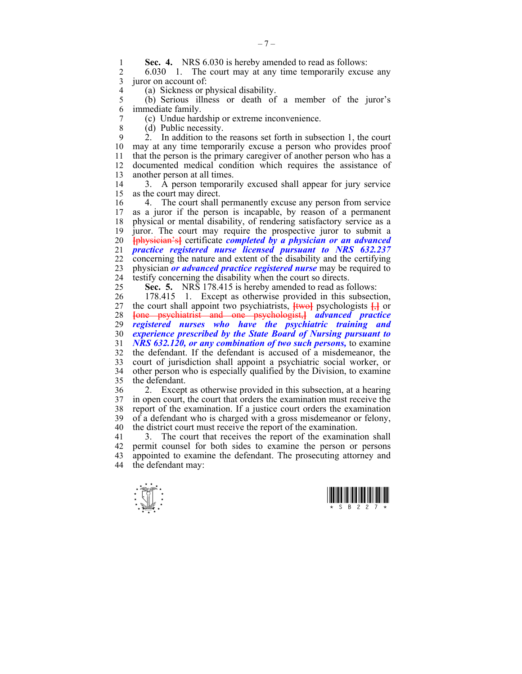**Sec. 4.** NRS 6.030 is hereby amended to read as follows:<br>2 6.030 1 The court may at any time temporarily excus

2 6.030 1. The court may at any time temporarily excuse any 3 juror on account of:

4 (a) Sickness or physical disability.<br>5 (b) Serious illness or death of 5 (b) Serious illness or death of a member of the juror's 6 immediate family.

- 7 (c) Undue hardship or extreme inconvenience.
- 8 (d) Public necessity.

9 2. In addition to the reasons set forth in subsection 1, the court 10 may at any time temporarily excuse a person who provides proof 11 that the person is the primary caregiver of another person who has a 12 documented medical condition which requires the assistance of 13 another person at all times.

14 3. A person temporarily excused shall appear for jury service 15 as the court may direct.

16 4. The court shall permanently excuse any person from service 17 as a juror if the person is incapable, by reason of a permanent 18 physical or mental disability, of rendering satisfactory service as a 19 juror. The court may require the prospective juror to submit a 20 **[**physician's**]** certificate *completed by a physician or an advanced*  21 *practice registered nurse licensed pursuant to NRS 632.237*  22 concerning the nature and extent of the disability and the certifying 23 physician *or advanced practice registered nurse* may be required to 24 testify concerning the disability when the court so directs.

25 **Sec. 5.** NRS 178.415 is hereby amended to read as follows:

26 178.415 1. Except as otherwise provided in this subsection, 27 the court shall appoint two psychiatrists, **[**two**]** psychologists **[**,**]** or 28 **[**one psychiatrist and one psychologist,**]** *advanced practice*  29 *registered nurses who have the psychiatric training and*  30 *experience prescribed by the State Board of Nursing pursuant to*  31 *NRS 632.120, or any combination of two such persons,* to examine 32 the defendant. If the defendant is accused of a misdemeanor, the 33 court of jurisdiction shall appoint a psychiatric social worker, or 34 other person who is especially qualified by the Division, to examine 35 the defendant.

36 2. Except as otherwise provided in this subsection, at a hearing 37 in open court, the court that orders the examination must receive the report of the examination. If a justice court orders the examination report of the examination. If a justice court orders the examination 39 of a defendant who is charged with a gross misdemeanor or felony, 40 the district court must receive the report of the examination.

41 3. The court that receives the report of the examination shall 42 permit counsel for both sides to examine the person or persons 43 appointed to examine the defendant. The prosecuting attorney and 44 the defendant may:



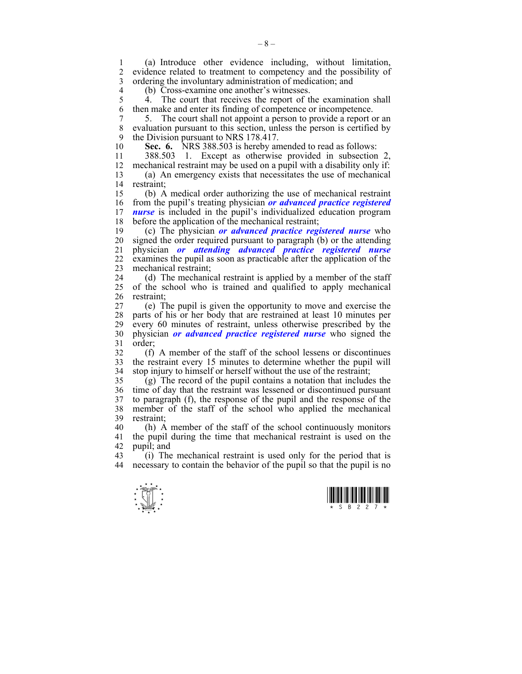1 (a) Introduce other evidence including, without limitation, 2 evidence related to treatment to competency and the possibility of 3 ordering the involuntary administration of medication; and

4 (b) Cross-examine one another's witnesses.<br>5 4. The court that receives the report of t

4. The court that receives the report of the examination shall 6 then make and enter its finding of competence or incompetence.

7 5. The court shall not appoint a person to provide a report or an 8 evaluation pursuant to this section, unless the person is certified by 9 the Division pursuant to NRS 178.417.

10 **Sec. 6.** NRS 388.503 is hereby amended to read as follows:

11 388.503 1. Except as otherwise provided in subsection 2, 12 mechanical restraint may be used on a pupil with a disability only if:

13 (a) An emergency exists that necessitates the use of mechanical 14 restraint;

15 (b) A medical order authorizing the use of mechanical restraint 16 from the pupil's treating physician *or advanced practice registered*  17 *nurse* is included in the pupil's individualized education program 18 before the application of the mechanical restraint;

19 (c) The physician *or advanced practice registered nurse* who 20 signed the order required pursuant to paragraph (b) or the attending 21 physician *or attending advanced practice registered nurse*  22 examines the pupil as soon as practicable after the application of the 23 mechanical restraint;

24 (d) The mechanical restraint is applied by a member of the staff 25 of the school who is trained and qualified to apply mechanical 26 restraint;

27 (e) The pupil is given the opportunity to move and exercise the 28 parts of his or her body that are restrained at least 10 minutes per 29 every 60 minutes of restraint, unless otherwise prescribed by the 30 physician *or advanced practice registered nurse* who signed the 31 order;

32 (f) A member of the staff of the school lessens or discontinues 33 the restraint every 15 minutes to determine whether the pupil will 34 stop injury to himself or herself without the use of the restraint;

35 (g) The record of the pupil contains a notation that includes the 36 time of day that the restraint was lessened or discontinued pursuant 37 to paragraph (f), the response of the pupil and the response of the 38 member of the staff of the school who applied the mechanical 39 restraint;

40 (h) A member of the staff of the school continuously monitors 41 the pupil during the time that mechanical restraint is used on the 42 pupil; and<br>43 (i) The

43 (i) The mechanical restraint is used only for the period that is 44 necessary to contain the behavior of the pupil so that the pupil is no



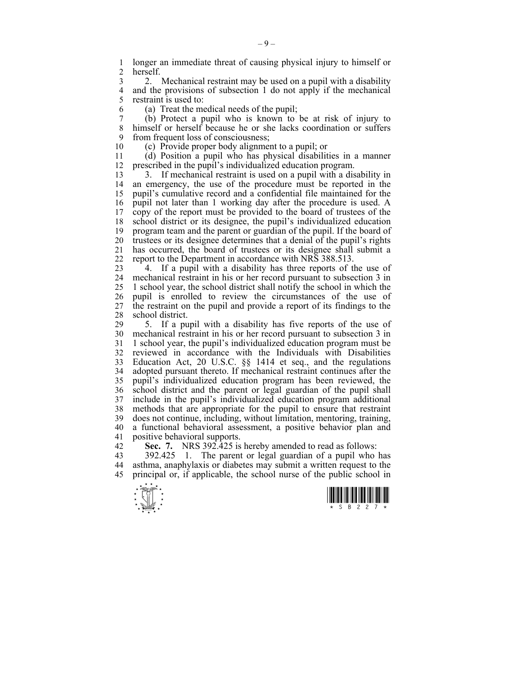1 longer an immediate threat of causing physical injury to himself or 2 herself herself.

3 2. Mechanical restraint may be used on a pupil with a disability 4 and the provisions of subsection 1 do not apply if the mechanical 5 restraint is used to: restraint is used to:

6 (a) Treat the medical needs of the pupil;

7 (b) Protect a pupil who is known to be at risk of injury to himself or herself because he or she lacks coordination or suffers 9 from frequent loss of consciousness;

10 (c) Provide proper body alignment to a pupil; or

11 (d) Position a pupil who has physical disabilities in a manner 12 prescribed in the pupil's individualized education program.

13 3. If mechanical restraint is used on a pupil with a disability in 14 an emergency, the use of the procedure must be reported in the 15 pupil's cumulative record and a confidential file maintained for the 16 pupil not later than 1 working day after the procedure is used. A 17 copy of the report must be provided to the board of trustees of the 18 school district or its designee, the pupil's individualized education 19 program team and the parent or guardian of the pupil. If the board of 20 trustees or its designee determines that a denial of the pupil's rights 21 has occurred, the board of trustees or its designee shall submit a 22 report to the Department in accordance with NRS 388.513.

23 4. If a pupil with a disability has three reports of the use of 24 mechanical restraint in his or her record pursuant to subsection 3 in 25 1 school year, the school district shall notify the school in which the 26 pupil is enrolled to review the circumstances of the use of 27 the restraint on the pupil and provide a report of its findings to the 28 school district.<br>29 5. If a pu

5. If a pupil with a disability has five reports of the use of 30 mechanical restraint in his or her record pursuant to subsection 3 in 31 1 school year, the pupil's individualized education program must be 32 reviewed in accordance with the Individuals with Disabilities 33 Education Act, 20 U.S.C. §§ 1414 et seq., and the regulations 34 adopted pursuant thereto. If mechanical restraint continues after the 35 pupil's individualized education program has been reviewed, the 36 school district and the parent or legal guardian of the pupil shall 37 include in the pupil's individualized education program additional methods that are appropriate for the pupil to ensure that restraint 39 does not continue, including, without limitation, mentoring, training, 40 a functional behavioral assessment, a positive behavior plan and 41 positive behavioral supports.

42 **Sec. 7.** NRS 392.425 is hereby amended to read as follows:<br>43 392.425 1 The parent or legal guardian of a pupil who

43 392.425 1. The parent or legal guardian of a pupil who has 44 asthma, anaphylaxis or diabetes may submit a written request to the 45 principal or, if applicable, the school nurse of the public school in



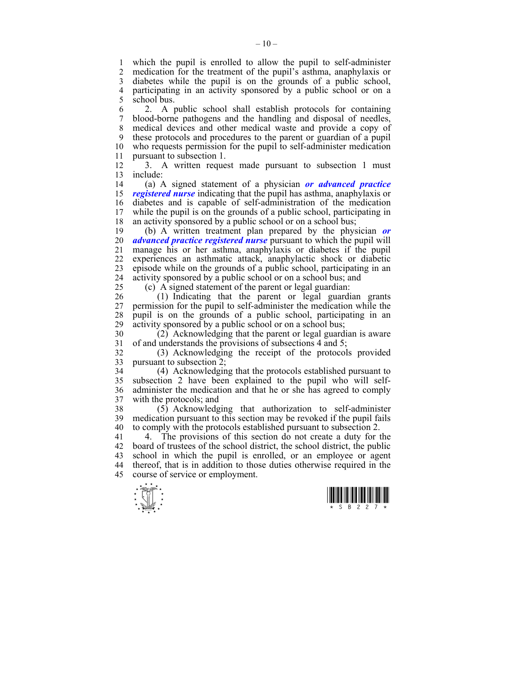1 which the pupil is enrolled to allow the pupil to self-administer 2 medication for the treatment of the pupil's asthma anaphylaxis or medication for the treatment of the pupil's asthma, anaphylaxis or 3 diabetes while the pupil is on the grounds of a public school, 4 participating in an activity sponsored by a public school or on a 5 school bus.

6 2. A public school shall establish protocols for containing 7 blood-borne pathogens and the handling and disposal of needles, 8 medical devices and other medical waste and provide a copy of 9 these protocols and procedures to the parent or guardian of a pupil 10 who requests permission for the pupil to self-administer medication 11 pursuant to subsection 1.

12 3. A written request made pursuant to subsection 1 must 13 include:

14 (a) A signed statement of a physician *or advanced practice*  15 *registered nurse* indicating that the pupil has asthma, anaphylaxis or 16 diabetes and is capable of self-administration of the medication 17 while the pupil is on the grounds of a public school, participating in 18 an activity sponsored by a public school or on a school bus;

19 (b) A written treatment plan prepared by the physician *or*  20 *advanced practice registered nurse* pursuant to which the pupil will 21 manage his or her asthma, anaphylaxis or diabetes if the pupil 22 experiences an asthmatic attack, anaphylactic shock or diabetic 23 episode while on the grounds of a public school, participating in an 24 activity sponsored by a public school or on a school bus; and

25 (c) A signed statement of the parent or legal guardian:

26 (1) Indicating that the parent or legal guardian grants 27 permission for the pupil to self-administer the medication while the 28 pupil is on the grounds of a public school, participating in an 29 activity sponsored by a public school or on a school bus;

30 (2) Acknowledging that the parent or legal guardian is aware 31 of and understands the provisions of subsections 4 and 5;

32 (3) Acknowledging the receipt of the protocols provided 33 pursuant to subsection 2;

34 (4) Acknowledging that the protocols established pursuant to 35 subsection 2 have been explained to the pupil who will self-36 administer the medication and that he or she has agreed to comply 37 with the protocols; and

38 (5) Acknowledging that authorization to self-administer 39 medication pursuant to this section may be revoked if the pupil fails 40 to comply with the protocols established pursuant to subsection 2.

41 4. The provisions of this section do not create a duty for the 42 board of trustees of the school district, the school district, the public 43 school in which the pupil is enrolled, or an employee or agent 44 thereof, that is in addition to those duties otherwise required in the 45 course of service or employment.



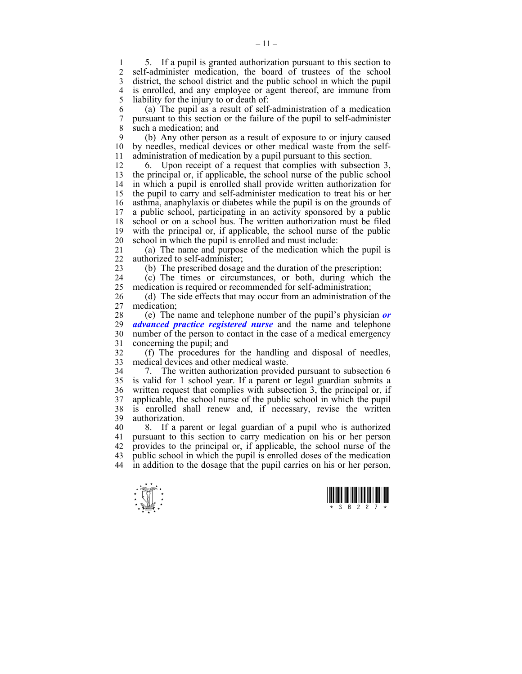1 5. If a pupil is granted authorization pursuant to this section to<br>2 self-administer medication the board of trustees of the school self-administer medication, the board of trustees of the school 3 district, the school district and the public school in which the pupil 4 is enrolled, and any employee or agent thereof, are immune from<br>5 liability for the injury to or death of: liability for the injury to or death of:

6 (a) The pupil as a result of self-administration of a medication 7 pursuant to this section or the failure of the pupil to self-administer 8 such a medication; and

9 (b) Any other person as a result of exposure to or injury caused 10 by needles, medical devices or other medical waste from the self-11 administration of medication by a pupil pursuant to this section.

12 6. Upon receipt of a request that complies with subsection 3, 13 the principal or, if applicable, the school nurse of the public school 14 in which a pupil is enrolled shall provide written authorization for 15 the pupil to carry and self-administer medication to treat his or her 16 asthma, anaphylaxis or diabetes while the pupil is on the grounds of 17 a public school, participating in an activity sponsored by a public 18 school or on a school bus. The written authorization must be filed 19 with the principal or, if applicable, the school nurse of the public 20 school in which the pupil is enrolled and must include:

21 (a) The name and purpose of the medication which the pupil is 22 authorized to self-administer;

23 (b) The prescribed dosage and the duration of the prescription;

24 (c) The times or circumstances, or both, during which the 25 medication is required or recommended for self-administration;

26 (d) The side effects that may occur from an administration of the 27 medication;

28 (e) The name and telephone number of the pupil's physician *or*  29 *advanced practice registered nurse* and the name and telephone 30 number of the person to contact in the case of a medical emergency 31 concerning the pupil; and

32 (f) The procedures for the handling and disposal of needles, 33 medical devices and other medical waste.

34 7. The written authorization provided pursuant to subsection 6 35 is valid for 1 school year. If a parent or legal guardian submits a 36 written request that complies with subsection 3, the principal or, if 37 applicable, the school nurse of the public school in which the pupil 38 is enrolled shall renew and, if necessary, revise the written 39 authorization.

40 8. If a parent or legal guardian of a pupil who is authorized 41 pursuant to this section to carry medication on his or her person 42 provides to the principal or, if applicable, the school nurse of the 43 public school in which the pupil is enrolled doses of the medication 44 in addition to the dosage that the pupil carries on his or her person,



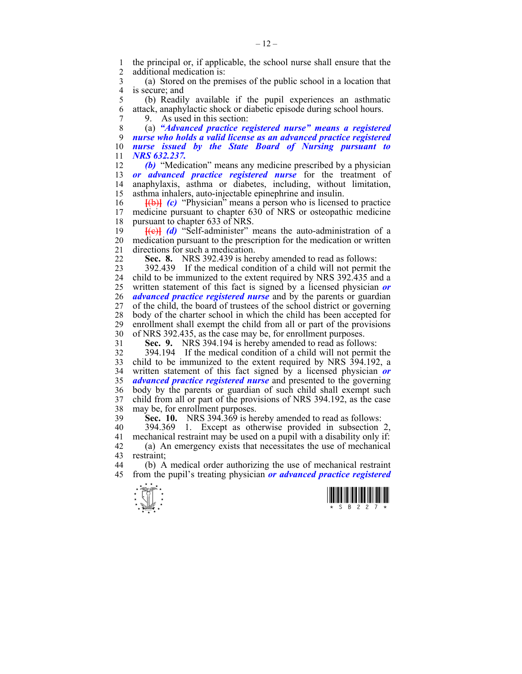1 the principal or, if applicable, the school nurse shall ensure that the additional medication is: additional medication is:

3 (a) Stored on the premises of the public school in a location that 4 is secure; and<br>5 (b) Readil

5 (b) Readily available if the pupil experiences an asthmatic 6 attack, anaphylactic shock or diabetic episode during school hours.

7 9. As used in this section:

8 (a) *"Advanced practice registered nurse" means a registered nurse who holds a valid license as an advanced practice registered nurse issued by the State Board of Nursing pursuant to NRS 632.237.* 

12 *(b)* "Medication" means any medicine prescribed by a physician 13 *or advanced practice registered nurse* for the treatment of 14 anaphylaxis, asthma or diabetes, including, without limitation, 15 asthma inhalers, auto-injectable epinephrine and insulin.

16 **[(b)]** *(c)* "Physician" means a person who is licensed to practice 17 medicine pursuant to chapter 630 of NRS or osteopathic medicine medicine pursuant to chapter 630 of NRS or osteopathic medicine 18 pursuant to chapter 633 of NRS.

19 **[**(c)**]** *(d)* "Self-administer" means the auto-administration of a 20 medication pursuant to the prescription for the medication or written 21 directions for such a medication.

22 **Sec. 8.** NRS 392.439 is hereby amended to read as follows:

23 392.439 If the medical condition of a child will not permit the 24 child to be immunized to the extent required by NRS 392.435 and a 25 written statement of this fact is signed by a licensed physician *or*  26 *advanced practice registered nurse* and by the parents or guardian 27 of the child, the board of trustees of the school district or governing 28 body of the charter school in which the child has been accepted for enrollment shall exempt the child from all or part of the provisions enrollment shall exempt the child from all or part of the provisions 30 of NRS 392.435, as the case may be, for enrollment purposes.

31 **Sec. 9.** NRS 394.194 is hereby amended to read as follows:

32 394.194 If the medical condition of a child will not permit the 33 child to be immunized to the extent required by NRS 394.192, a 34 written statement of this fact signed by a licensed physician *or*  35 *advanced practice registered nurse* and presented to the governing 36 body by the parents or guardian of such child shall exempt such 37 child from all or part of the provisions of NRS 394.192, as the case 38 may be, for enrollment purposes.

39 **Sec. 10.** NRS 394.369 is hereby amended to read as follows:

40 394.369 1. Except as otherwise provided in subsection 2, 41 mechanical restraint may be used on a pupil with a disability only if: 42 (a) An emergency exists that necessitates the use of mechanical restraint:

44 (b) A medical order authorizing the use of mechanical restraint 45 from the pupil's treating physician *or advanced practice registered* 



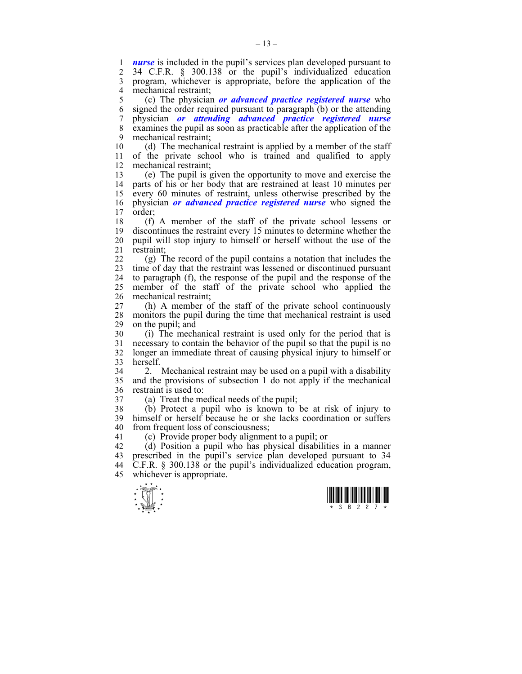1 *nurse* is included in the pupil's services plan developed pursuant to 2 34 C F R  $\,$  8 300 138 or the pupil's individualized education 2 34 C.F.R. § 300.138 or the pupil's individualized education 3 program, whichever is appropriate, before the application of the 4 mechanical restraint;

5 (c) The physician *or advanced practice registered nurse* who 6 signed the order required pursuant to paragraph (b) or the attending 7 physician *or attending advanced practice registered nurse*  8 examines the pupil as soon as practicable after the application of the 9 mechanical restraint;

10 (d) The mechanical restraint is applied by a member of the staff 11 of the private school who is trained and qualified to apply 12 mechanical restraint;

13 (e) The pupil is given the opportunity to move and exercise the 14 parts of his or her body that are restrained at least 10 minutes per 15 every 60 minutes of restraint, unless otherwise prescribed by the 16 physician *or advanced practice registered nurse* who signed the 17 order;

18 (f) A member of the staff of the private school lessens or 19 discontinues the restraint every 15 minutes to determine whether the 20 pupil will stop injury to himself or herself without the use of the 21 restraint;

22 (g) The record of the pupil contains a notation that includes the 23 time of day that the restraint was lessened or discontinued pursuant 24 to paragraph (f), the response of the pupil and the response of the 25 member of the staff of the private school who applied the 26 mechanical restraint;

27 (h) A member of the staff of the private school continuously 28 monitors the pupil during the time that mechanical restraint is used<br>29 on the pupil: and on the pupil; and

30 (i) The mechanical restraint is used only for the period that is 31 necessary to contain the behavior of the pupil so that the pupil is no 32 longer an immediate threat of causing physical injury to himself or 33 herself.

34 2. Mechanical restraint may be used on a pupil with a disability 35 and the provisions of subsection 1 do not apply if the mechanical 36 restraint is used to:

37 (a) Treat the medical needs of the pupil;

38 (b) Protect a pupil who is known to be at risk of injury to 39 himself or herself because he or she lacks coordination or suffers 40 from frequent loss of consciousness;

41 (c) Provide proper body alignment to a pupil; or

42 (d) Position a pupil who has physical disabilities in a manner 43 prescribed in the pupil's service plan developed pursuant to 34 44 C.F.R. § 300.138 or the pupil's individualized education program, 45 whichever is appropriate.



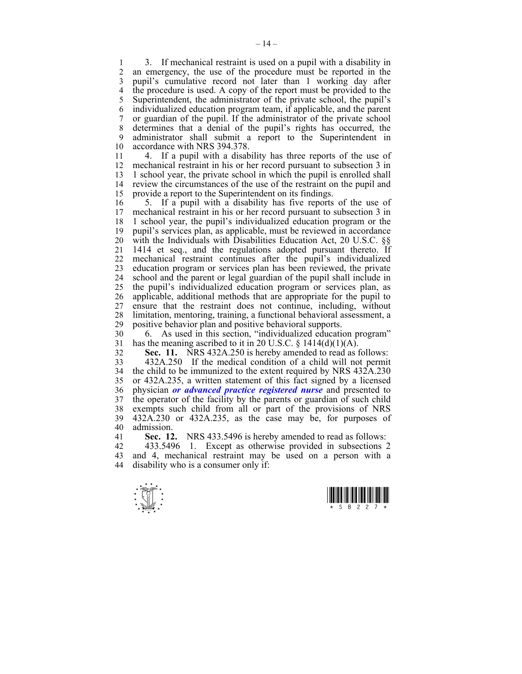1 3. If mechanical restraint is used on a pupil with a disability in<br>2 an emergency the use of the procedure must be reported in the an emergency, the use of the procedure must be reported in the 3 pupil's cumulative record not later than 1 working day after 4 the procedure is used. A copy of the report must be provided to the 5 Superintendent, the administrator of the private school, the pupil's 6 individualized education program team, if applicable, and the parent 7 or guardian of the pupil. If the administrator of the private school 8 determines that a denial of the pupil's rights has occurred, the 9 administrator shall submit a report to the Superintendent in 10 accordance with NRS 394.378.

11 4. If a pupil with a disability has three reports of the use of 12 mechanical restraint in his or her record pursuant to subsection 3 in 13 1 school year, the private school in which the pupil is enrolled shall 14 review the circumstances of the use of the restraint on the pupil and 15 provide a report to the Superintendent on its findings.

16 5. If a pupil with a disability has five reports of the use of 17 mechanical restraint in his or her record pursuant to subsection 3 in 18 1 school year, the pupil's individualized education program or the 19 pupil's services plan, as applicable, must be reviewed in accordance 20 with the Individuals with Disabilities Education Act, 20 U.S.C. §§ 21 1414 et seq., and the regulations adopted pursuant thereto. If 22 mechanical restraint continues after the pupil's individualized 23 education program or services plan has been reviewed, the private 24 school and the parent or legal guardian of the pupil shall include in 25 the pupil's individualized education program or services plan, as 26 applicable, additional methods that are appropriate for the pupil to 27 ensure that the restraint does not continue, including, without 28 limitation, mentoring, training, a functional behavioral assessment, a 29 positive behavior plan and positive behavioral supports.

30 6. As used in this section, "individualized education program" 31 has the meaning ascribed to it in 20 U.S.C.  $\S$  1414(d)(1)(A).

32 **Sec. 11.** NRS 432A.250 is hereby amended to read as follows:

33 432A.250 If the medical condition of a child will not permit 34 the child to be immunized to the extent required by NRS 432A.230 35 or 432A.235, a written statement of this fact signed by a licensed 36 physician *or advanced practice registered nurse* and presented to 37 the operator of the facility by the parents or guardian of such child 38 exempts such child from all or part of the provisions of NRS 39 432A.230 or 432A.235, as the case may be, for purposes of 40 admission.

41 **Sec. 12.** NRS 433.5496 is hereby amended to read as follows:

42 433.5496 1. Except as otherwise provided in subsections 2 43 and 4, mechanical restraint may be used on a person with a 44 disability who is a consumer only if:

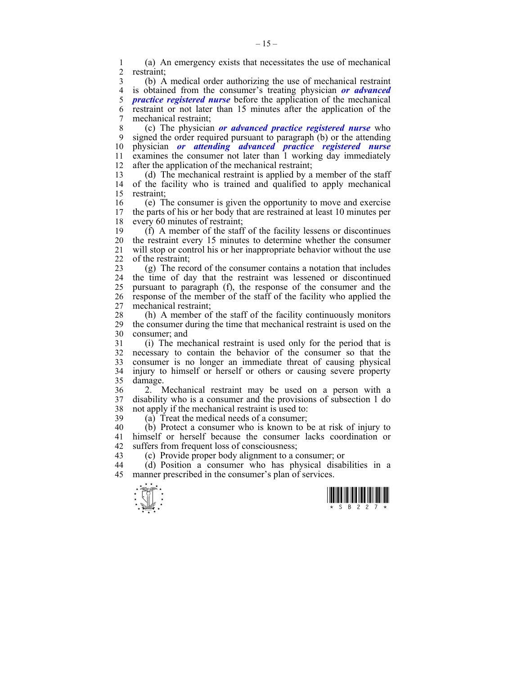1 (a) An emergency exists that necessitates the use of mechanical restraint:

3 (b) A medical order authorizing the use of mechanical restraint 4 is obtained from the consumer's treating physician *or advanced practice registered nurse* before the application of the mechanical 6 restraint or not later than 15 minutes after the application of the 7 mechanical restraint;

8 (c) The physician *or advanced practice registered nurse* who 9 signed the order required pursuant to paragraph (b) or the attending 10 physician *or attending advanced practice registered nurse*  11 examines the consumer not later than 1 working day immediately 12 after the application of the mechanical restraint;

13 (d) The mechanical restraint is applied by a member of the staff 14 of the facility who is trained and qualified to apply mechanical 15 restraint;

16 (e) The consumer is given the opportunity to move and exercise 17 the parts of his or her body that are restrained at least 10 minutes per 18 every 60 minutes of restraint;

19 (f) A member of the staff of the facility lessens or discontinues 20 the restraint every 15 minutes to determine whether the consumer 21 will stop or control his or her inappropriate behavior without the use<br>22 of the restraint of the restraint:

23 (g) The record of the consumer contains a notation that includes 24 the time of day that the restraint was lessened or discontinued 25 pursuant to paragraph (f), the response of the consumer and the 26 response of the member of the staff of the facility who applied the 27 mechanical restraint;

28 (h) A member of the staff of the facility continuously monitors<br>29 the consumer during the time that mechanical restraint is used on the 29 the consumer during the time that mechanical restraint is used on the 30 consumer; and

31 (i) The mechanical restraint is used only for the period that is 32 necessary to contain the behavior of the consumer so that the 33 consumer is no longer an immediate threat of causing physical 34 injury to himself or herself or others or causing severe property 35 damage.

36 2. Mechanical restraint may be used on a person with a 37 disability who is a consumer and the provisions of subsection 1 do 38 not apply if the mechanical restraint is used to:

39 (a) Treat the medical needs of a consumer;

40 (b) Protect a consumer who is known to be at risk of injury to 41 himself or herself because the consumer lacks coordination or 42 suffers from frequent loss of consciousness;

43 (c) Provide proper body alignment to a consumer; or

44 (d) Position a consumer who has physical disabilities in a 45 manner prescribed in the consumer's plan of services.



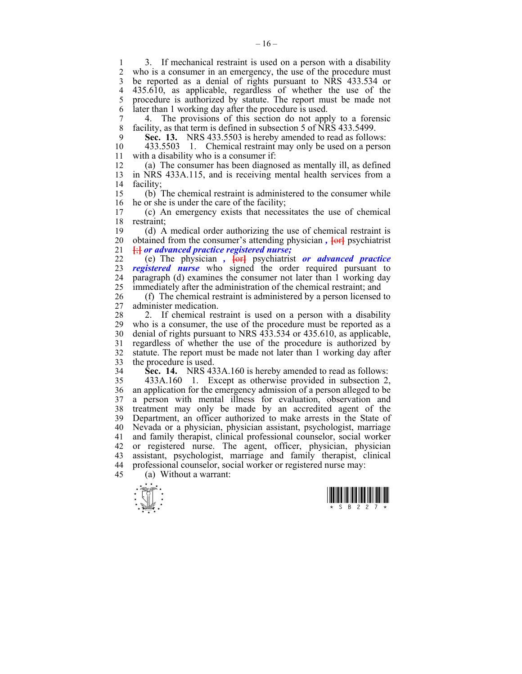1 3. If mechanical restraint is used on a person with a disability<br>2 who is a consumer in an emergency the use of the procedure must who is a consumer in an emergency, the use of the procedure must 3 be reported as a denial of rights pursuant to NRS 433.534 or 4 435.610, as applicable, regardless of whether the use of the 5 procedure is authorized by statute. The report must be made not 6 later than 1 working day after the procedure is used.

7 4. The provisions of this section do not apply to a forensic 8 facility, as that term is defined in subsection 5 of NRS 433.5499.

9 **Sec. 13.** NRS 433.5503 is hereby amended to read as follows:<br>10 433.5503 1. Chemical restraint may only be used on a nerson

10 433.5503 1. Chemical restraint may only be used on a person 11 with a disability who is a consumer if:

12 (a) The consumer has been diagnosed as mentally ill, as defined 13 in NRS 433A.115, and is receiving mental health services from a 14 facility;

15 (b) The chemical restraint is administered to the consumer while 16 he or she is under the care of the facility;<br>17 (c) An emergency exists that necess

17 (c) An emergency exists that necessitates the use of chemical 18 restraint;

19 (d) A medical order authorizing the use of chemical restraint is 20 obtained from the consumer's attending physician *,* **[**or**]** psychiatrist 21 **[**;**]** *or advanced practice registered nurse;*

22 (e) The physician *,* **[**or**]** psychiatrist *or advanced practice*  23 *registered nurse* who signed the order required pursuant to 24 paragraph (d) examines the consumer not later than 1 working day 25 immediately after the administration of the chemical restraint; and

26 (f) The chemical restraint is administered by a person licensed to 27 administer medication.

28 2. If chemical restraint is used on a person with a disability 29 who is a consumer, the use of the procedure must be reported as a 30 denial of rights pursuant to NRS 433.534 or 435.610, as applicable, 31 regardless of whether the use of the procedure is authorized by 32 statute. The report must be made not later than 1 working day after 33 the procedure is used.

34 **Sec. 14.** NRS 433A.160 is hereby amended to read as follows:

35 433A.160 1. Except as otherwise provided in subsection 2, 36 an application for the emergency admission of a person alleged to be 37 a person with mental illness for evaluation, observation and 38 treatment may only be made by an accredited agent of the 39 Department, an officer authorized to make arrests in the State of 40 Nevada or a physician, physician assistant, psychologist, marriage 41 and family therapist, clinical professional counselor, social worker 42 or registered nurse. The agent, officer, physician, physician 43 assistant, psychologist, marriage and family therapist, clinical 44 professional counselor, social worker or registered nurse may:

45 (a) Without a warrant:



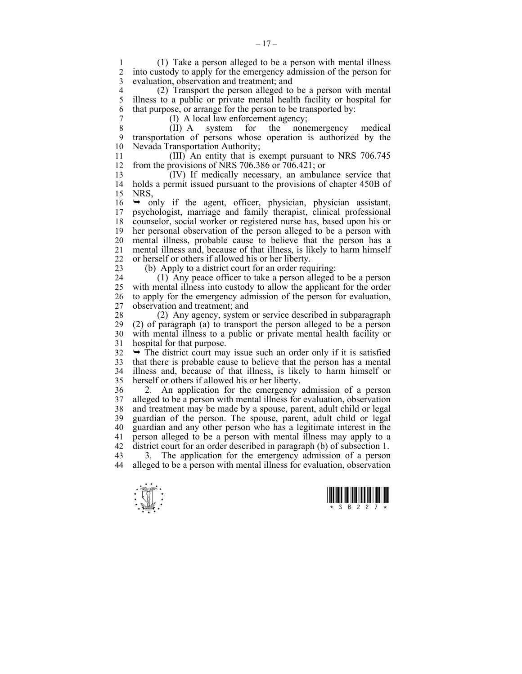1 (1) Take a person alleged to be a person with mental illness into custody to apply for the emergency admission of the person for 3 evaluation, observation and treatment; and

4 (2) Transport the person alleged to be a person with mental 5 illness to a public or private mental health facility or hospital for 6 that purpose, or arrange for the person to be transported by:

7 (I) A local law enforcement agency;

8 (II) A system for the nonemergency medical 9 transportation of persons whose operation is authorized by the 10 Nevada Transportation Authority;

11 (III) An entity that is exempt pursuant to NRS 706.745 12 from the provisions of NRS 706.386 or 706.421; or

13 (IV) If medically necessary, an ambulance service that 14 holds a permit issued pursuant to the provisions of chapter 450B of 15 NRS,

 $16 \rightarrow$  only if the agent, officer, physician, physician assistant, 17 psychologist, marriage and family therapist, clinical professional 18 counselor, social worker or registered nurse has, based upon his or 19 her personal observation of the person alleged to be a person with 20 mental illness, probable cause to believe that the person has a 21 mental illness and, because of that illness, is likely to harm himself 22 or herself or others if allowed his or her liberty.

23 (b) Apply to a district court for an order requiring:

24 (1) Any peace officer to take a person alleged to be a person 25 with mental illness into custody to allow the applicant for the order 26 to apply for the emergency admission of the person for evaluation, 27 observation and treatment; and

28 (2) Any agency, system or service described in subparagraph 29 (2) of paragraph (a) to transport the person alleged to be a person 30 with mental illness to a public or private mental health facility or 31 hospital for that purpose.

 $32 \rightarrow$  The district court may issue such an order only if it is satisfied 33 that there is probable cause to believe that the person has a mental 34 illness and, because of that illness, is likely to harm himself or 35 herself or others if allowed his or her liberty.

36 2. An application for the emergency admission of a person 37 alleged to be a person with mental illness for evaluation, observation 38 and treatment may be made by a spouse, parent, adult child or legal 39 guardian of the person. The spouse, parent, adult child or legal 40 guardian and any other person who has a legitimate interest in the 41 person alleged to be a person with mental illness may apply to a 42 district court for an order described in paragraph (b) of subsection 1.

43 3. The application for the emergency admission of a person 44 alleged to be a person with mental illness for evaluation, observation



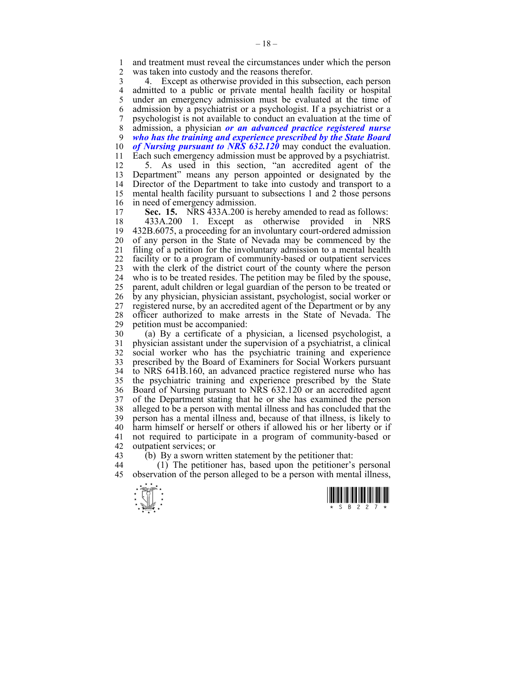1 and treatment must reveal the circumstances under which the person<br>2 was taken into custody and the reasons therefor was taken into custody and the reasons therefor.

3 4. Except as otherwise provided in this subsection, each person 4 admitted to a public or private mental health facility or hospital 5 under an emergency admission must be evaluated at the time of under an emergency admission must be evaluated at the time of 6 admission by a psychiatrist or a psychologist. If a psychiatrist or a 7 psychologist is not available to conduct an evaluation at the time of 8 admission, a physician *or an advanced practice registered nurse*  9 *who has the training and experience prescribed by the State Board*  10 *of Nursing pursuant to NRS 632.120* may conduct the evaluation. 11 Each such emergency admission must be approved by a psychiatrist. 12 5. As used in this section, "an accredited agent of the

13 Department" means any person appointed or designated by the 14 Director of the Department to take into custody and transport to a 15 mental health facility pursuant to subsections 1 and 2 those persons 16 in need of emergency admission.<br>17 **Sec. 15.** NRS 433A 200 is b

Sec. 15. NRS 433A.200 is hereby amended to read as follows: 18 433A.200 1. Except as otherwise provided in NRS 19 432B.6075, a proceeding for an involuntary court-ordered admission 20 of any person in the State of Nevada may be commenced by the 21 filing of a petition for the involuntary admission to a mental health 22 facility or to a program of community-based or outpatient services 23 with the clerk of the district court of the county where the person 24 who is to be treated resides. The petition may be filed by the spouse, 25 parent, adult children or legal guardian of the person to be treated or 26 by any physician, physician assistant, psychologist, social worker or 27 registered nurse, by an accredited agent of the Department or by any 28 officer authorized to make arrests in the State of Nevada. The petition must be accompanied:

30 (a) By a certificate of a physician, a licensed psychologist, a 31 physician assistant under the supervision of a psychiatrist, a clinical 32 social worker who has the psychiatric training and experience 33 prescribed by the Board of Examiners for Social Workers pursuant 34 to NRS 641B.160, an advanced practice registered nurse who has 35 the psychiatric training and experience prescribed by the State 36 Board of Nursing pursuant to NRS 632.120 or an accredited agent 37 of the Department stating that he or she has examined the person 38 alleged to be a person with mental illness and has concluded that the 39 person has a mental illness and, because of that illness, is likely to 40 harm himself or herself or others if allowed his or her liberty or if 41 not required to participate in a program of community-based or 42 outpatient services; or<br>43 (b) By a sworn wri

 $(b)$  By a sworn written statement by the petitioner that:

44 (1) The petitioner has, based upon the petitioner's personal 45 observation of the person alleged to be a person with mental illness,



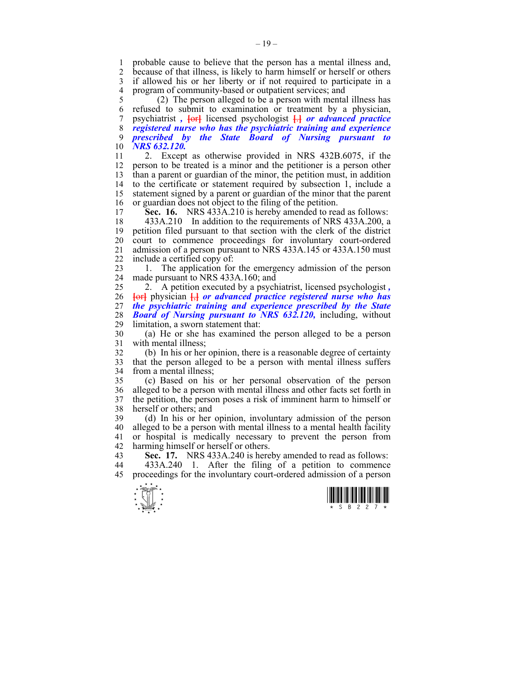1 probable cause to believe that the person has a mental illness and,<br>2 because of that illness is likely to harm himself or herself or others because of that illness, is likely to harm himself or herself or others 3 if allowed his or her liberty or if not required to participate in a 4 program of community-based or outpatient services; and<br>5 (2) The person alleged to be a person with menta

5 (2) The person alleged to be a person with mental illness has 6 refused to submit to examination or treatment by a physician, 7 psychiatrist *,* **[**or**]** licensed psychologist **[**.**]** *or advanced practice*  8 *registered nurse who has the psychiatric training and experience*  9 *prescribed by the State Board of Nursing pursuant* 10 *NRS 632.120.*

11 2. Except as otherwise provided in NRS 432B.6075, if the 12 person to be treated is a minor and the petitioner is a person other 13 than a parent or guardian of the minor, the petition must, in addition 14 to the certificate or statement required by subsection 1, include a 15 statement signed by a parent or guardian of the minor that the parent 16 or guardian does not object to the filing of the petition.

17 **Sec. 16.** NRS 433A.210 is hereby amended to read as follows:

18 433A.210 In addition to the requirements of NRS 433A.200, a 19 petition filed pursuant to that section with the clerk of the district 20 court to commence proceedings for involuntary court-ordered 21 admission of a person pursuant to NRS 433A.145 or 433A.150 must 22 include a certified copy of:

23 1. The application for the emergency admission of the person 24 made pursuant to NRS 433A.160; and

25 2. A petition executed by a psychiatrist, licensed psychologist *,*  26 **[**or**]** physician **[**,**]** *or advanced practice registered nurse who has*  27 *the psychiatric training and experience prescribed by the State*  28 *Board of Nursing pursuant to NRS 632.120*, including, without 129 limitation a sworn statement that limitation, a sworn statement that:

30 (a) He or she has examined the person alleged to be a person 31 with mental illness;

32 (b) In his or her opinion, there is a reasonable degree of certainty 33 that the person alleged to be a person with mental illness suffers 34 from a mental illness;

35 (c) Based on his or her personal observation of the person 36 alleged to be a person with mental illness and other facts set forth in 37 the petition, the person poses a risk of imminent harm to himself or 38 herself or others; and

39 (d) In his or her opinion, involuntary admission of the person 40 alleged to be a person with mental illness to a mental health facility 41 or hospital is medically necessary to prevent the person from 42 harming himself or herself or others.

43 **Sec. 17.** NRS 433A.240 is hereby amended to read as follows:

44 433A.240 1. After the filing of a petition to commence 45 proceedings for the involuntary court-ordered admission of a person



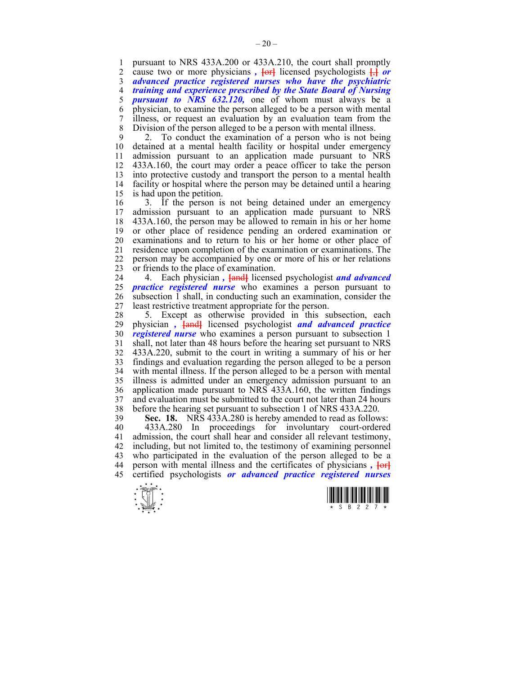1 pursuant to NRS 433A.200 or 433A.210, the court shall promptly<br>2 cause two or more physicians. **For** licensed psychologists  $\overrightarrow{H}$  or cause two or more physicians ,  $\frac{1}{e^t}$  licensed psychologists  $\frac{1}{e^t}$  or 3 *advanced practice registered nurses who have the psychiatric*  4 *training and experience prescribed by the State Board of Nursing*  5 *pursuant to NRS 632.120,* one of whom must always be a 6 physician, to examine the person alleged to be a person with mental 7 illness, or request an evaluation by an evaluation team from the 8 Division of the person alleged to be a person with mental illness.

9 2. To conduct the examination of a person who is not being 10 detained at a mental health facility or hospital under emergency 11 admission pursuant to an application made pursuant to NRS 12 433A.160, the court may order a peace officer to take the person 13 into protective custody and transport the person to a mental health 14 facility or hospital where the person may be detained until a hearing 15 is had upon the petition.

16 3. If the person is not being detained under an emergency 17 admission pursuant to an application made pursuant to NRS 18 433A.160, the person may be allowed to remain in his or her home 19 or other place of residence pending an ordered examination or 20 examinations and to return to his or her home or other place of 21 residence upon completion of the examination or examinations. The 22 person may be accompanied by one or more of his or her relations 23 or friends to the place of examination.

24 4. Each physician *,* **[**and**]** licensed psychologist *and advanced*  25 *practice registered nurse* who examines a person pursuant to 26 subsection 1 shall, in conducting such an examination, consider the 27 least restrictive treatment appropriate for the person.

28 5. Except as otherwise provided in this subsection, each 29 physician *,* **[**and**]** licensed psychologist *and advanced practice*  30 *registered nurse* who examines a person pursuant to subsection 1 31 shall, not later than 48 hours before the hearing set pursuant to NRS 32 433A.220, submit to the court in writing a summary of his or her 33 findings and evaluation regarding the person alleged to be a person 34 with mental illness. If the person alleged to be a person with mental 35 illness is admitted under an emergency admission pursuant to an 36 application made pursuant to NRS 433A.160, the written findings 37 and evaluation must be submitted to the court not later than 24 hours 38 before the hearing set pursuant to subsection 1 of NRS 433A.220.

39 **Sec. 18.** NRS 433A.280 is hereby amended to read as follows:

40 433A.280 In proceedings for involuntary court-ordered 41 admission, the court shall hear and consider all relevant testimony, 42 including, but not limited to, the testimony of examining personnel 43 who participated in the evaluation of the person alleged to be a 44 person with mental illness and the certificates of physicians *,* **[**or**]** 45 certified psychologists *or advanced practice registered nurses*



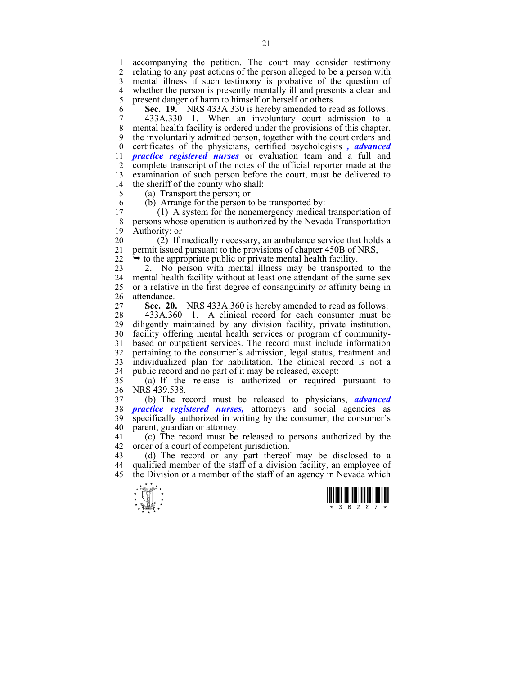1 accompanying the petition. The court may consider testimony<br>2 relating to any past actions of the person alleged to be a person with 2 relating to any past actions of the person alleged to be a person with 3 mental illness if such testimony is probative of the question of 4 whether the person is presently mentally ill and presents a clear and present danger of harm to himself or herself or others. present danger of harm to himself or herself or others.

6 **Sec. 19.** NRS 433A.330 is hereby amended to read as follows:

7 433A.330 1. When an involuntary court admission to a 8 mental health facility is ordered under the provisions of this chapter, 9 the involuntarily admitted person, together with the court orders and 10 certificates of the physicians, certified psychologists *, advanced*  11 *practice registered nurses* or evaluation team and a full and 12 complete transcript of the notes of the official reporter made at the 13 examination of such person before the court, must be delivered to 14 the sheriff of the county who shall:

- 15 (a) Transport the person; or
- 

16 (b) Arrange for the person to be transported by:<br>17 (1) A system for the nonemergency medical

17 (1) A system for the nonemergency medical transportation of 18 persons whose operation is authorized by the Nevada Transportation 19 Authority; or

20 (2) If medically necessary, an ambulance service that holds a 21 permit issued pursuant to the provisions of chapter 450B of NRS,

 $22 \rightarrow$  to the appropriate public or private mental health facility.

23 2. No person with mental illness may be transported to the 24 mental health facility without at least one attendant of the same sex 25 or a relative in the first degree of consanguinity or affinity being in 26 attendance.

27 **Sec. 20.** NRS 433A.360 is hereby amended to read as follows:

28 433A.360 1. A clinical record for each consumer must be 29 diligently maintained by any division facility, private institution, 30 facility offering mental health services or program of community-31 based or outpatient services. The record must include information 32 pertaining to the consumer's admission, legal status, treatment and 33 individualized plan for habilitation. The clinical record is not a 34 public record and no part of it may be released, except:

35 (a) If the release is authorized or required pursuant to 36 NRS 439.538.

37 (b) The record must be released to physicians, *advanced*  38 *practice registered nurses,* attorneys and social agencies as 39 specifically authorized in writing by the consumer, the consumer's 40 parent, guardian or attorney.

41 (c) The record must be released to persons authorized by the 42 order of a court of competent jurisdiction.

43 (d) The record or any part thereof may be disclosed to a 44 qualified member of the staff of a division facility, an employee of 45 the Division or a member of the staff of an agency in Nevada which



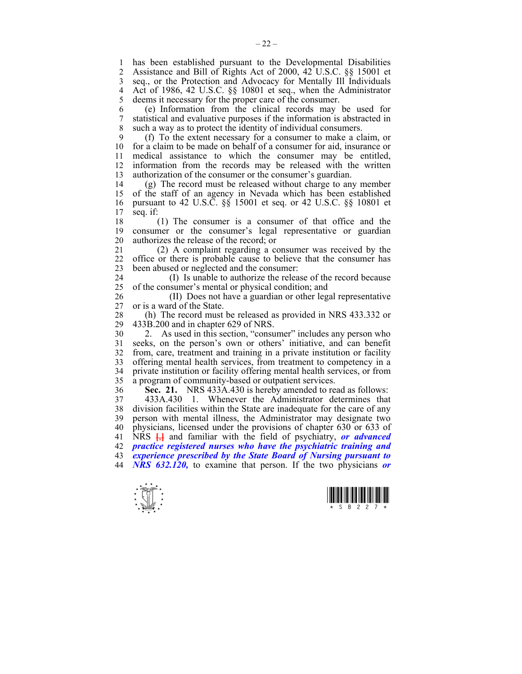1 has been established pursuant to the Developmental Disabilities<br>2 Assistance and Bill of Rights Act of 2000 42 U S C 88 15001 et 2 Assistance and Bill of Rights Act of 2000, 42 U.S.C. §§ 15001 et 3 seq., or the Protection and Advocacy for Mentally Ill Individuals 4 Act of 1986, 42 U.S.C. §§ 10801 et seq., when the Administrator deems it necessary for the proper care of the consumer. deems it necessary for the proper care of the consumer.

6 (e) Information from the clinical records may be used for 7 statistical and evaluative purposes if the information is abstracted in 8 such a way as to protect the identity of individual consumers.

9 (f) To the extent necessary for a consumer to make a claim, or 10 for a claim to be made on behalf of a consumer for aid, insurance or 11 medical assistance to which the consumer may be entitled, 12 information from the records may be released with the written 13 authorization of the consumer or the consumer's guardian.

14 (g) The record must be released without charge to any member 15 of the staff of an agency in Nevada which has been established 16 pursuant to 42 U.S.C. §§ 15001 et seq. or 42 U.S.C. §§ 10801 et 17 seq. if:

18 (1) The consumer is a consumer of that office and the 19 consumer or the consumer's legal representative or guardian 20 authorizes the release of the record; or

21 (2) A complaint regarding a consumer was received by the 22 office or there is probable cause to believe that the consumer has 23 been abused or neglected and the consumer:

24 (I) Is unable to authorize the release of the record because 25 of the consumer's mental or physical condition; and

26 (II) Does not have a guardian or other legal representative 27 or is a ward of the State.

28 (h) The record must be released as provided in NRS 433.332 or 433B.200 and in chapter 629 of NRS. 29 433B.200 and in chapter 629 of NRS.

30 2. As used in this section, "consumer" includes any person who 31 seeks, on the person's own or others' initiative, and can benefit 32 from, care, treatment and training in a private institution or facility 33 offering mental health services, from treatment to competency in a 34 private institution or facility offering mental health services, or from 35 a program of community-based or outpatient services.

36 **Sec. 21.** NRS 433A.430 is hereby amended to read as follows:

37 433A.430 1. Whenever the Administrator determines that division facilities within the State are inadequate for the care of any 39 person with mental illness, the Administrator may designate two 40 physicians, licensed under the provisions of chapter 630 or 633 of 41 NRS **[**,**]** and familiar with the field of psychiatry, *or advanced*  42 *practice registered nurses who have the psychiatric training and*  43 *experience prescribed by the State Board of Nursing pursuant to*  44 *NRS 632.120,* to examine that person. If the two physicians *or* 



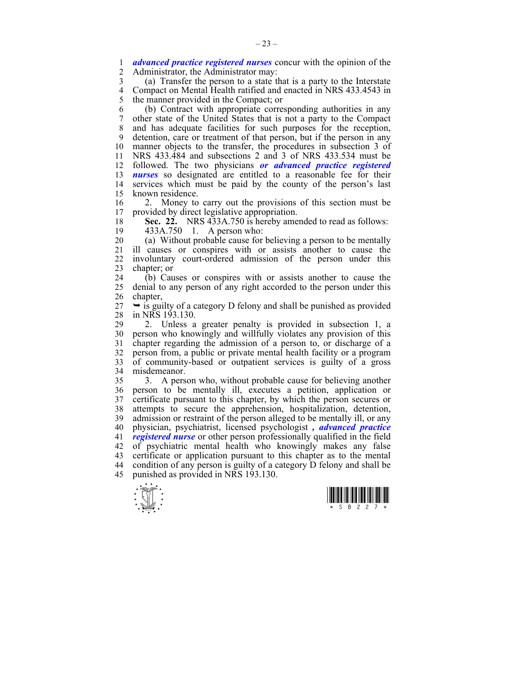1 *advanced practice registered nurses* concur with the opinion of the 2 Administrator the Administrator may Administrator, the Administrator may:

3 (a) Transfer the person to a state that is a party to the Interstate 4 Compact on Mental Health ratified and enacted in NRS 433.4543 in<br>5 the manner provided in the Compact: or 5 the manner provided in the Compact; or

6 (b) Contract with appropriate corresponding authorities in any 7 other state of the United States that is not a party to the Compact 8 and has adequate facilities for such purposes for the reception, 9 detention, care or treatment of that person, but if the person in any 10 manner objects to the transfer, the procedures in subsection 3 of 11 NRS 433.484 and subsections 2 and 3 of NRS 433.534 must be 12 followed. The two physicians *or advanced practice registered*  13 *nurses* so designated are entitled to a reasonable fee for their 14 services which must be paid by the county of the person's last 15 known residence.

16 2. Money to carry out the provisions of this section must be 17 provided by direct legislative appropriation.

18 **Sec. 22.** NRS 433A.750 is hereby amended to read as follows: 19 433A.750 1. A person who:

20 (a) Without probable cause for believing a person to be mentally 21 ill causes or conspires with or assists another to cause the 22 involuntary court-ordered admission of the person under this 23 chapter; or

24 (b) Causes or conspires with or assists another to cause the 25 denial to any person of any right accorded to the person under this 26 chapter,

 $27 \rightarrow$  is guilty of a category D felony and shall be punished as provided 28 in NRS 193.130.

29 2. Unless a greater penalty is provided in subsection 1, a 30 person who knowingly and willfully violates any provision of this 31 chapter regarding the admission of a person to, or discharge of a 32 person from, a public or private mental health facility or a program 33 of community-based or outpatient services is guilty of a gross 34 misdemeanor.

35 3. A person who, without probable cause for believing another 36 person to be mentally ill, executes a petition, application or 37 certificate pursuant to this chapter, by which the person secures or 38 attempts to secure the apprehension, hospitalization, detention, 39 admission or restraint of the person alleged to be mentally ill, or any 40 physician, psychiatrist, licensed psychologist *, advanced practice*  41 *registered nurse* or other person professionally qualified in the field 42 of psychiatric mental health who knowingly makes any false 43 certificate or application pursuant to this chapter as to the mental 44 condition of any person is guilty of a category D felony and shall be 45 punished as provided in NRS 193.130.



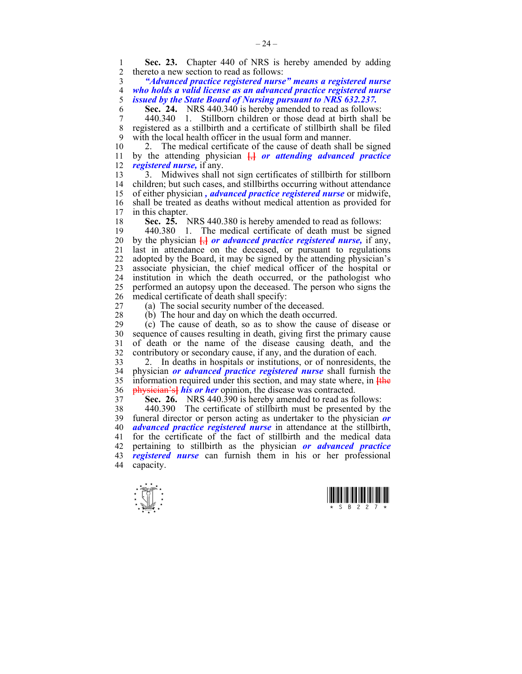1 **Sec. 23.** Chapter 440 of NRS is hereby amended by adding thereto a new section to read as follows: 2 thereto a new section to read as follows:

3 *"Advanced practice registered nurse" means a registered nurse*  4 *who holds a valid license as an advanced practice registered nurse*  5 *issued by the State Board of Nursing pursuant to NRS 632.237.* 

6 **Sec. 24.** NRS 440.340 is hereby amended to read as follows:

7 440.340 1. Stillborn children or those dead at birth shall be registered as a stillbirth and a certificate of stillbirth shall be filed 9 with the local health officer in the usual form and manner.

10 2. The medical certificate of the cause of death shall be signed 11 by the attending physician **[**,**]** *or attending advanced practice*  12 *registered nurse,* if any.

13 3. Midwives shall not sign certificates of stillbirth for stillborn 14 children; but such cases, and stillbirths occurring without attendance 15 of either physician *, advanced practice registered nurse* or midwife, 16 shall be treated as deaths without medical attention as provided for<br>17 in this chapter in this chapter.

18 **Sec. 25.** NRS 440.380 is hereby amended to read as follows:

19 440.380 1. The medical certificate of death must be signed 20 by the physician **[**,**]** *or advanced practice registered nurse,* if any, 21 last in attendance on the deceased, or pursuant to regulations 22 adopted by the Board, it may be signed by the attending physician's 23 associate physician, the chief medical officer of the hospital or 24 institution in which the death occurred, or the pathologist who 25 performed an autopsy upon the deceased. The person who signs the 26 medical certificate of death shall specify:

27 (a) The social security number of the deceased.

28 (b) The hour and day on which the death occurred.

29 (c) The cause of death, so as to show the cause of disease or 30 sequence of causes resulting in death, giving first the primary cause 31 of death or the name of the disease causing death, and the 32 contributory or secondary cause, if any, and the duration of each.

33 2. In deaths in hospitals or institutions, or of nonresidents, the 34 physician *or advanced practice registered nurse* shall furnish the 35 information required under this section, and may state where, in **[**the 36 physician's**]** *his or her* opinion, the disease was contracted.

37 **Sec. 26.** NRS 440.390 is hereby amended to read as follows:

38 440.390 The certificate of stillbirth must be presented by the 39 funeral director or person acting as undertaker to the physician *or*  40 *advanced practice registered nurse* in attendance at the stillbirth, 41 for the certificate of the fact of stillbirth and the medical data 42 pertaining to stillbirth as the physician *or advanced practice*  43 *registered nurse* can furnish them in his or her professional 44 capacity.



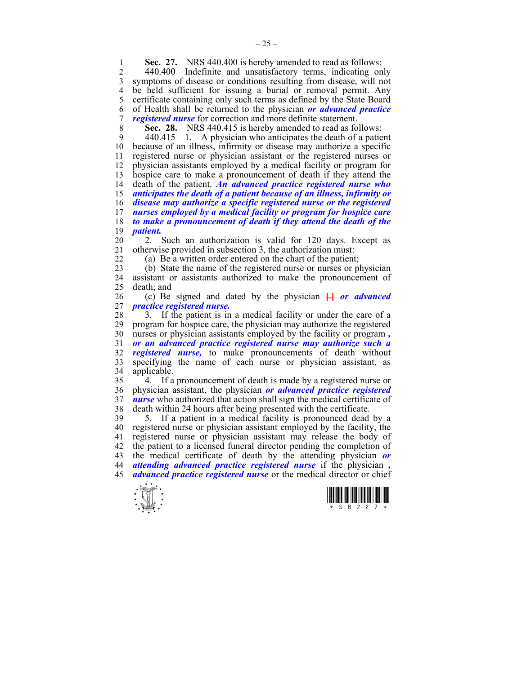**1 Sec. 27.** NRS 440.400 is hereby amended to read as follows:<br>2 440.400 Indefinite and unsatisfactory terms indicating on

2 440.400 Indefinite and unsatisfactory terms, indicating only 3 symptoms of disease or conditions resulting from disease, will not 4 be held sufficient for issuing a burial or removal permit. Any<br>5 certificate containing only such terms as defined by the State Board 5 certificate containing only such terms as defined by the State Board 6 of Health shall be returned to the physician *or advanced practice*  7 *registered nurse* for correction and more definite statement.

8 **Sec. 28.** NRS 440.415 is hereby amended to read as follows:

9 440.415 1. A physician who anticipates the death of a patient 10 because of an illness, infirmity or disease may authorize a specific 10 because of an illness, infirmity or disease may authorize a specific 11 registered nurse or physician assistant or the registered nurses or 12 physician assistants employed by a medical facility or program for 13 hospice care to make a pronouncement of death if they attend the death of the patient. An advanced practice registered nurse who 14 death of the patient. *An advanced practice registered nurse who*  15 *anticipates the death of a patient because of an illness, infirmity or*  16 *disease may authorize a specific registered nurse or the registered*  17 *nurses employed by a medical facility or program for hospice care*  18 *to make a pronouncement of death if they attend the death of the*  19 *patient.*

20 2. Such an authorization is valid for 120 days. Except as 21 otherwise provided in subsection 3, the authorization must:

22 (a) Be a written order entered on the chart of the patient;

23 (b) State the name of the registered nurse or nurses or physician 24 assistant or assistants authorized to make the pronouncement of 25 death; and

26 (c) Be signed and dated by the physician **[**.**]** *or advanced*  27 *practice registered nurse.*

28 3. If the patient is in a medical facility or under the care of a 29 program for hospice care, the physician may authorize the registered 30 nurses or physician assistants employed by the facility or program *,* 31 *or an advanced practice registered nurse may authorize such a*  32 *registered nurse,* to make pronouncements of death without 33 specifying the name of each nurse or physician assistant, as 34 applicable.

35 4. If a pronouncement of death is made by a registered nurse or 36 physician assistant, the physician *or advanced practice registered*  37 *nurse* who authorized that action shall sign the medical certificate of 38 death within 24 hours after being presented with the certificate.

39 5. If a patient in a medical facility is pronounced dead by a 40 registered nurse or physician assistant employed by the facility, the 41 registered nurse or physician assistant may release the body of 42 the patient to a licensed funeral director pending the completion of 43 the medical certificate of death by the attending physician *or*  44 *attending advanced practice registered nurse* if the physician *,* 45 *advanced practice registered nurse* or the medical director or chief



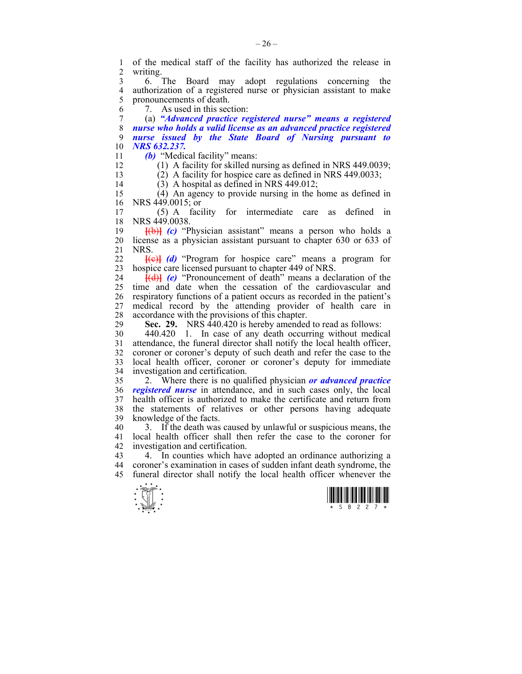1 of the medical staff of the facility has authorized the release in writing. 3 6. The Board may adopt regulations concerning the 4 authorization of a registered nurse or physician assistant to make<br>5 pronouncements of death. pronouncements of death. 6 7. As used in this section: 7 (a) *"Advanced practice registered nurse" means a registered*  8 *nurse who holds a valid license as an advanced practice registered*  9 *nurse issued by the State Board of Nursing pursuant to*  10 *NRS 632.237.*  11 *(b)* "Medical facility" means: 12 (1) A facility for skilled nursing as defined in NRS 449.0039; 13 (2) A facility for hospice care as defined in NRS 449.0033; 14  $(3)$  A hospital as defined in NRS 449.012; 15 (4) An agency to provide nursing in the home as defined in 16 NRS 449.0015; or 17 (5) A facility for intermediate care as defined in 18 NRS 449.0038. 19 **[**(b)**]** *(c)* "Physician assistant" means a person who holds a 20 license as a physician assistant pursuant to chapter 630 or 633 of 21 NRS. 22 **[**(c)**]** *(d)* "Program for hospice care" means a program for 23 hospice care licensed pursuant to chapter 449 of NRS. 24 **[**(d)**]** *(e)* "Pronouncement of death" means a declaration of the 25 time and date when the cessation of the cardiovascular and 26 respiratory functions of a patient occurs as recorded in the patient's 27 medical record by the attending provider of health care in 28 accordance with the provisions of this chapter.<br>29 Sec. 29. NRS 440 420 is hereby amended **Sec. 29.** NRS 440.420 is hereby amended to read as follows: 30 440.420 1. In case of any death occurring without medical 31 attendance, the funeral director shall notify the local health officer, 32 coroner or coroner's deputy of such death and refer the case to the 33 local health officer, coroner or coroner's deputy for immediate 34 investigation and certification. 35 2. Where there is no qualified physician *or advanced practice*  36 *registered nurse* in attendance, and in such cases only, the local 37 health officer is authorized to make the certificate and return from 38 the statements of relatives or other persons having adequate 39 knowledge of the facts. 40 3. If the death was caused by unlawful or suspicious means, the 41 local health officer shall then refer the case to the coroner for 42 investigation and certification. 43 4. In counties which have adopted an ordinance authorizing a 44 coroner's examination in cases of sudden infant death syndrome, the 45 funeral director shall notify the local health officer whenever the



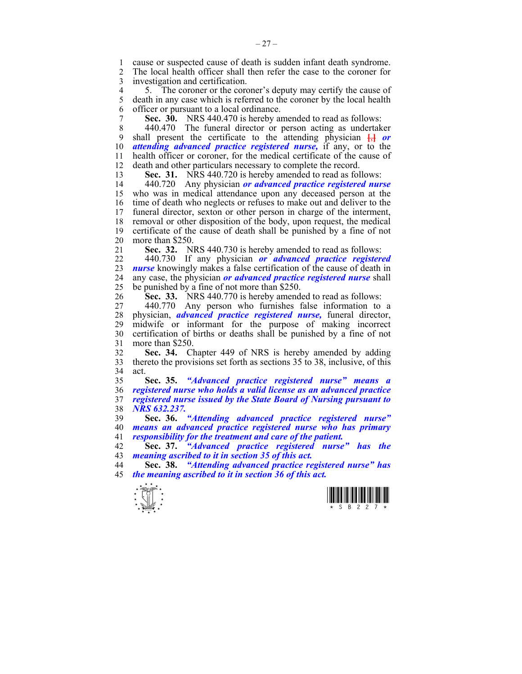1 cause or suspected cause of death is sudden infant death syndrome.<br>2 The local health officer shall then refer the case to the coroner for 2 The local health officer shall then refer the case to the coroner for 3 investigation and certification.

4 5. The coroner or the coroner's deputy may certify the cause of 5 death in any case which is referred to the coroner by the local health 5 death in any case which is referred to the coroner by the local health 6 officer or pursuant to a local ordinance.

7 **Sec. 30.** NRS 440.470 is hereby amended to read as follows:

8 440.470 The funeral director or person acting as undertaker 9 shall present the certificate to the attending physician **[**,**]** *or*  10 *attending advanced practice registered nurse,* if any, or to the 11 health officer or coroner, for the medical certificate of the cause of 12 death and other particulars necessary to complete the record.

13 **Sec. 31.** NRS 440.720 is hereby amended to read as follows:

14 440.720 Any physician *or advanced practice registered nurse*  15 who was in medical attendance upon any deceased person at the 16 time of death who neglects or refuses to make out and deliver to the 17 funeral director, sexton or other person in charge of the interment, 18 removal or other disposition of the body, upon request, the medical 19 certificate of the cause of death shall be punished by a fine of not 20 more than \$250.

21 **Sec. 32.** NRS 440.730 is hereby amended to read as follows:

22 440.730 If any physician *or advanced practice registered*  23 *nurse* knowingly makes a false certification of the cause of death in 24 any case, the physician *or advanced practice registered nurse* shall 25 be punished by a fine of not more than \$250.

26 **Sec. 33.** NRS 440.770 is hereby amended to read as follows:

27 440.770 Any person who furnishes false information to a 28 physician, *advanced practice registered nurse,* funeral director, midwife or informant for the purpose of making incorrect 30 certification of births or deaths shall be punished by a fine of not 31 more than \$250.

32 **Sec. 34.** Chapter 449 of NRS is hereby amended by adding 33 thereto the provisions set forth as sections 35 to 38, inclusive, of this 34 act.

**Sec. 35.** *"Advanced practice registered nurse" means a registered nurse who holds a valid license as an advanced practice registered nurse issued by the State Board of Nursing pursuant to NRS 632.237.* 

39 **Sec. 36.** *"Attending advanced practice registered nurse"*  40 *means an advanced practice registered nurse who has primary*  41 *responsibility for the treatment and care of the patient.* 

42 **Sec. 37.** *"Advanced practice registered nurse" has the*  43 *meaning ascribed to it in section 35 of this act.* 

44 **Sec. 38.** *"Attending advanced practice registered nurse" has*  45 *the meaning ascribed to it in section 36 of this act.* 



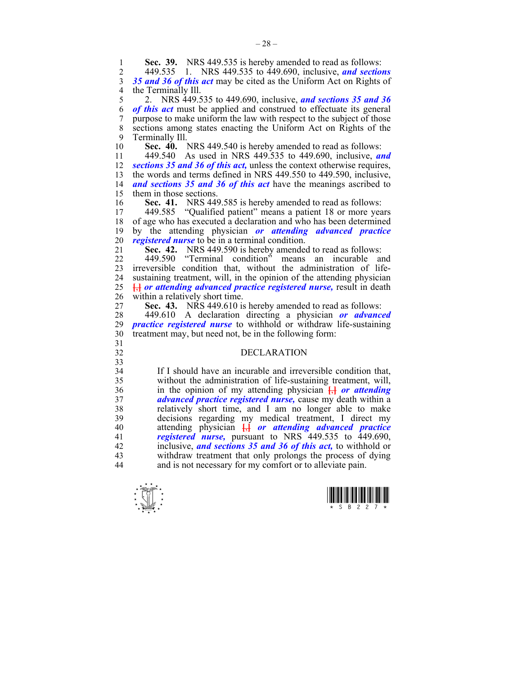$\frac{1}{x}$   $\frac{1}{x}$   $\frac{1}{x}$   $\frac{1}{x}$   $\frac{1}{x}$   $\frac{1}{x}$   $\frac{1}{x}$   $\frac{1}{x}$   $\frac{1}{x}$   $\frac{1}{x}$ 3 *35 and 36 of this act* may be cited as the Uniform Act on Rights of 4 the Terminally III.<br>5 2. NRS 449.5 5 2. NRS 449.535 to 449.690, inclusive, *and sections 35 and 36*  6 *of this act* must be applied and construed to effectuate its general 7 purpose to make uniform the law with respect to the subject of those 8 sections among states enacting the Uniform Act on Rights of the 9 Terminally Ill. 10 **Sec. 40.** NRS 449.540 is hereby amended to read as follows: 11 449.540 As used in NRS 449.535 to 449.690, inclusive, *and*  12 *sections 35 and 36 of this act,* unless the context otherwise requires, 13 the words and terms defined in NRS 449.550 to 449.590, inclusive, 14 *and sections 35 and 36 of this act* have the meanings ascribed to 15 them in those sections.<br>16 Sec. 41. NRS 449 16 **Sec. 41.** NRS 449.585 is hereby amended to read as follows:<br>17 449.585 "Qualified patient" means a patient 18 or more year 17 449.585 "Qualified patient" means a patient 18 or more years 18 of age who has executed a declaration and who has been determined 19 by the attending physician *or attending advanced practice*  20 *registered nurse* to be in a terminal condition. 21 **Sec. 42.** NRS 449.590 is hereby amended to read as follows: 22 449.590 "Terminal condition" means an incurable and 23 irreversible condition that, without the administration of life-24 sustaining treatment, will, in the opinion of the attending physician 25 **[**,**]** *or attending advanced practice registered nurse,* result in death 26 within a relatively short time. 27 **Sec. 43.** NRS 449.610 is hereby amended to read as follows: 28 449.610 A declaration directing a physician *or advanced practice registered nurse* to withhold or withdraw life-sustaining 30 treatment may, but need not, be in the following form: 31 32 DECLARATION 33 34 If I should have an incurable and irreversible condition that, 35 without the administration of life-sustaining treatment, will, 36 in the opinion of my attending physician **[**,**]** *or attending*  37 *advanced practice registered nurse,* cause my death within a 38 relatively short time, and I am no longer able to make 39 decisions regarding my medical treatment, I direct my 40 attending physician **[**,**]** *or attending advanced practice*  41 *registered nurse,* pursuant to NRS 449.535 to 449.690, 42 inclusive, *and sections 35 and 36 of this act,* to withhold or 43 withdraw treatment that only prolongs the process of dying<br>44 and is not necessary for my comfort or to alleviate pain and is not necessary for my comfort or to alleviate pain.

2 449.535 1. NRS 449.535 to 449.690, inclusive, *and sections* 

**1 Sec. 39.** NRS 449.535 is hereby amended to read as follows:<br>2 449.535 1 NRS 449.535 to 449.690 inclusive and section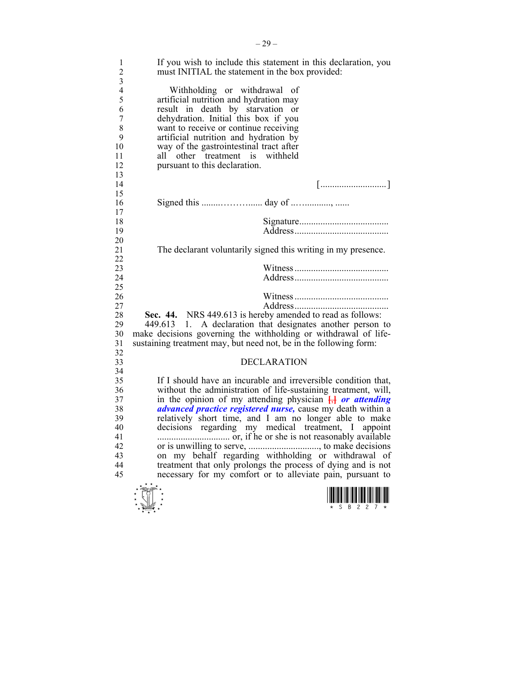| 1<br>$\overline{c}$ | If you wish to include this statement in this declaration, you<br>must INITIAL the statement in the box provided:                |
|---------------------|----------------------------------------------------------------------------------------------------------------------------------|
| 3                   |                                                                                                                                  |
| $\overline{4}$      | Withholding or withdrawal of                                                                                                     |
| 5                   | artificial nutrition and hydration may                                                                                           |
| 6                   | result in death by starvation or                                                                                                 |
| 7                   | dehydration. Initial this box if you                                                                                             |
| 8                   | want to receive or continue receiving                                                                                            |
| 9                   | artificial nutrition and hydration by                                                                                            |
| 10                  | way of the gastrointestinal tract after                                                                                          |
| 11                  | other treatment is withheld<br>all –                                                                                             |
| 12                  | pursuant to this declaration.                                                                                                    |
| 13                  |                                                                                                                                  |
| 14                  |                                                                                                                                  |
| 15                  |                                                                                                                                  |
| 16                  |                                                                                                                                  |
| 17                  |                                                                                                                                  |
| 18                  |                                                                                                                                  |
| 19                  |                                                                                                                                  |
| 20                  |                                                                                                                                  |
| 21                  | The declarant voluntarily signed this writing in my presence.                                                                    |
| 22                  |                                                                                                                                  |
| 23                  |                                                                                                                                  |
| 24                  |                                                                                                                                  |
| 25                  |                                                                                                                                  |
| 26                  |                                                                                                                                  |
| 27                  |                                                                                                                                  |
| 28                  | Sec. 44. NRS 449.613 is hereby amended to read as follows:                                                                       |
| 29                  | 449.613 1. A declaration that designates another person to                                                                       |
| 30                  | make decisions governing the withholding or withdrawal of life-                                                                  |
| 31                  | sustaining treatment may, but need not, be in the following form:                                                                |
| 32                  |                                                                                                                                  |
| 33                  | <b>DECLARATION</b>                                                                                                               |
| 34<br>35            |                                                                                                                                  |
| 36                  | If I should have an incurable and irreversible condition that,<br>without the administration of life-sustaining treatment, will, |
| 37                  | in the opinion of my attending physician $\frac{1}{12}$ or attending                                                             |
| 38                  | <i>advanced practice registered nurse</i> , cause my death within a                                                              |
| 39                  | relatively short time, and I am no longer able to make                                                                           |
| 40                  | decisions regarding my medical treatment, I appoint                                                                              |
| 41                  |                                                                                                                                  |
| 42                  |                                                                                                                                  |
| 43                  |                                                                                                                                  |
| 44                  | treatment that only prolongs the process of dying and is not                                                                     |
| 45                  | necessary for my comfort or to alleviate pain, pursuant to                                                                       |
|                     |                                                                                                                                  |
|                     |                                                                                                                                  |
|                     |                                                                                                                                  |
|                     |                                                                                                                                  |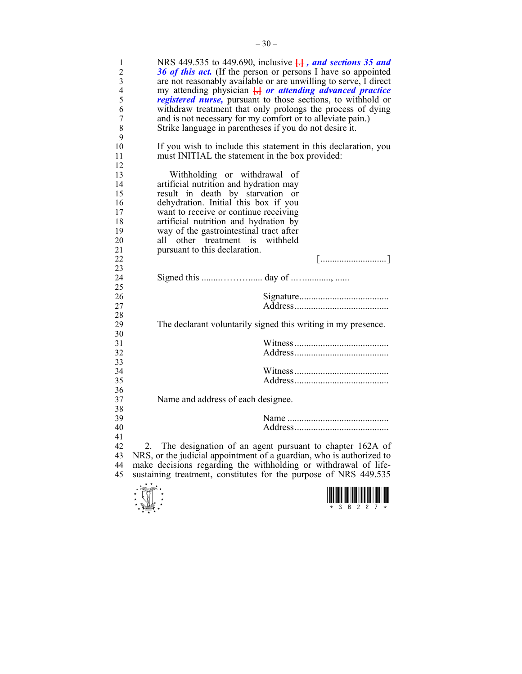| 1<br>$\overline{c}$<br>3<br>$\overline{\mathcal{L}}$<br>5<br>6<br>$\overline{7}$<br>8<br>9 | NRS 449.535 to 449.690, inclusive $\frac{1}{11}$ , and sections 35 and<br>36 of this act. (If the person or persons I have so appointed<br>are not reasonably available or are unwilling to serve, I direct<br>my attending physician $\frac{1}{2}$ or attending advanced practice<br>registered nurse, pursuant to those sections, to withhold or<br>withdraw treatment that only prolongs the process of dying<br>and is not necessary for my comfort or to alleviate pain.)<br>Strike language in parentheses if you do not desire it. |
|--------------------------------------------------------------------------------------------|-------------------------------------------------------------------------------------------------------------------------------------------------------------------------------------------------------------------------------------------------------------------------------------------------------------------------------------------------------------------------------------------------------------------------------------------------------------------------------------------------------------------------------------------|
| 10<br>11<br>12                                                                             | If you wish to include this statement in this declaration, you<br>must INITIAL the statement in the box provided:                                                                                                                                                                                                                                                                                                                                                                                                                         |
| 13<br>14<br>15<br>16<br>17<br>18<br>19<br>20<br>21                                         | Withholding or withdrawal of<br>artificial nutrition and hydration may<br>result in death by starvation<br>$\alpha$<br>dehydration. Initial this box if you<br>want to receive or continue receiving<br>artificial nutrition and hydration by<br>way of the gastrointestinal tract after<br>all<br>other treatment is<br>withheld<br>pursuant to this declaration.                                                                                                                                                                        |
| 22<br>23                                                                                   | $\begin{bmatrix} \dots & \dots & \dots & \dots & \dots \\ \dots & \dots & \dots & \dots & \dots & \dots \end{bmatrix}$                                                                                                                                                                                                                                                                                                                                                                                                                    |
| 24<br>25                                                                                   |                                                                                                                                                                                                                                                                                                                                                                                                                                                                                                                                           |
| 26                                                                                         |                                                                                                                                                                                                                                                                                                                                                                                                                                                                                                                                           |
| 27<br>28                                                                                   |                                                                                                                                                                                                                                                                                                                                                                                                                                                                                                                                           |
| 29                                                                                         | The declarant voluntarily signed this writing in my presence.                                                                                                                                                                                                                                                                                                                                                                                                                                                                             |
| 30<br>31                                                                                   |                                                                                                                                                                                                                                                                                                                                                                                                                                                                                                                                           |
| 32                                                                                         |                                                                                                                                                                                                                                                                                                                                                                                                                                                                                                                                           |
| 33<br>34                                                                                   |                                                                                                                                                                                                                                                                                                                                                                                                                                                                                                                                           |
| 35                                                                                         |                                                                                                                                                                                                                                                                                                                                                                                                                                                                                                                                           |
| 36                                                                                         |                                                                                                                                                                                                                                                                                                                                                                                                                                                                                                                                           |
| 37<br>38                                                                                   | Name and address of each designee.                                                                                                                                                                                                                                                                                                                                                                                                                                                                                                        |
| 39                                                                                         |                                                                                                                                                                                                                                                                                                                                                                                                                                                                                                                                           |
| 40                                                                                         |                                                                                                                                                                                                                                                                                                                                                                                                                                                                                                                                           |
| 41                                                                                         |                                                                                                                                                                                                                                                                                                                                                                                                                                                                                                                                           |
| 42<br>43                                                                                   | The designation of an agent pursuant to chapter 162A of<br>2.<br>NRS, or the judicial appointment of a guardian, who is authorized to                                                                                                                                                                                                                                                                                                                                                                                                     |
| 44                                                                                         | make decisions regarding the withholding or withdrawal of life-                                                                                                                                                                                                                                                                                                                                                                                                                                                                           |
| 45                                                                                         | sustaining treatment, constitutes for the purpose of NRS 449.535                                                                                                                                                                                                                                                                                                                                                                                                                                                                          |



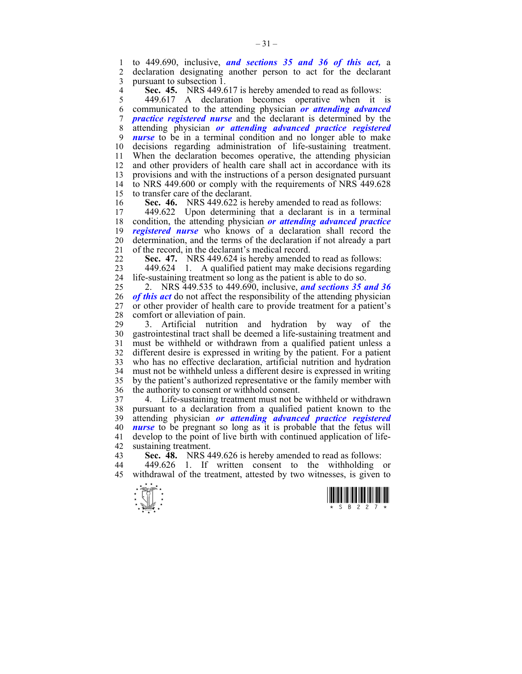1 to 449.690, inclusive, *and sections 35 and 36 of this act,* a 2 declaration designating another person to act for the declarant 3 pursuant to subsection 1.

**Sec. 45.** NRS 449.617 is hereby amended to read as follows:<br>449.617 A declaration becomes operative when it

449.617 A declaration becomes operative when it is 6 communicated to the attending physician *or attending advanced*  7 *practice registered nurse* and the declarant is determined by the 8 attending physician *or attending advanced practice registered*  9 *nurse* to be in a terminal condition and no longer able to make 10 decisions regarding administration of life-sustaining treatment. 11 When the declaration becomes operative, the attending physician 12 and other providers of health care shall act in accordance with its 13 provisions and with the instructions of a person designated pursuant 14 to NRS 449.600 or comply with the requirements of NRS 449.628 15 to transfer care of the declarant.

16 **Sec. 46.** NRS 449.622 is hereby amended to read as follows:<br>17 449.622 Upon determining that a declarant is in a termin

17 449.622 Upon determining that a declarant is in a terminal 18 condition, the attending physician *or attending advanced practice*  19 *registered nurse* who knows of a declaration shall record the 20 determination, and the terms of the declaration if not already a part 21 of the record, in the declarant's medical record.

22 **Sec. 47.** NRS 449.624 is hereby amended to read as follows:

23 449.624 1. A qualified patient may make decisions regarding 24 life-sustaining treatment so long as the patient is able to do so.

25 2. NRS 449.535 to 449.690, inclusive, *and sections 35 and 36*  26 *of this act* do not affect the responsibility of the attending physician 27 or other provider of health care to provide treatment for a patient's 28 comfort or alleviation of pain.

29 3. Artificial nutrition and hydration by way of the 30 gastrointestinal tract shall be deemed a life-sustaining treatment and 31 must be withheld or withdrawn from a qualified patient unless a 32 different desire is expressed in writing by the patient. For a patient 33 who has no effective declaration, artificial nutrition and hydration 34 must not be withheld unless a different desire is expressed in writing 35 by the patient's authorized representative or the family member with 36 the authority to consent or withhold consent.

37 4. Life-sustaining treatment must not be withheld or withdrawn 38 pursuant to a declaration from a qualified patient known to the 39 attending physician *or attending advanced practice registered*  40 *nurse* to be pregnant so long as it is probable that the fetus will 41 develop to the point of live birth with continued application of life-42 sustaining treatment.<br>43 **Sec. 48** NRS 4

**Sec. 48.** NRS 449.626 is hereby amended to read as follows:

44 449.626 1. If written consent to the withholding or 45 withdrawal of the treatment, attested by two witnesses, is given to



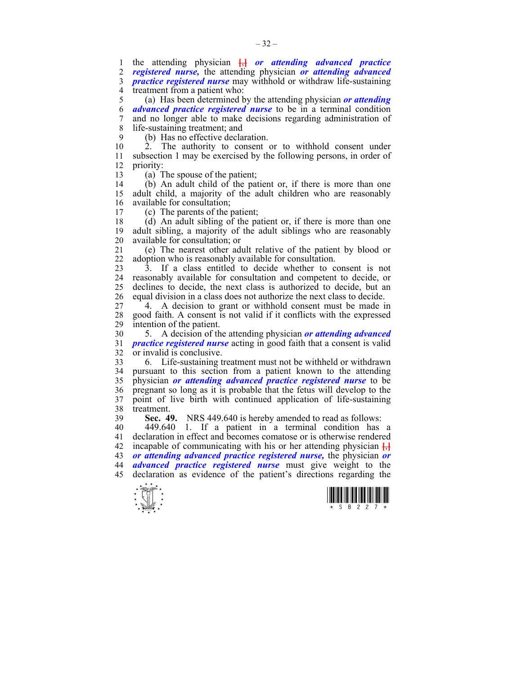1 the attending physician  $\frac{1}{b}$  *or attending advanced practice* 2 *registered nurse*, the attending physician *or attending advanced* 2 *registered nurse,* the attending physician *or attending advanced*  3 *practice registered nurse* may withhold or withdraw life-sustaining 4 treatment from a patient who:

5 (a) Has been determined by the attending physician *or attending*  6 *advanced practice registered nurse* to be in a terminal condition 7 and no longer able to make decisions regarding administration of 8 life-sustaining treatment; and

9 (b) Has no effective declaration.

10 2. The authority to consent or to withhold consent under 11 subsection 1 may be exercised by the following persons, in order of 12 priority:

13 (a) The spouse of the patient;

14 (b) An adult child of the patient or, if there is more than one 15 adult child, a majority of the adult children who are reasonably 16 available for consultation;

17 (c) The parents of the patient;

 $18$  (d) An adult sibling of the patient or, if there is more than one 19 adult sibling, a majority of the adult siblings who are reasonably 20 available for consultation; or

21 (e) The nearest other adult relative of the patient by blood or 22 adoption who is reasonably available for consultation.

23 3. If a class entitled to decide whether to consent is not 24 reasonably available for consultation and competent to decide, or 25 declines to decide, the next class is authorized to decide, but an 26 equal division in a class does not authorize the next class to decide.

27 4. A decision to grant or withhold consent must be made in 28 good faith. A consent is not valid if it conflicts with the expressed intention of the patient intention of the patient.

30 5. A decision of the attending physician *or attending advanced*  31 *practice registered nurse* acting in good faith that a consent is valid 32 or invalid is conclusive.

33 6. Life-sustaining treatment must not be withheld or withdrawn 34 pursuant to this section from a patient known to the attending 35 physician *or attending advanced practice registered nurse* to be 36 pregnant so long as it is probable that the fetus will develop to the 37 point of live birth with continued application of life-sustaining 38 treatment.

39 **Sec. 49.** NRS 449.640 is hereby amended to read as follows:

40 449.640 1. If a patient in a terminal condition has a 41 declaration in effect and becomes comatose or is otherwise rendered 42 incapable of communicating with his or her attending physician **[**,**]** 43 *or attending advanced practice registered nurse,* the physician *or*  44 *advanced practice registered nurse* must give weight to the 45 declaration as evidence of the patient's directions regarding the



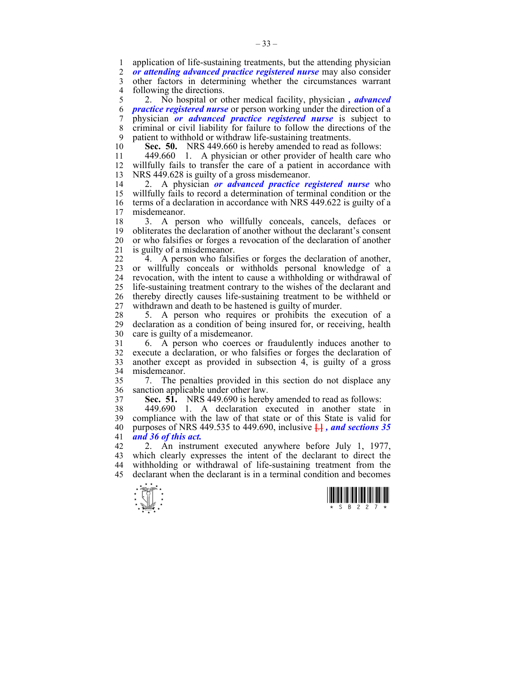1 application of life-sustaining treatments, but the attending physician<br>2 *or attending advanced practice registered nurse* may also consider

2 *or attending advanced practice registered nurse* may also consider

3 other factors in determining whether the circumstances warrant 4 following the directions.<br> $\frac{5}{2}$  No hospital or o

5 2. No hospital or other medical facility, physician *, advanced*  6 *practice registered nurse* or person working under the direction of a 7 physician *or advanced practice registered nurse* is subject to 8 criminal or civil liability for failure to follow the directions of the 9 patient to withhold or withdraw life-sustaining treatments.

10 **Sec. 50.** NRS 449.660 is hereby amended to read as follows:

11 449.660 1. A physician or other provider of health care who 12 willfully fails to transfer the care of a patient in accordance with 13 NRS 449.628 is guilty of a gross misdemeanor.

14 2. A physician *or advanced practice registered nurse* who 15 willfully fails to record a determination of terminal condition or the 16 terms of a declaration in accordance with NRS 449.622 is guilty of a 17 misdemeanor.

18 3. A person who willfully conceals, cancels, defaces or 19 obliterates the declaration of another without the declarant's consent 20 or who falsifies or forges a revocation of the declaration of another 21 is guilty of a misdemeanor.

22 4. A person who falsifies or forges the declaration of another, 23 or willfully conceals or withholds personal knowledge of a 24 revocation, with the intent to cause a withholding or withdrawal of 25 life-sustaining treatment contrary to the wishes of the declarant and 26 thereby directly causes life-sustaining treatment to be withheld or 27 withdrawn and death to be hastened is guilty of murder.

28 5. A person who requires or prohibits the execution of a<br>29 declaration as a condition of being insured for or receiving health declaration as a condition of being insured for, or receiving, health 30 care is guilty of a misdemeanor.

31 6. A person who coerces or fraudulently induces another to 32 execute a declaration, or who falsifies or forges the declaration of 33 another except as provided in subsection 4, is guilty of a gross 34 misdemeanor.

35 7. The penalties provided in this section do not displace any 36 sanction applicable under other law.

37 **Sec. 51.** NRS 449.690 is hereby amended to read as follows:

38 449.690 1. A declaration executed in another state in 39 compliance with the law of that state or of this State is valid for 40 purposes of NRS 449.535 to 449.690, inclusive **[**.**]** *, and sections 35*  41 *and 36 of this act.*

42 2. An instrument executed anywhere before July 1, 1977, 43 which clearly expresses the intent of the declarant to direct the 44 withholding or withdrawal of life-sustaining treatment from the 45 declarant when the declarant is in a terminal condition and becomes



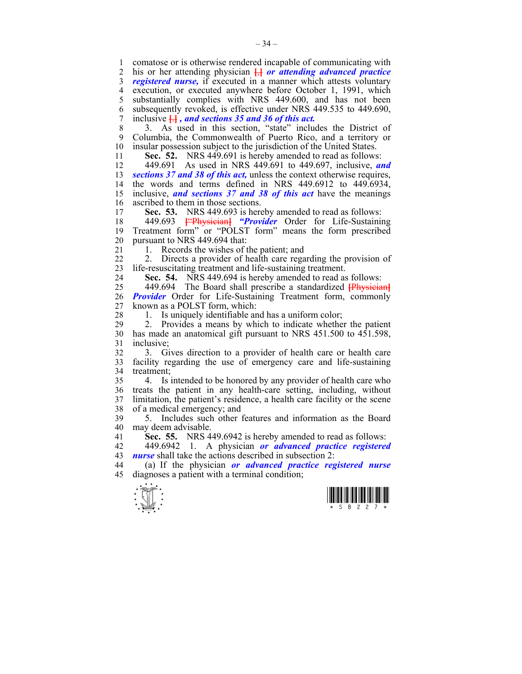1 comatose or is otherwise rendered incapable of communicating with 2 his or her attending physician **[**,**]** *or attending advanced practice*  3 *registered nurse,* if executed in a manner which attests voluntary 4 execution, or executed anywhere before October 1, 1991, which<br>5 substantially complies with NRS 449.600, and has not been substantially complies with NRS 449.600, and has not been 6 subsequently revoked, is effective under NRS 449.535 to 449.690, 7 inclusive **[**.**]** *, and sections 35 and 36 of this act.*

8 3. As used in this section, "state" includes the District of 9 Columbia, the Commonwealth of Puerto Rico, and a territory or 10 insular possession subject to the jurisdiction of the United States.

11 **Sec. 52.** NRS 449.691 is hereby amended to read as follows:

12 449.691 As used in NRS 449.691 to 449.697, inclusive, *and*  13 *sections 37 and 38 of this act,* unless the context otherwise requires, 14 the words and terms defined in NRS 449.6912 to 449.6934, 15 inclusive, *and sections 37 and 38 of this act* have the meanings 16 ascribed to them in those sections.<br>17 **Sec. 53.** NRS 449 693 is here

**Sec. 53.** NRS 449.693 is hereby amended to read as follows:

18 449.693 **[**"Physician**]** *"Provider* Order for Life-Sustaining 19 Treatment form" or "POLST form" means the form prescribed 20 pursuant to NRS 449.694 that:

21 1. Records the wishes of the patient; and

22 2. Directs a provider of health care regarding the provision of 23 life-resuscitating treatment and life-sustaining treatment.

24 **Sec. 54.** NRS 449.694 is hereby amended to read as follows:

25 449.694 The Board shall prescribe a standardized **[**Physician**]** 26 *Provider* Order for Life-Sustaining Treatment form, commonly 27 known as a POLST form, which:

28 1. Is uniquely identifiable and has a uniform color;

29 2. Provides a means by which to indicate whether the patient 30 has made an anatomical gift pursuant to NRS 451.500 to 451.598, 31 inclusive;

32 3. Gives direction to a provider of health care or health care 33 facility regarding the use of emergency care and life-sustaining 34 treatment;

35 4. Is intended to be honored by any provider of health care who 36 treats the patient in any health-care setting, including, without 37 limitation, the patient's residence, a health care facility or the scene 38 of a medical emergency; and

39 5. Includes such other features and information as the Board 40 may deem advisable.

41 **Sec. 55.** NRS 449.6942 is hereby amended to read as follows:

42 449.6942 1. A physician *or advanced practice registered*  43 *nurse* shall take the actions described in subsection 2:

44 (a) If the physician *or advanced practice registered nurse*  45 diagnoses a patient with a terminal condition;



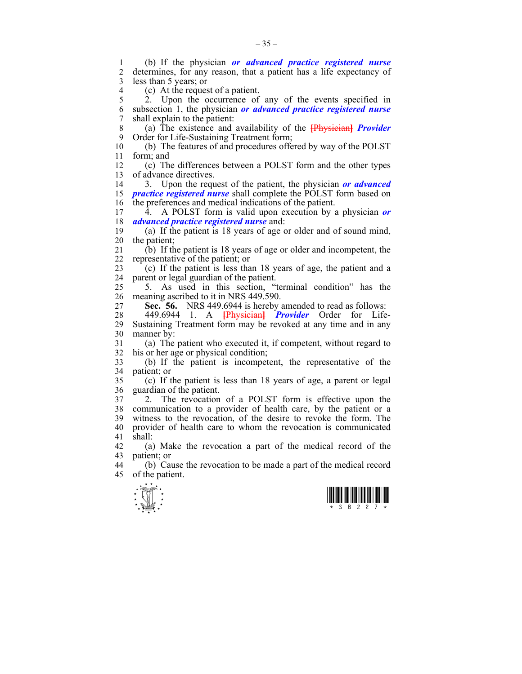$\frac{1}{x}$   $\frac{1}{x}$   $\frac{1}{x}$   $\frac{1}{x}$   $\frac{1}{x}$   $\frac{1}{x}$   $\frac{1}{x}$   $\frac{1}{x}$   $\frac{1}{x}$   $\frac{1}{x}$ 1 (b) If the physician *or advanced practice registered nurse* determines, for any reason, that a patient has a life expectancy of 3 less than 5 years; or 4 (c) At the request of a patient.<br>5 2 Upon the occurrence of  $\lambda$ . Upon the occurrence of any of the events specified in 6 subsection 1, the physician *or advanced practice registered nurse*  7 shall explain to the patient: 8 (a) The existence and availability of the **[**Physician**]** *Provider*  9 Order for Life-Sustaining Treatment form; 10 (b) The features of and procedures offered by way of the POLST 11 form; and 12 (c) The differences between a POLST form and the other types 13 of advance directives. 14 3. Upon the request of the patient, the physician *or advanced*  15 *practice registered nurse* shall complete the POLST form based on 16 the preferences and medical indications of the patient. 17 4. A POLST form is valid upon execution by a physician *or*  18 *advanced practice registered nurse* and: 19 (a) If the patient is 18 years of age or older and of sound mind, 20 the patient; 21 (b) If the patient is 18 years of age or older and incompetent, the 22 representative of the patient; or  $23$  (c) If the patient is less than 18 years of age, the patient and a 24 parent or legal guardian of the patient. 25 5. As used in this section, "terminal condition" has the 26 meaning ascribed to it in NRS 449.590. 27 **Sec. 56.** NRS 449.6944 is hereby amended to read as follows: 28 449.6944 1. A **[**Physician**]** *Provider* Order for Life-29 Sustaining Treatment form may be revoked at any time and in any 30 manner by: 31 (a) The patient who executed it, if competent, without regard to 32 his or her age or physical condition; 33 (b) If the patient is incompetent, the representative of the 34 patient; or 35 (c) If the patient is less than 18 years of age, a parent or legal 36 guardian of the patient. 37 2. The revocation of a POLST form is effective upon the 38 communication to a provider of health care, by the patient or a 39 witness to the revocation, of the desire to revoke the form. The 40 provider of health care to whom the revocation is communicated 41 shall: 42 (a) Make the revocation a part of the medical record of the 43 patient; or 44 (b) Cause the revocation to be made a part of the medical record 45 of the patient.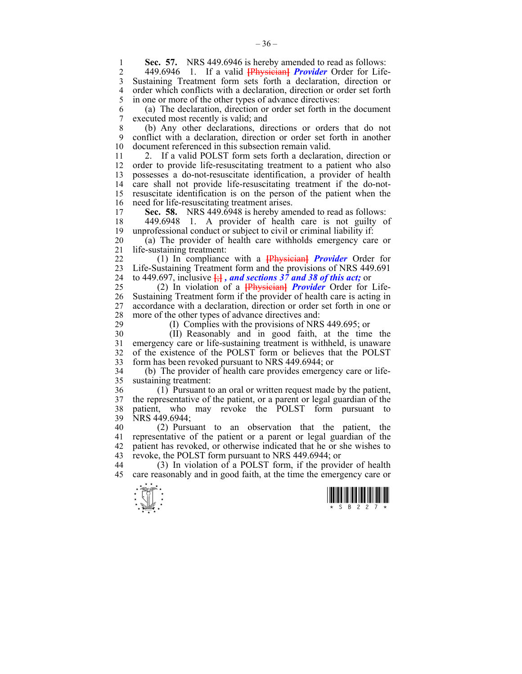**1 Sec. 57.** NRS 449.6946 is hereby amended to read as follows:<br>2 449.6946 1 If a valid **IP hysician Provider** Order for Life

2 449.6946 1. If a valid **[**Physician**]** *Provider* Order for Life-3 Sustaining Treatment form sets forth a declaration, direction or 4 order which conflicts with a declaration, direction or order set forth 5 in one or more of the other types of advance directives: in one or more of the other types of advance directives:

6 (a) The declaration, direction or order set forth in the document 7 executed most recently is valid; and

8 (b) Any other declarations, directions or orders that do not 9 conflict with a declaration, direction or order set forth in another 10 document referenced in this subsection remain valid.

11 2. If a valid POLST form sets forth a declaration, direction or 12 order to provide life-resuscitating treatment to a patient who also 13 possesses a do-not-resuscitate identification, a provider of health 14 care shall not provide life-resuscitating treatment if the do-not-15 resuscitate identification is on the person of the patient when the 16 need for life-resuscitating treatment arises.<br>17 **Sec. 58.** NRS 449 6948 is hereby ame

Sec. 58. NRS 449.6948 is hereby amended to read as follows:

18 449.6948 1. A provider of health care is not guilty of 19 unprofessional conduct or subject to civil or criminal liability if:

20 (a) The provider of health care withholds emergency care or 21 life-sustaining treatment:

22 (1) In compliance with a **[**Physician**]** *Provider* Order for 23 Life-Sustaining Treatment form and the provisions of NRS 449.691 24 to 449.697, inclusive  $\frac{1}{2}$ , and sections 37 and 38 of this act; or

25 (2) In violation of a **[**Physician**]** *Provider* Order for Life-26 Sustaining Treatment form if the provider of health care is acting in 27 accordance with a declaration, direction or order set forth in one or 28 more of the other types of advance directives and:<br>29 (1) Complies with the provisions of NRS

 $(1)$  Complies with the provisions of NRS 449.695; or

30 (II) Reasonably and in good faith, at the time the 31 emergency care or life-sustaining treatment is withheld, is unaware 32 of the existence of the POLST form or believes that the POLST 33 form has been revoked pursuant to NRS 449.6944; or

34 (b) The provider of health care provides emergency care or life-35 sustaining treatment:

36 (1) Pursuant to an oral or written request made by the patient, 37 the representative of the patient, or a parent or legal guardian of the 38 patient, who may revoke the POLST form pursuant to 39 NRS 449.6944;

40 (2) Pursuant to an observation that the patient, the 41 representative of the patient or a parent or legal guardian of the 42 patient has revoked, or otherwise indicated that he or she wishes to 43 revoke, the POLST form pursuant to NRS 449.6944; or

44 (3) In violation of a POLST form, if the provider of health 45 care reasonably and in good faith, at the time the emergency care or



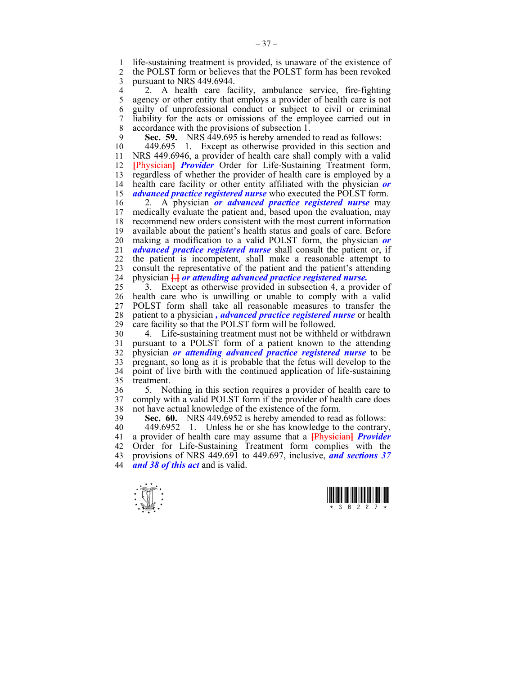1 life-sustaining treatment is provided, is unaware of the existence of 2 the POLST form or believes that the POLST form has been revoked 2 the POLST form or believes that the POLST form has been revoked 3 pursuant to NRS 449.6944.

4 2. A health care facility, ambulance service, fire-fighting<br>5 agency or other entity that employs a provider of health care is not agency or other entity that employs a provider of health care is not 6 guilty of unprofessional conduct or subject to civil or criminal 7 liability for the acts or omissions of the employee carried out in 8 accordance with the provisions of subsection 1.

**Sec. 59.** NRS 449.695 is hereby amended to read as follows:<br>10 449.695 1. Except as otherwise provided in this section as

449.695 1. Except as otherwise provided in this section and 11 NRS 449.6946, a provider of health care shall comply with a valid 12 **[**Physician**]** *Provider* Order for Life-Sustaining Treatment form, 13 regardless of whether the provider of health care is employed by a 14 health care facility or other entity affiliated with the physician  $\boldsymbol{or}$ health care facility or other entity affiliated with the physician or 15 *advanced practice registered nurse* who executed the POLST form.

16 2. A physician *or advanced practice registered nurse* may medically evaluate the patient and, based upon the evaluation, may 18 recommend new orders consistent with the most current information 19 available about the patient's health status and goals of care. Before 20 making a modification to a valid POLST form, the physician *or*  21 *advanced practice registered nurse* shall consult the patient or, if 22 the patient is incompetent, shall make a reasonable attempt to 23 consult the representative of the patient and the patient's attending 24 physician **[**.**]** *or attending advanced practice registered nurse.*

25 3. Except as otherwise provided in subsection 4, a provider of 26 health care who is unwilling or unable to comply with a valid 27 POLST form shall take all reasonable measures to transfer the 28 patient to a physician, *advanced practice registered nurse* or health care facility so that the POLST form will be followed. care facility so that the POLST form will be followed.

30 4. Life-sustaining treatment must not be withheld or withdrawn 31 pursuant to a POLST form of a patient known to the attending 32 physician *or attending advanced practice registered nurse* to be 33 pregnant, so long as it is probable that the fetus will develop to the 34 point of live birth with the continued application of life-sustaining 35 treatment.

36 5. Nothing in this section requires a provider of health care to 37 comply with a valid POLST form if the provider of health care does 38 not have actual knowledge of the existence of the form.

39 **Sec. 60.** NRS 449.6952 is hereby amended to read as follows:

40 449.6952 1. Unless he or she has knowledge to the contrary, 41 a provider of health care may assume that a **[**Physician**]** *Provider*  42 Order for Life-Sustaining Treatment form complies with the 43 provisions of NRS 449.691 to 449.697, inclusive, *and sections 37*  44 *and 38 of this act* and is valid.



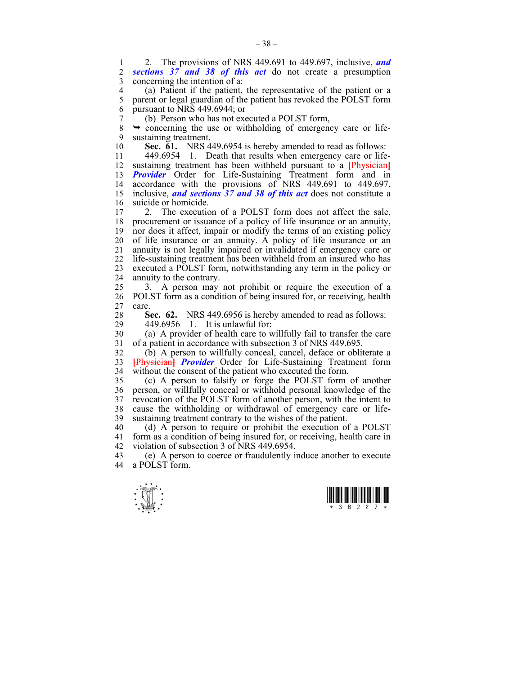1 2. The provisions of NRS 449.691 to 449.697, inclusive, *and*  sections 37 and 38 of this act do not create a presumption 3 concerning the intention of a:

4 (a) Patient if the patient, the representative of the patient or a<br>5 parent or legal guardian of the patient has revoked the POLST form parent or legal guardian of the patient has revoked the POLST form 6 pursuant to NRS 449.6944; or

7 (b) Person who has not executed a POLST form,<br>8  $\rightarrow$  concerning the use or withholding of emergency

 $\rightarrow$  concerning the use or withholding of emergency care or life-9 sustaining treatment.

10 **Sec. 61.** NRS 449.6954 is hereby amended to read as follows:

11 449.6954 1. Death that results when emergency care or life-12 sustaining treatment has been withheld pursuant to a **[**Physician**]** 13 **Provider** Order for Life-Sustaining Treatment form and in 14 accordance with the provisions of NRS 449.691 to 449.697, 15 inclusive, *and sections 37 and 38 of this act* does not constitute a 16 suicide or homicide.<br>17 2 The execution

2. The execution of a POLST form does not affect the sale, 18 procurement or issuance of a policy of life insurance or an annuity, 19 nor does it affect, impair or modify the terms of an existing policy 20 of life insurance or an annuity. A policy of life insurance or an 21 annuity is not legally impaired or invalidated if emergency care or 22 life-sustaining treatment has been withheld from an insured who has 23 executed a POLST form, notwithstanding any term in the policy or 24 annuity to the contrary.

25 3. A person may not prohibit or require the execution of a 26 POLST form as a condition of being insured for, or receiving, health 27 care.

28 **Sec. 62.** NRS 449.6956 is hereby amended to read as follows:<br>29 449.6956 1 It is unlawful for:

29 449.6956 1. It is unlawful for:

30 (a) A provider of health care to willfully fail to transfer the care 31 of a patient in accordance with subsection 3 of NRS 449.695.

32 (b) A person to willfully conceal, cancel, deface or obliterate a 33 **[**Physician**]** *Provider* Order for Life-Sustaining Treatment form 34 without the consent of the patient who executed the form.

35 (c) A person to falsify or forge the POLST form of another 36 person, or willfully conceal or withhold personal knowledge of the 37 revocation of the POLST form of another person, with the intent to 38 cause the withholding or withdrawal of emergency care or life-39 sustaining treatment contrary to the wishes of the patient.

40 (d) A person to require or prohibit the execution of a POLST 41 form as a condition of being insured for, or receiving, health care in 42 violation of subsection 3 of NRS 449.6954.

43 (e) A person to coerce or fraudulently induce another to execute a POLST form.



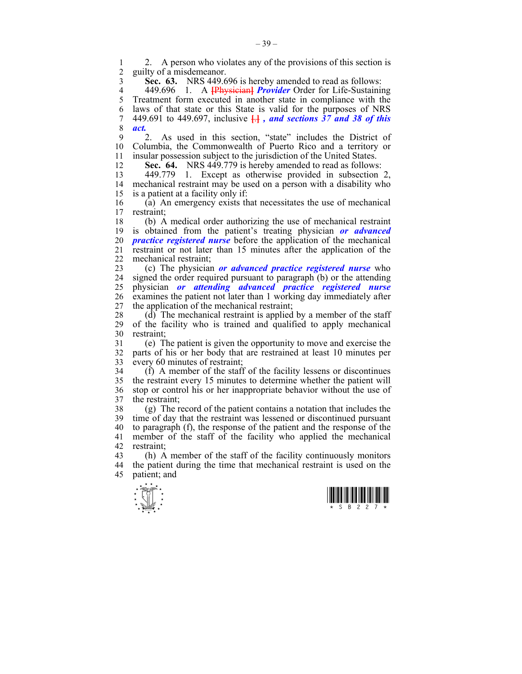2. A person who violates any of the provisions of this section is<br>2. guilty of a misdemeanor 2 guilty of a misdemeanor.

3 **Sec. 63.** NRS 449.696 is hereby amended to read as follows:

4 449.696 1. A **[**Physician**]** *Provider* Order for Life-Sustaining 5 Treatment form executed in another state in compliance with the 6 laws of that state or this State is valid for the purposes of NRS 7 449.691 to 449.697, inclusive **[**.**]** *, and sections 37 and 38 of this*  8 *act.*

9 2. As used in this section, "state" includes the District of 10 Columbia, the Commonwealth of Puerto Rico and a territory or 11 insular possession subject to the jurisdiction of the United States.

12 **Sec. 64.** NRS 449.779 is hereby amended to read as follows:

13 449.779 1. Except as otherwise provided in subsection 2, mechanical restraint may be used on a person with a disability who 15 is a patient at a facility only if:

16 (a) An emergency exists that necessitates the use of mechanical restraint:

18 (b) A medical order authorizing the use of mechanical restraint 19 is obtained from the patient's treating physician *or advanced*  20 *practice registered nurse* before the application of the mechanical 21 restraint or not later than 15 minutes after the application of the 22 mechanical restraint;

23 (c) The physician *or advanced practice registered nurse* who 24 signed the order required pursuant to paragraph (b) or the attending 25 physician *or attending advanced practice registered nurse* 26 examines the patient not later than 1 working day immediately after 27 the application of the mechanical restraint;

28  $(d)$  The mechanical restraint is applied by a member of the staff 29 of the facility who is trained and qualified to apply mechanical 30 restraint;

31 (e) The patient is given the opportunity to move and exercise the 32 parts of his or her body that are restrained at least 10 minutes per 33 every 60 minutes of restraint;

34 (f) A member of the staff of the facility lessens or discontinues 35 the restraint every 15 minutes to determine whether the patient will 36 stop or control his or her inappropriate behavior without the use of 37 the restraint;

38 (g) The record of the patient contains a notation that includes the 39 time of day that the restraint was lessened or discontinued pursuant 40 to paragraph (f), the response of the patient and the response of the 41 member of the staff of the facility who applied the mechanical 42 restraint;

43 (h) A member of the staff of the facility continuously monitors 44 the patient during the time that mechanical restraint is used on the 45 patient; and



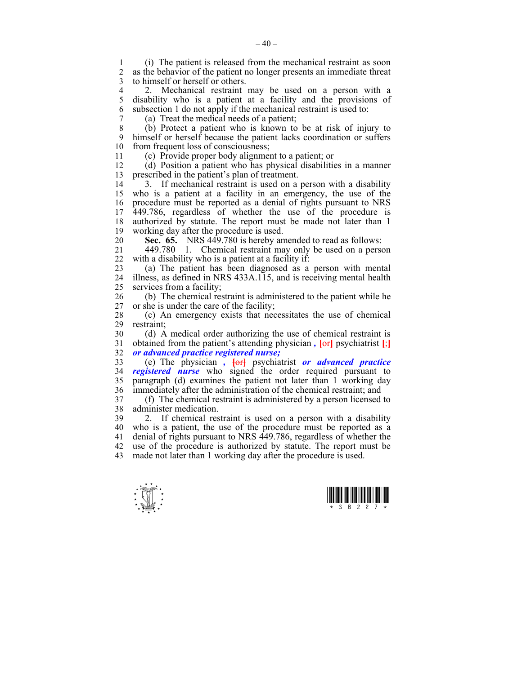1 (i) The patient is released from the mechanical restraint as soon 2 as the behavior of the patient no longer presents an immediate threat 3 to himself or herself or others.

4 2. Mechanical restraint may be used on a person with a<br>5 disability who is a patient at a facility and the provisions of 5 disability who is a patient at a facility and the provisions of 6 subsection 1 do not apply if the mechanical restraint is used to:

7 (a) Treat the medical needs of a patient;

8 (b) Protect a patient who is known to be at risk of injury to 9 himself or herself because the patient lacks coordination or suffers 10 from frequent loss of consciousness: from frequent loss of consciousness;

11 (c) Provide proper body alignment to a patient; or

12 (d) Position a patient who has physical disabilities in a manner 13 prescribed in the patient's plan of treatment.

14 3. If mechanical restraint is used on a person with a disability 15 who is a patient at a facility in an emergency, the use of the 16 procedure must be reported as a denial of rights pursuant to NRS 17 449.786, regardless of whether the use of the procedure is 18 authorized by statute. The report must be made not later than 1 19 working day after the procedure is used.

20 **Sec. 65.** NRS 449.780 is hereby amended to read as follows:

21 449.780 1. Chemical restraint may only be used on a person 22 with a disability who is a patient at a facility if:

23 (a) The patient has been diagnosed as a person with mental 24 illness, as defined in NRS 433A.115, and is receiving mental health 25 services from a facility;

26 (b) The chemical restraint is administered to the patient while he 27 or she is under the care of the facility;

28 (c) An emergency exists that necessitates the use of chemical restraint:

30 (d) A medical order authorizing the use of chemical restraint is 31 obtained from the patient's attending physician,  $\frac{1}{2}$  psychiatrist  $\frac{1}{2}$ 32 *or advanced practice registered nurse;*

33 (e) The physician *,* **[**or**]** psychiatrist *or advanced practice*  34 *registered nurse* who signed the order required pursuant to 35 paragraph (d) examines the patient not later than 1 working day 36 immediately after the administration of the chemical restraint; and

37 (f) The chemical restraint is administered by a person licensed to 38 administer medication.

39 2. If chemical restraint is used on a person with a disability 40 who is a patient, the use of the procedure must be reported as a 41 denial of rights pursuant to NRS 449.786, regardless of whether the 42 use of the procedure is authorized by statute. The report must be 43 made not later than 1 working day after the procedure is used.

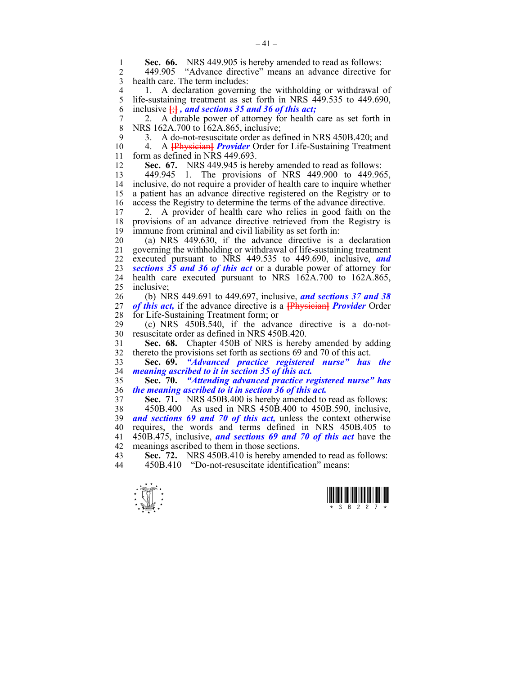**Sec. 66.** NRS 449.905 is hereby amended to read as follows:<br>2 449.905 "Advance directive" means an advance directive f

2 449.905 "Advance directive" means an advance directive for 3 health care. The term includes:

4 1. A declaration governing the withholding or withdrawal of<br>5 life-sustaining treatment as set forth in NRS 449.535 to 449.690. life-sustaining treatment as set forth in NRS 449.535 to 449.690, 6 inclusive **[**;**]** *, and sections 35 and 36 of this act;*

7 2. A durable power of attorney for health care as set forth in 8 NRS 162A.700 to 162A.865, inclusive;

9 3. A do-not-resuscitate order as defined in NRS 450B.420; and 10 4. A **IPhysicianl** *Provider* Order for Life-Sustaining Treatment

10 4. A **[**Physician**]** *Provider* Order for Life-Sustaining Treatment 11 form as defined in NRS 449.693.

12 **Sec. 67.** NRS 449.945 is hereby amended to read as follows:

13 449.945 1. The provisions of NRS 449.900 to 449.965, 14 inclusive, do not require a provider of health care to inquire whether 15 a patient has an advance directive registered on the Registry or to 16 access the Registry to determine the terms of the advance directive.<br>17 2 A provider of health care who relies in good faith on the

2. A provider of health care who relies in good faith on the 18 provisions of an advance directive retrieved from the Registry is 19 immune from criminal and civil liability as set forth in:

20 (a) NRS 449.630, if the advance directive is a declaration 21 governing the withholding or withdrawal of life-sustaining treatment 22 executed pursuant to NRS 449.535 to 449.690, inclusive, *and*  23 *sections 35 and 36 of this act* or a durable power of attorney for 24 health care executed pursuant to NRS 162A.700 to 162A.865, 25 inclusive;

26 (b) NRS 449.691 to 449.697, inclusive, *and sections 37 and 38*  27 *of this act,* if the advance directive is a **[**Physician**]** *Provider* Order 28 for Life-Sustaining Treatment form; or<br>29 (c) NRS 450B.540, if the adva

 $(c)$  NRS 450B.540, if the advance directive is a do-not-30 resuscitate order as defined in NRS 450B.420.

31 **Sec. 68.** Chapter 450B of NRS is hereby amended by adding 32 thereto the provisions set forth as sections 69 and 70 of this act.

33 **Sec. 69.** *"Advanced practice registered nurse" has the*  34 *meaning ascribed to it in section 35 of this act.* 

35 **Sec. 70.** *"Attending advanced practice registered nurse" has*  36 *the meaning ascribed to it in section 36 of this act.* 

37 **Sec. 71.** NRS 450B.400 is hereby amended to read as follows:

38 450B.400 As used in NRS 450B.400 to 450B.590, inclusive, 39 *and sections 69 and 70 of this act,* unless the context otherwise 40 requires, the words and terms defined in NRS 450B.405 to 41 450B.475, inclusive, *and sections 69 and 70 of this act* have the 42 meanings ascribed to them in those sections.

43 **Sec. 72.** NRS 450B.410 is hereby amended to read as follows:<br>44 450B 410 **CO**-not-resuscitate identification" means:

44 450B.410 "Do-not-resuscitate identification" means:



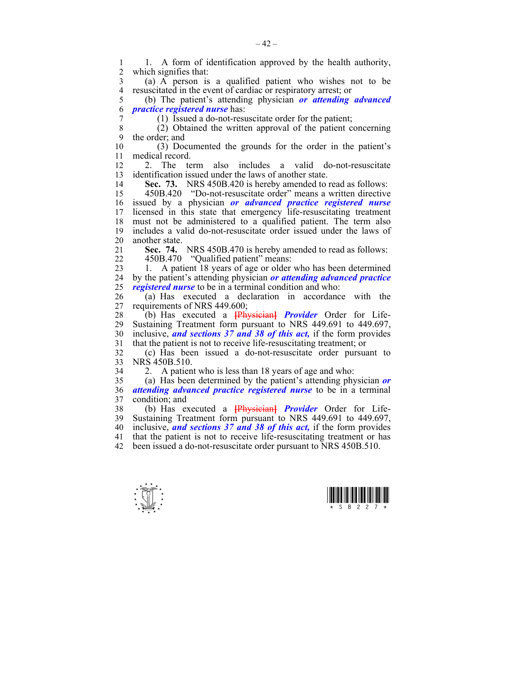1 1. A form of identification approved by the health authority,<br>2 which signifies that: which signifies that: 3 (a) A person is a qualified patient who wishes not to be 4 resuscitated in the event of cardiac or respiratory arrest; or  $(6)$  The patient's attending physician *or attending* 5 (b) The patient's attending physician *or attending advanced*  6 *practice registered nurse* has: 7 (1) Issued a do-not-resuscitate order for the patient; 8 (2) Obtained the written approval of the patient concerning 9 the order; and 10 (3) Documented the grounds for the order in the patient's 11 medical record. 12 2. The term also includes a valid do-not-resuscitate 13 identification issued under the laws of another state. 14 **Sec. 73.** NRS 450B.420 is hereby amended to read as follows: 15 450B.420 "Do-not-resuscitate order" means a written directive 16 issued by a physician *or advanced practice registered nurse*  17 licensed in this state that emergency life-resuscitating treatment 18 must not be administered to a qualified patient. The term also 19 includes a valid do-not-resuscitate order issued under the laws of 20 another state. 21 **Sec. 74.** NRS 450B.470 is hereby amended to read as follows: 22 450B.470 "Qualified patient" means: 23 1. A patient 18 years of age or older who has been determined 24 by the patient's attending physician *or attending advanced practice*  25 *registered nurse* to be in a terminal condition and who: 26 (a) Has executed a declaration in accordance with the 27 requirements of NRS 449.600; 28 (b) Has executed a **[**Physician**]** *Provider* Order for Life-29 Sustaining Treatment form pursuant to NRS 449.691 to 449.697, 30 inclusive, *and sections 37 and 38 of this act,* if the form provides 31 that the patient is not to receive life-resuscitating treatment; or 32 (c) Has been issued a do-not-resuscitate order pursuant to 33 NRS 450B.510. 34 2. A patient who is less than 18 years of age and who: 35 (a) Has been determined by the patient's attending physician *or*  36 *attending advanced practice registered nurse* to be in a terminal 37 condition; and 38 (b) Has executed a **[**Physician**]** *Provider* Order for Life-39 Sustaining Treatment form pursuant to NRS 449.691 to 449.697, 40 inclusive, *and sections 37 and 38 of this act,* if the form provides 41 that the patient is not to receive life-resuscitating treatment or has 42 been issued a do-not-resuscitate order pursuant to NRS 450B.510.



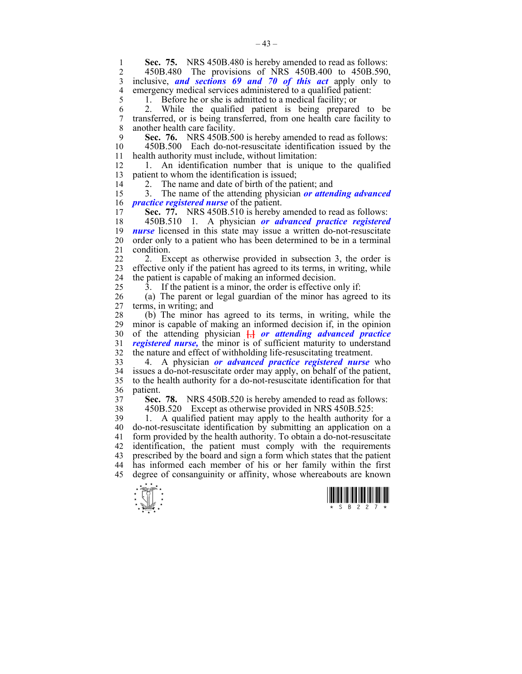$\frac{1}{x}$   $\frac{1}{x}$   $\frac{1}{x}$   $\frac{1}{x}$   $\frac{1}{x}$   $\frac{1}{x}$   $\frac{1}{x}$   $\frac{1}{x}$   $\frac{1}{x}$   $\frac{1}{x}$ **1 Sec. 75.** NRS 450B.480 is hereby amended to read as follows:<br>2 450B 480 The provisions of NRS 450B 400 to 450B 590 2 450B.480 The provisions of NRS 450B.400 to 450B.590, 3 inclusive, *and sections 69 and 70 of this act* apply only to 4 emergency medical services administered to a qualified patient:<br>5 1. Before he or she is admitted to a medical facility: or 1. Before he or she is admitted to a medical facility; or 6 2. While the qualified patient is being prepared to be 7 transferred, or is being transferred, from one health care facility to 8 another health care facility. 9 **Sec. 76.** NRS 450B.500 is hereby amended to read as follows:<br>10 450B.500 Each do-not-resuscitate identification issued by the 10 450B.500 Each do-not-resuscitate identification issued by the 11 health authority must include, without limitation: 12 1. An identification number that is unique to the qualified 13 patient to whom the identification is issued; 14 2. The name and date of birth of the patient; and 15 3. The name of the attending physician *or attending advanced*  16 *practice registered nurse* of the patient. 17 **Sec. 77.** NRS 450B.510 is hereby amended to read as follows: 18 450B.510 1. A physician *or advanced practice registered*  19 *nurse* licensed in this state may issue a written do-not-resuscitate 20 order only to a patient who has been determined to be in a terminal 21 condition. 22 2. Except as otherwise provided in subsection 3, the order is 23 effective only if the patient has agreed to its terms, in writing, while 24 the patient is capable of making an informed decision. 25 3. If the patient is a minor, the order is effective only if: 26 (a) The parent or legal guardian of the minor has agreed to its 27 terms, in writing; and 28 (b) The minor has agreed to its terms, in writing, while the minor is capable of making an informed decision if, in the opinion 30 of the attending physician **[**,**]** *or attending advanced practice*  31 *registered nurse,* the minor is of sufficient maturity to understand 32 the nature and effect of withholding life-resuscitating treatment. 33 4. A physician *or advanced practice registered nurse* who  $34$  issues a do-not-resuscitate order may apply, on behalf of the patient, 35 to the health authority for a do-not-resuscitate identification for that 36 patient. 37 **Sec. 78.** NRS 450B.520 is hereby amended to read as follows: 38 450B.520 Except as otherwise provided in NRS 450B.525: 39 1. A qualified patient may apply to the health authority for a 40 do-not-resuscitate identification by submitting an application on a 41 form provided by the health authority. To obtain a do-not-resuscitate 42 identification, the patient must comply with the requirements 43 prescribed by the board and sign a form which states that the patient 44 has informed each member of his or her family within the first 45 degree of consanguinity or affinity, whose whereabouts are known

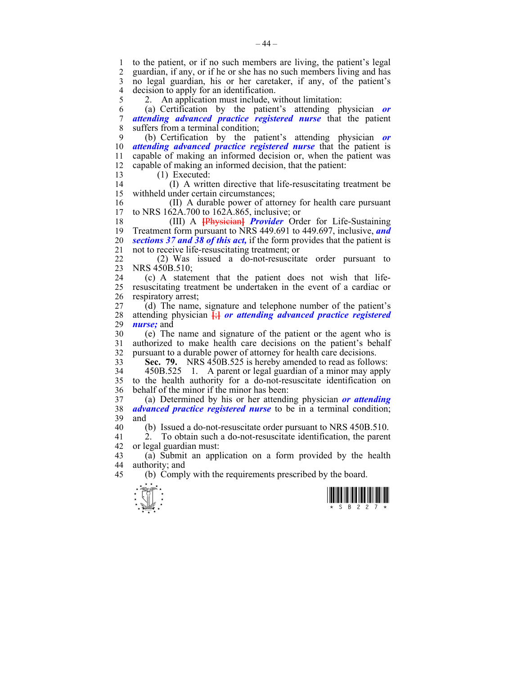1 to the patient, or if no such members are living, the patient's legal 2 guardian, if any, or if he or she has no such members living and has 3 no legal guardian, his or her caretaker, if any, of the patient's 4 decision to apply for an identification.

5 2. An application must include, without limitation:

6 (a) Certification by the patient's attending physician *or*  7 *attending advanced practice registered nurse* that the patient 8 suffers from a terminal condition;

9 (b) Certification by the patient's attending physician *or*  10 *attending advanced practice registered nurse* that the patient is 11 capable of making an informed decision or, when the patient was 12 capable of making an informed decision, that the patient:

13 (1) Executed:

14 (I) A written directive that life-resuscitating treatment be 15 withheld under certain circumstances;

16 (II) A durable power of attorney for health care pursuant 17 to NRS 162A.700 to 162A.865, inclusive; or

18 (III) A **[**Physician**]** *Provider* Order for Life-Sustaining 19 Treatment form pursuant to NRS 449.691 to 449.697, inclusive, *and*  20 *sections 37 and 38 of this act,* if the form provides that the patient is 21 not to receive life-resuscitating treatment; or

22 (2) Was issued a do-not-resuscitate order pursuant to 23 NRS 450B.510;

24 (c) A statement that the patient does not wish that life-25 resuscitating treatment be undertaken in the event of a cardiac or 26 respiratory arrest;

27 (d) The name, signature and telephone number of the patient's 28 attending physician **[**;**]** *or attending advanced practice registered*  29 *nurse;* and

30 (e) The name and signature of the patient or the agent who is 31 authorized to make health care decisions on the patient's behalf 32 pursuant to a durable power of attorney for health care decisions.

33 **Sec. 79.** NRS 450B.525 is hereby amended to read as follows:

34 450B.525 1. A parent or legal guardian of a minor may apply 35 to the health authority for a do-not-resuscitate identification on 36 behalf of the minor if the minor has been:

37 (a) Determined by his or her attending physician *or attending*  38 *advanced practice registered nurse* to be in a terminal condition; 39 and

40 (b) Issued a do-not-resuscitate order pursuant to NRS 450B.510.

41 2. To obtain such a do-not-resuscitate identification, the parent 42 or legal guardian must:

43 (a) Submit an application on a form provided by the health 44 authority; and

45 (b) Comply with the requirements prescribed by the board.



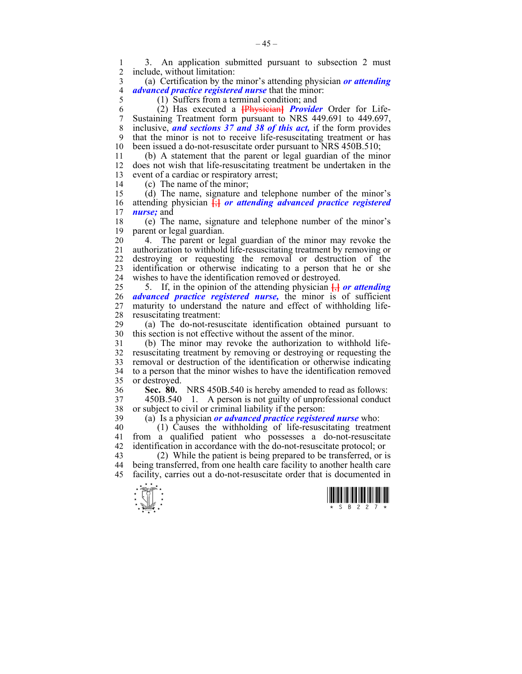1 3. An application submitted pursuant to subsection 2 must include, without limitation:

3 (a) Certification by the minor's attending physician *or attending*  4 *advanced practice registered nurse* that the minor:

5 (1) Suffers from a terminal condition; and

6 (2) Has executed a **[**Physician**]** *Provider* Order for Life-7 Sustaining Treatment form pursuant to NRS 449.691 to 449.697, 8 inclusive, *and sections 37 and 38 of this act,* if the form provides 9 that the minor is not to receive life-resuscitating treatment or has 10 been issued a do-not-resuscitate order pursuant to NRS 450B.510;

11 (b) A statement that the parent or legal guardian of the minor 12 does not wish that life-resuscitating treatment be undertaken in the 13 event of a cardiac or respiratory arrest;

14 (c) The name of the minor;

15 (d) The name, signature and telephone number of the minor's 16 attending physician **[**;**]** *or attending advanced practice registered*  17 *nurse;* and

18 (e) The name, signature and telephone number of the minor's 19 parent or legal guardian.

20 4. The parent or legal guardian of the minor may revoke the 21 authorization to withhold life-resuscitating treatment by removing or 22 destroying or requesting the removal or destruction of the 23 identification or otherwise indicating to a person that he or she 24 wishes to have the identification removed or destroyed.

25 5. If, in the opinion of the attending physician  $\frac{1}{2}$  *or attending* 26 *advanced practice registered nurse,* the minor is of sufficient 27 maturity to understand the nature and effect of withholding life-28 resuscitating treatment:

29 (a) The do-not-resuscitate identification obtained pursuant to 30 this section is not effective without the assent of the minor.

31 (b) The minor may revoke the authorization to withhold life-32 resuscitating treatment by removing or destroying or requesting the 33 removal or destruction of the identification or otherwise indicating 34 to a person that the minor wishes to have the identification removed 35 or destroyed.

36 **Sec. 80.** NRS 450B.540 is hereby amended to read as follows:

37 450B.540 1. A person is not guilty of unprofessional conduct 38 or subject to civil or criminal liability if the person:

39 (a) Is a physician *or advanced practice registered nurse* who:

 $40$  (1) Causes the withholding of life-resuscitating treatment 41 from a qualified patient who possesses a do-not-resuscitate 42 identification in accordance with the do-not-resuscitate protocol; or

43 (2) While the patient is being prepared to be transferred, or is 44 being transferred, from one health care facility to another health care 45 facility, carries out a do-not-resuscitate order that is documented in



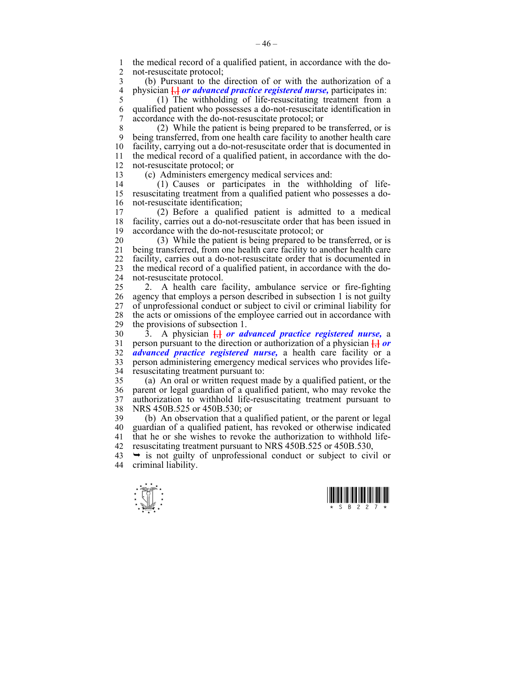1 the medical record of a qualified patient, in accordance with the do-<br>2 not-resuscitate protocol: not-resuscitate protocol;

3 (b) Pursuant to the direction of or with the authorization of a 4 physician  $\frac{1}{b}$  *or advanced practice registered nurse*, participates in:<br>5 (1) The withholding of life-resuscitating treatment from a

5 (1) The withholding of life-resuscitating treatment from a 6 qualified patient who possesses a do-not-resuscitate identification in 7 accordance with the do-not-resuscitate protocol; or

8 (2) While the patient is being prepared to be transferred, or is 9 being transferred, from one health care facility to another health care 10 facility, carrying out a do-not-resuscitate order that is documented in 11 the medical record of a qualified patient, in accordance with the do-12 not-resuscitate protocol; or

13 (c) Administers emergency medical services and:

14 (1) Causes or participates in the withholding of life-15 resuscitating treatment from a qualified patient who possesses a do-16 not-resuscitate identification;<br>17 (2) Before a qualifie

17 (2) Before a qualified patient is admitted to a medical 18 facility, carries out a do-not-resuscitate order that has been issued in 19 accordance with the do-not-resuscitate protocol; or

20 (3) While the patient is being prepared to be transferred, or is 21 being transferred, from one health care facility to another health care 22 facility, carries out a do-not-resuscitate order that is documented in 23 the medical record of a qualified patient, in accordance with the do-24 not-resuscitate protocol.

25 2. A health care facility, ambulance service or fire-fighting 26 agency that employs a person described in subsection 1 is not guilty 27 of unprofessional conduct or subject to civil or criminal liability for 28 the acts or omissions of the employee carried out in accordance with<br>29 the provisions of subsection 1 the provisions of subsection 1.

30 3. A physician **[**,**]** *or advanced practice registered nurse,* a 31 person pursuant to the direction or authorization of a physician **[**,**]** *or*  32 *advanced practice registered nurse,* a health care facility or a 33 person administering emergency medical services who provides life-34 resuscitating treatment pursuant to:

35 (a) An oral or written request made by a qualified patient, or the 36 parent or legal guardian of a qualified patient, who may revoke the 37 authorization to withhold life-resuscitating treatment pursuant to 38 NRS 450B.525 or 450B.530; or

39 (b) An observation that a qualified patient, or the parent or legal 40 guardian of a qualified patient, has revoked or otherwise indicated 41 that he or she wishes to revoke the authorization to withhold life-42 resuscitating treatment pursuant to NRS 450B.525 or 450B.530,

 $43 \rightarrow$  is not guilty of unprofessional conduct or subject to civil or 44 criminal liability.



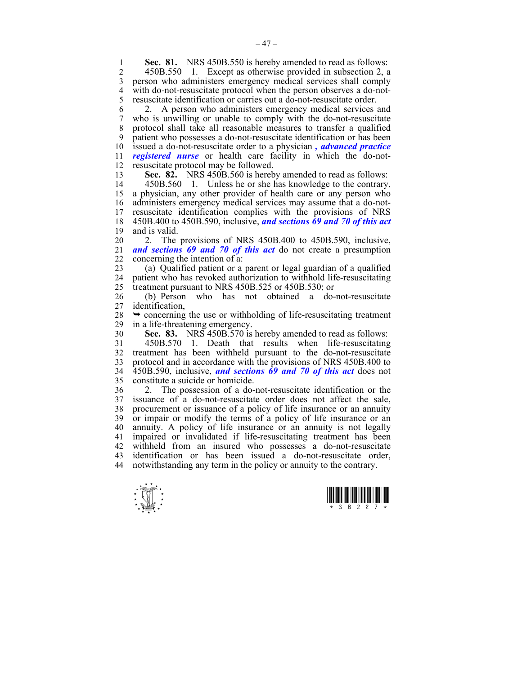**1 Sec. 81.** NRS 450B.550 is hereby amended to read as follows:<br>2 450B 550 1 Except as otherwise provided in subsection 2 a

2 450B.550 1. Except as otherwise provided in subsection 2, a 3 person who administers emergency medical services shall comply 4 with do-not-resuscitate protocol when the person observes a do-not-<br>5 resuscitate identification or carries out a do-not-resuscitate order. 5 resuscitate identification or carries out a do-not-resuscitate order.

6 2. A person who administers emergency medical services and 7 who is unwilling or unable to comply with the do-not-resuscitate 8 protocol shall take all reasonable measures to transfer a qualified 9 patient who possesses a do-not-resuscitate identification or has been 10 issued a do-not-resuscitate order to a physician *, advanced practice*  11 *registered nurse* or health care facility in which the do-not-12 resuscitate protocol may be followed.

13 **Sec. 82.** NRS 450B.560 is hereby amended to read as follows:

14 450B.560 1. Unless he or she has knowledge to the contrary, 15 a physician, any other provider of health care or any person who 16 administers emergency medical services may assume that a do-not-17 resuscitate identification complies with the provisions of NRS 18 450B.400 to 450B.590, inclusive, *and sections 69 and 70 of this act*  19 and is valid.

20 2. The provisions of NRS 450B.400 to 450B.590, inclusive, 21 *and sections 69 and 70 of this act* do not create a presumption 22 concerning the intention of a:

23 (a) Qualified patient or a parent or legal guardian of a qualified 24 patient who has revoked authorization to withhold life-resuscitating 25 treatment pursuant to NRS 450B.525 or 450B.530; or

26 (b) Person who has not obtained a do-not-resuscitate 27 identification,

28  $\rightarrow$  concerning the use or withholding of life-resuscitating treatment in a life-threatening emergency. in a life-threatening emergency.

30 **Sec. 83.** NRS 450B.570 is hereby amended to read as follows:

31 450B.570 1. Death that results when life-resuscitating 32 treatment has been withheld pursuant to the do-not-resuscitate 33 protocol and in accordance with the provisions of NRS 450B.400 to 34 450B.590, inclusive, *and sections 69 and 70 of this act* does not 35 constitute a suicide or homicide.

36 2. The possession of a do-not-resuscitate identification or the 37 issuance of a do-not-resuscitate order does not affect the sale, 38 procurement or issuance of a policy of life insurance or an annuity 39 or impair or modify the terms of a policy of life insurance or an 40 annuity. A policy of life insurance or an annuity is not legally 41 impaired or invalidated if life-resuscitating treatment has been 42 withheld from an insured who possesses a do-not-resuscitate 43 identification or has been issued a do-not-resuscitate order, 44 notwithstanding any term in the policy or annuity to the contrary.



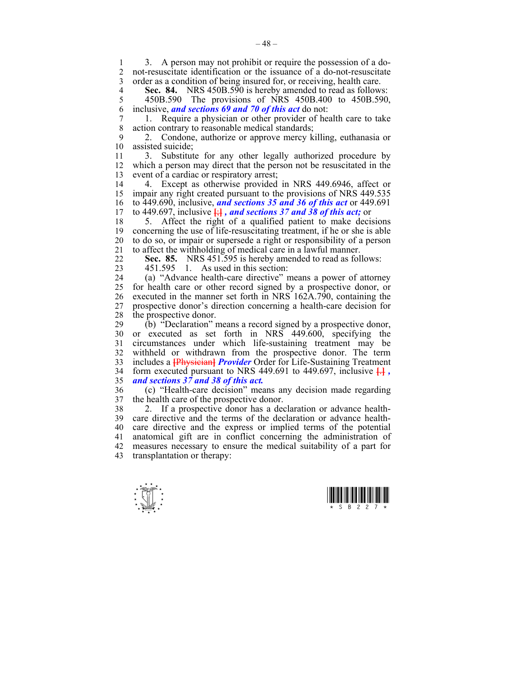1 3. A person may not prohibit or require the possession of a do-<br>2 not-resuscitate identification or the issuance of a do-not-resuscitate not-resuscitate identification or the issuance of a do-not-resuscitate 3 order as a condition of being insured for, or receiving, health care.

**Sec. 84.** NRS 450B.590 is hereby amended to read as follows:<br>5 450B.590 The provisions of NRS 450B.400 to 450B.590. 5 450B.590 The provisions of NRS 450B.400 to 450B.590, 6 inclusive, *and sections 69 and 70 of this act* do not:

7 1. Require a physician or other provider of health care to take action contrary to reasonable medical standards;

9 2. Condone, authorize or approve mercy killing, euthanasia or assisted suicide;

11 3. Substitute for any other legally authorized procedure by 12 which a person may direct that the person not be resuscitated in the 13 event of a cardiac or respiratory arrest;

14 4. Except as otherwise provided in NRS 449.6946, affect or 15 impair any right created pursuant to the provisions of NRS 449.535 16 to 449.690, inclusive, *and sections 35 and 36 of this act* or 449.691 17 to 449.697, inclusive  $\frac{1}{2}$ , and sections 37 and 38 of this act; or

18 5. Affect the right of a qualified patient to make decisions 19 concerning the use of life-resuscitating treatment, if he or she is able 20 to do so, or impair or supersede a right or responsibility of a person 21 to affect the withholding of medical care in a lawful manner.

22 **Sec. 85.** NRS 451.595 is hereby amended to read as follows:

23 451.595 1. As used in this section:

24 (a) "Advance health-care directive" means a power of attorney 25 for health care or other record signed by a prospective donor, or 26 executed in the manner set forth in NRS 162A.790, containing the 27 prospective donor's direction concerning a health-care decision for 28 the prospective donor.

29 (b) "Declaration" means a record signed by a prospective donor, 30 or executed as set forth in NRS 449.600, specifying the 31 circumstances under which life-sustaining treatment may be 32 withheld or withdrawn from the prospective donor. The term 33 includes a **[**Physician**]** *Provider* Order for Life-Sustaining Treatment 34 form executed pursuant to NRS 449.691 to 449.697, inclusive  $\overline{H}$ . 35 *and sections 37 and 38 of this act.*

36 (c) "Health-care decision" means any decision made regarding 37 the health care of the prospective donor.

38 2. If a prospective donor has a declaration or advance health-39 care directive and the terms of the declaration or advance health-40 care directive and the express or implied terms of the potential 41 anatomical gift are in conflict concerning the administration of 42 measures necessary to ensure the medical suitability of a part for 43 transplantation or therapy:



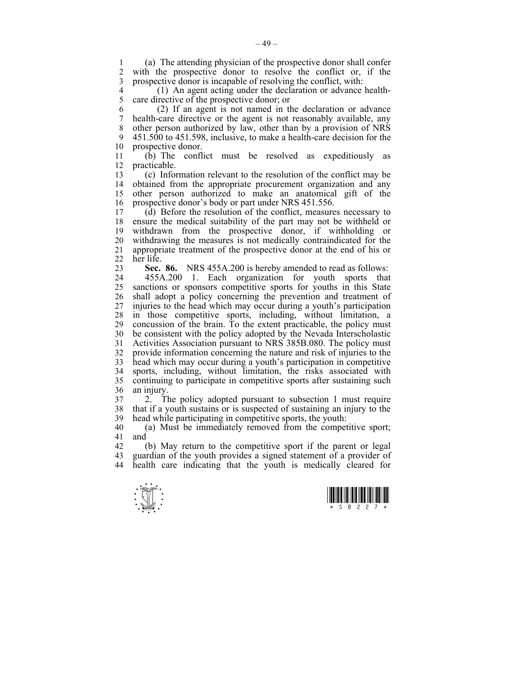1 (a) The attending physician of the prospective donor shall confer with the prospective donor to resolve the conflict or, if the 3 prospective donor is incapable of resolving the conflict, with:

4 (1) An agent acting under the declaration or advance health-<br>5 care directive of the prospective donor: or 5 care directive of the prospective donor; or

6 (2) If an agent is not named in the declaration or advance 7 health-care directive or the agent is not reasonably available, any 8 other person authorized by law, other than by a provision of NRS 9 451.500 to 451.598, inclusive, to make a health-care decision for the 10 prospective donor.

11 (b) The conflict must be resolved as expeditiously as 12 practicable.

13 (c) Information relevant to the resolution of the conflict may be obtained from the appropriate procurement organization and any 15 other person authorized to make an anatomical gift of the 16 prospective donor's body or part under NRS 451.556.

17 (d) Before the resolution of the conflict, measures necessary to 18 ensure the medical suitability of the part may not be withheld or 19 withdrawn from the prospective donor, if withholding or 20 withdrawing the measures is not medically contraindicated for the 21 appropriate treatment of the prospective donor at the end of his or 22 her life.

23 **Sec. 86.** NRS 455A.200 is hereby amended to read as follows:

24 455A.200 1. Each organization for youth sports that 25 sanctions or sponsors competitive sports for youths in this State 26 shall adopt a policy concerning the prevention and treatment of 27 injuries to the head which may occur during a youth's participation 28 in those competitive sports, including, without limitation, a 29 concussion of the brain. To the extent practicable, the policy must 30 be consistent with the policy adopted by the Nevada Interscholastic 31 Activities Association pursuant to NRS 385B.080. The policy must 32 provide information concerning the nature and risk of injuries to the 33 head which may occur during a youth's participation in competitive 34 sports, including, without limitation, the risks associated with 35 continuing to participate in competitive sports after sustaining such 36 an injury.

37 2. The policy adopted pursuant to subsection 1 must require 38 that if a youth sustains or is suspected of sustaining an injury to the 39 head while participating in competitive sports, the youth:

40 (a) Must be immediately removed from the competitive sport; 41 and

42 (b) May return to the competitive sport if the parent or legal 43 guardian of the youth provides a signed statement of a provider of 44 health care indicating that the youth is medically cleared for



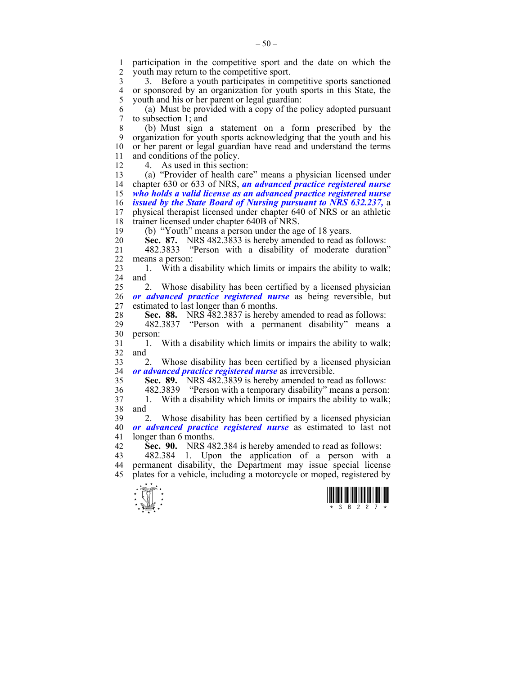1 participation in the competitive sport and the date on which the 2 vouth may return to the competitive sport youth may return to the competitive sport.

3 3. Before a youth participates in competitive sports sanctioned 4 or sponsored by an organization for youth sports in this State, the 5 vouth and his or her parent or legal guardian: youth and his or her parent or legal guardian:

6 (a) Must be provided with a copy of the policy adopted pursuant 7 to subsection 1; and

8 (b) Must sign a statement on a form prescribed by the 9 organization for youth sports acknowledging that the youth and his 10 or her parent or legal guardian have read and understand the terms 11 and conditions of the policy.

12 4. As used in this section:

13 (a) "Provider of health care" means a physician licensed under 14 chapter 630 or 633 of NRS, *an advanced practice registered nurse*  15 *who holds a valid license as an advanced practice registered nurse*  16 *issued by the State Board of Nursing pursuant to NRS 632.237,* a 17 physical therapist licensed under chapter 640 of NRS or an athletic 18 trainer licensed under chapter 640B of NRS.

19 (b) "Youth" means a person under the age of 18 years.

20 **Sec. 87.** NRS 482.3833 is hereby amended to read as follows:

21 482.3833 "Person with a disability of moderate duration" 22 means a person:

23 1. With a disability which limits or impairs the ability to walk; 24 and

25 2. Whose disability has been certified by a licensed physician 26 *or advanced practice registered nurse* as being reversible, but 27 estimated to last longer than 6 months.

28 **Sec. 88.** NRS 482.3837 is hereby amended to read as follows:

29 482.3837 "Person with a permanent disability" means a 30 person:

31 1. With a disability which limits or impairs the ability to walk; 32 and

33 2. Whose disability has been certified by a licensed physician 34 *or advanced practice registered nurse* as irreversible.

35 **Sec. 89.** NRS 482.3839 is hereby amended to read as follows:

36 482.3839 "Person with a temporary disability" means a person: 37 1. With a disability which limits or impairs the ability to walk; 38 and

39 2. Whose disability has been certified by a licensed physician 40 *or advanced practice registered nurse* as estimated to last not 41 longer than 6 months.

42 **Sec. 90.** NRS 482.384 is hereby amended to read as follows:

43 482.384 1. Upon the application of a person with a 44 permanent disability, the Department may issue special license 45 plates for a vehicle, including a motorcycle or moped, registered by



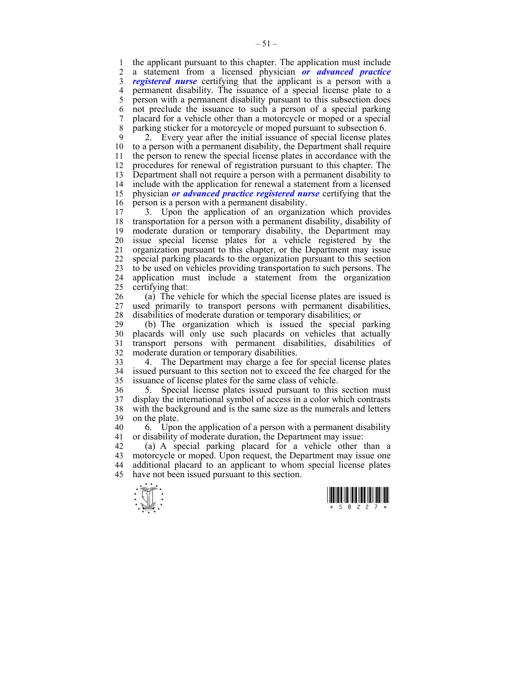1 the applicant pursuant to this chapter. The application must include 2 a statement from a licensed physician **or advanced practice** 2 a statement from a licensed physician *or advanced practice*  3 *registered nurse* certifying that the applicant is a person with a 4 permanent disability. The issuance of a special license plate to a 5 person with a permanent disability pursuant to this subsection does 6 not preclude the issuance to such a person of a special parking 7 placard for a vehicle other than a motorcycle or moped or a special 8 parking sticker for a motorcycle or moped pursuant to subsection 6.

9 2. Every year after the initial issuance of special license plates 10 to a person with a permanent disability, the Department shall require 11 the person to renew the special license plates in accordance with the 12 procedures for renewal of registration pursuant to this chapter. The 13 Department shall not require a person with a permanent disability to 14 include with the application for renewal a statement from a licensed 15 physician *or advanced practice registered nurse* certifying that the 16 person is a person with a permanent disability.

17 3. Upon the application of an organization which provides 18 transportation for a person with a permanent disability, disability of 19 moderate duration or temporary disability, the Department may 20 issue special license plates for a vehicle registered by the 21 organization pursuant to this chapter, or the Department may issue 22 special parking placards to the organization pursuant to this section 23 to be used on vehicles providing transportation to such persons. The 24 application must include a statement from the organization 25 certifying that:

26 (a) The vehicle for which the special license plates are issued is 27 used primarily to transport persons with permanent disabilities, 28 disabilities of moderate duration or temporary disabilities; or

29 (b) The organization which is issued the special parking 30 placards will only use such placards on vehicles that actually 31 transport persons with permanent disabilities, disabilities of 32 moderate duration or temporary disabilities.

33 4. The Department may charge a fee for special license plates 34 issued pursuant to this section not to exceed the fee charged for the issuance of license plates for the same class of vehicle.

36 5. Special license plates issued pursuant to this section must 37 display the international symbol of access in a color which contrasts 38 with the background and is the same size as the numerals and letters 39 on the plate.

40 6. Upon the application of a person with a permanent disability 41 or disability of moderate duration, the Department may issue:

42 (a) A special parking placard for a vehicle other than a 43 motorcycle or moped. Upon request, the Department may issue one 44 additional placard to an applicant to whom special license plates 45 have not been issued pursuant to this section.



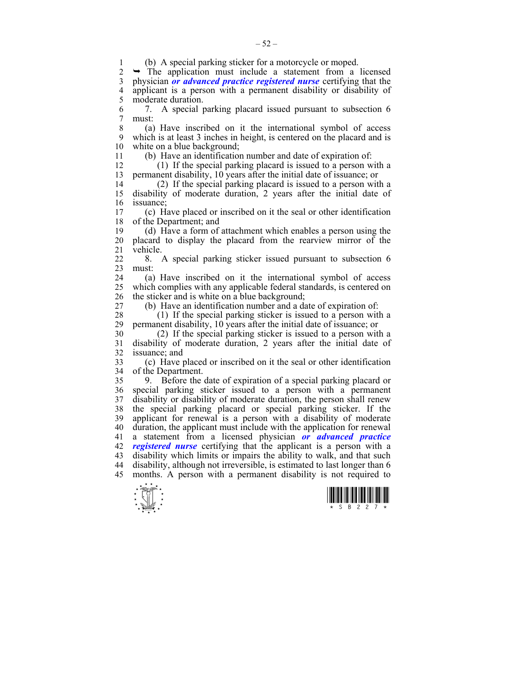$\frac{1}{x}$   $\frac{1}{x}$   $\frac{1}{x}$   $\frac{1}{x}$   $\frac{1}{x}$   $\frac{1}{x}$   $\frac{1}{x}$   $\frac{1}{x}$   $\frac{1}{x}$   $\frac{1}{x}$ 1 (b) A special parking sticker for a motorcycle or moped.<br>2  $\rightarrow$  The application must include a statement from a The application must include a statement from a licensed 3 physician *or advanced practice registered nurse* certifying that the 4 applicant is a person with a permanent disability or disability of moderate duration moderate duration. 6 7. A special parking placard issued pursuant to subsection 6 7 must: 8 (a) Have inscribed on it the international symbol of access 9 which is at least 3 inches in height, is centered on the placard and is 10 white on a blue background; 11 (b) Have an identification number and date of expiration of: 12 (1) If the special parking placard is issued to a person with a 13 permanent disability, 10 years after the initial date of issuance; or 14 (2) If the special parking placard is issued to a person with a 15 disability of moderate duration, 2 years after the initial date of 16 issuance; 17 (c) Have placed or inscribed on it the seal or other identification 18 of the Department; and 19 (d) Have a form of attachment which enables a person using the 20 placard to display the placard from the rearview mirror of the 21 vehicle. 22 8. A special parking sticker issued pursuant to subsection 6 23 must: 24 (a) Have inscribed on it the international symbol of access 25 which complies with any applicable federal standards, is centered on 26 the sticker and is white on a blue background; 27 (b) Have an identification number and a date of expiration of: 28 (1) If the special parking sticker is issued to a person with a 29 permanent disability, 10 years after the initial date of issuance; or 30 (2) If the special parking sticker is issued to a person with a 31 disability of moderate duration, 2 years after the initial date of 32 issuance; and 33 (c) Have placed or inscribed on it the seal or other identification 34 of the Department. 35 9. Before the date of expiration of a special parking placard or 36 special parking sticker issued to a person with a permanent 37 disability or disability of moderate duration, the person shall renew 38 the special parking placard or special parking sticker. If the 39 applicant for renewal is a person with a disability of moderate 40 duration, the applicant must include with the application for renewal 41 a statement from a licensed physician *or advanced practice*  42 *registered nurse* certifying that the applicant is a person with a 43 disability which limits or impairs the ability to walk, and that such 44 disability, although not irreversible, is estimated to last longer than 6 45 months. A person with a permanent disability is not required to



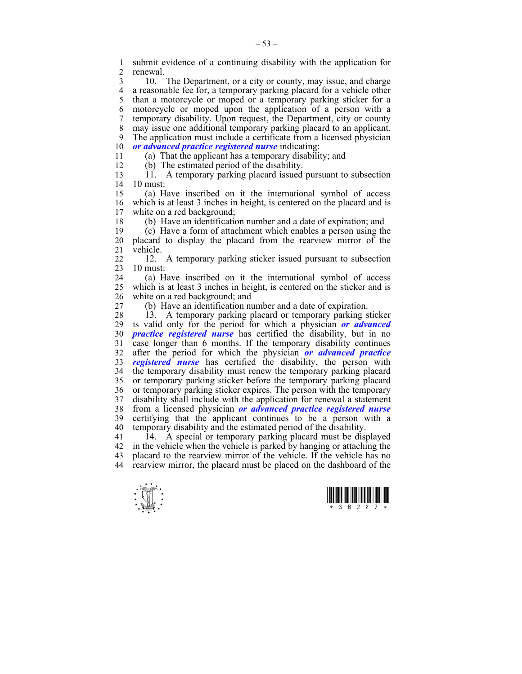1 submit evidence of a continuing disability with the application for renewal.

3 10. The Department, or a city or county, may issue, and charge 4 a reasonable fee for, a temporary parking placard for a vehicle other 5 than a motorcycle or moped or a temporary parking sticker for a 6 motorcycle or moped upon the application of a person with a 7 temporary disability. Upon request, the Department, city or county 8 may issue one additional temporary parking placard to an applicant. 9 The application must include a certificate from a licensed physician 10 or advanced practice registered nurse indicating: *<u>or advanced practice registered nurse</u> indicating:* 

11 (a) That the applicant has a temporary disability; and

12 (b) The estimated period of the disability.

13 11. A temporary parking placard issued pursuant to subsection 14 10 must:

15 (a) Have inscribed on it the international symbol of access 16 which is at least 3 inches in height, is centered on the placard and is 17 white on a red background: white on a red background:

18 (b) Have an identification number and a date of expiration; and

19 (c) Have a form of attachment which enables a person using the 20 placard to display the placard from the rearview mirror of the 21 vehicle.

22 12. A temporary parking sticker issued pursuant to subsection 23 10 must:

24 (a) Have inscribed on it the international symbol of access 25 which is at least 3 inches in height, is centered on the sticker and is 26 white on a red background; and

27 (b) Have an identification number and a date of expiration.

28 13. A temporary parking placard or temporary parking sticker 29 is valid only for the period for which a physician *or advanced*  30 *practice registered nurse* has certified the disability, but in no 31 case longer than 6 months. If the temporary disability continues 32 after the period for which the physician *or advanced practice*  33 *registered nurse* has certified the disability, the person with 34 the temporary disability must renew the temporary parking placard 35 or temporary parking sticker before the temporary parking placard 36 or temporary parking sticker expires. The person with the temporary 37 disability shall include with the application for renewal a statement 38 from a licensed physician *or advanced practice registered nurse*  39 certifying that the applicant continues to be a person with a 40 temporary disability and the estimated period of the disability.

41 14. A special or temporary parking placard must be displayed 42 in the vehicle when the vehicle is parked by hanging or attaching the 43 placard to the rearview mirror of the vehicle. If the vehicle has no 44 rearview mirror, the placard must be placed on the dashboard of the



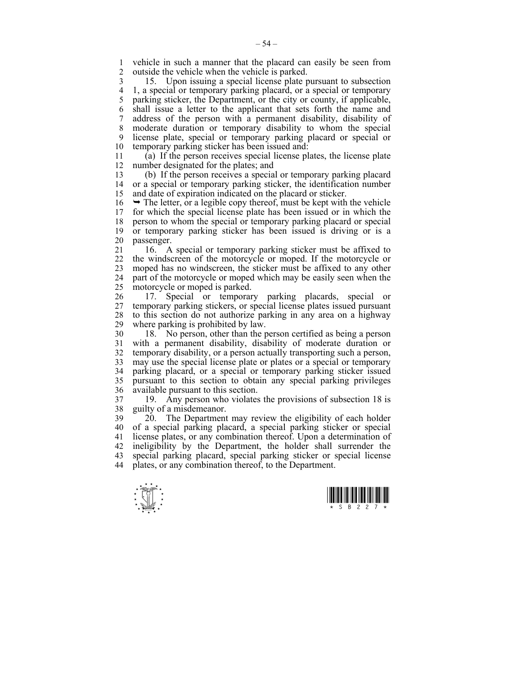1 vehicle in such a manner that the placard can easily be seen from<br>2 outside the vehicle when the vehicle is parked outside the vehicle when the vehicle is parked.

3 15. Upon issuing a special license plate pursuant to subsection 4 1, a special or temporary parking placard, or a special or temporary 5 parking sticker, the Department, or the city or county, if applicable, 6 shall issue a letter to the applicant that sets forth the name and 7 address of the person with a permanent disability, disability of 8 moderate duration or temporary disability to whom the special 9 license plate, special or temporary parking placard or special or 10 temporary parking sticker has been issued and:

11 (a) If the person receives special license plates, the license plate 12 number designated for the plates; and

13 (b) If the person receives a special or temporary parking placard 14 or a special or temporary parking sticker, the identification number 15 and date of expiration indicated on the placard or sticker.

 $16 \rightarrow$  The letter, or a legible copy thereof, must be kept with the vehicle 17 for which the special license plate has been issued or in which the 18 person to whom the special or temporary parking placard or special 19 or temporary parking sticker has been issued is driving or is a 20 passenger.

21 16. A special or temporary parking sticker must be affixed to 22 the windscreen of the motorcycle or moped. If the motorcycle or 23 moped has no windscreen, the sticker must be affixed to any other 24 part of the motorcycle or moped which may be easily seen when the 25 motorcycle or moped is parked.

26 17. Special or temporary parking placards, special or 27 temporary parking stickers, or special license plates issued pursuant 28 to this section do not authorize parking in any area on a highway 29 where parking is prohibited by law.

30 18. No person, other than the person certified as being a person 31 with a permanent disability, disability of moderate duration or 32 temporary disability, or a person actually transporting such a person, 33 may use the special license plate or plates or a special or temporary 34 parking placard, or a special or temporary parking sticker issued 35 pursuant to this section to obtain any special parking privileges 36 available pursuant to this section.

37 19. Any person who violates the provisions of subsection 18 is guilty of a misdemeanor.

39 20. The Department may review the eligibility of each holder 40 of a special parking placard, a special parking sticker or special 41 license plates, or any combination thereof. Upon a determination of 42 ineligibility by the Department, the holder shall surrender the 43 special parking placard, special parking sticker or special license 44 plates, or any combination thereof, to the Department.



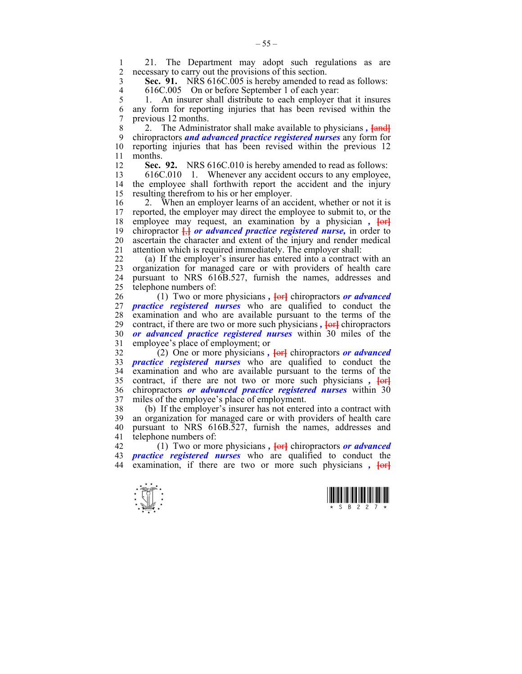1 21. The Department may adopt such regulations as are<br>2 necessary to carry out the provisions of this section necessary to carry out the provisions of this section.

3 **Sec. 91.** NRS 616C.005 is hereby amended to read as follows:

4 616C.005 On or before September 1 of each year:<br>5 1. An insurer shall distribute to each employer t 5 1. An insurer shall distribute to each employer that it insures 6 any form for reporting injuries that has been revised within the 7 previous 12 months.

8 2. The Administrator shall make available to physicians *,* **[**and**]** 9 chiropractors *and advanced practice registered nurses* any form for 10 reporting injuries that has been revised within the previous 12 11 months.

12 **Sec. 92.** NRS 616C.010 is hereby amended to read as follows:

13 616C.010 1. Whenever any accident occurs to any employee, 14 the employee shall forthwith report the accident and the injury 15 resulting therefrom to his or her employer.

16 2. When an employer learns of an accident, whether or not it is<br>17 reported, the employer may direct the employee to submit to, or the reported, the employer may direct the employee to submit to, or the 18 employee may request, an examination by a physician,  $\frac{1}{2}$ 19 chiropractor **[**,**]** *or advanced practice registered nurse,* in order to 20 ascertain the character and extent of the injury and render medical 21 attention which is required immediately. The employer shall:

22 (a) If the employer's insurer has entered into a contract with an 23 organization for managed care or with providers of health care 24 pursuant to NRS 616B.527, furnish the names, addresses and 25 telephone numbers of:

26 (1) Two or more physicians, **[ord** chiropractors *or advanced* 27 *practice registered nurses* who are qualified to conduct the 28 examination and who are available pursuant to the terms of the 29 contract, if there are two or more such physicians *,* **[**or**]** chiropractors 30 *or advanced practice registered nurses* within 30 miles of the 31 employee's place of employment; or

32 (2) One or more physicians *,* **[**or**]** chiropractors *or advanced*  33 *practice registered nurses* who are qualified to conduct the 34 examination and who are available pursuant to the terms of the 35 contract, if there are not two or more such physicians *,* **[**or**]** 36 chiropractors *or advanced practice registered nurses* within 30 37 miles of the employee's place of employment.

38 (b) If the employer's insurer has not entered into a contract with 39 an organization for managed care or with providers of health care 40 pursuant to NRS 616B.527, furnish the names, addresses and 41 telephone numbers of:

42 (1) Two or more physicians *,* **[**or**]** chiropractors *or advanced*  43 *practice registered nurses* who are qualified to conduct the 44 examination, if there are two or more such physicians *,* **[**or**]**



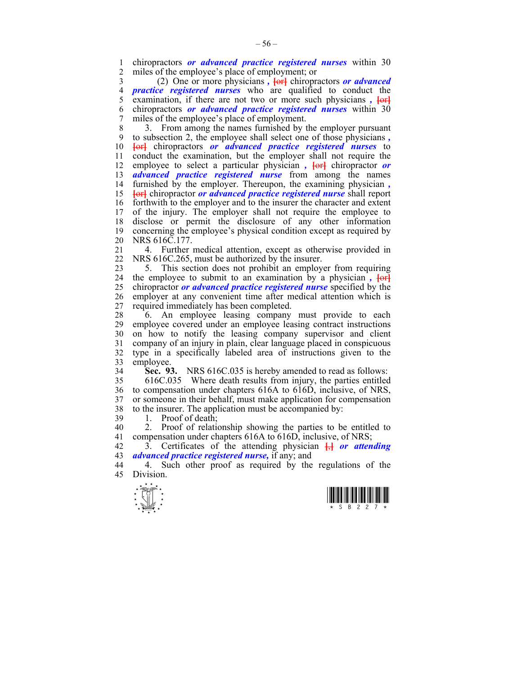1 chiropractors *or advanced practice registered nurses* within 30 miles of the employee's place of employment; or

3 (2) One or more physicians *,* **[**or**]** chiropractors *or advanced*  4 *practice registered nurses* who are qualified to conduct the 5 examination, if there are not two or more such physicians,  $\overline{\text{for}}$ 6 chiropractors *or advanced practice registered nurses* within 30 7 miles of the employee's place of employment.

8 3. From among the names furnished by the employer pursuant 9 to subsection 2, the employee shall select one of those physicians *,*  10 **[**or**]** chiropractors *or advanced practice registered nurses* to 11 conduct the examination, but the employer shall not require the 12 employee to select a particular physician,  $\frac{1}{\sqrt{c}}$  chiropractor *or* 13 *advanced practice registered nurse* from among the names 14 furnished by the employer. Thereupon, the examining physician *,* 15 **[**or**]** chiropractor *or advanced practice registered nurse* shall report 16 forthwith to the employer and to the insurer the character and extent 17 of the injury. The employer shall not require the employee to 18 disclose or permit the disclosure of any other information 19 concerning the employee's physical condition except as required by 20 NRS 616C.177.

21 4. Further medical attention, except as otherwise provided in 22 NRS 616C.265, must be authorized by the insurer.

23 5. This section does not prohibit an employer from requiring 24 the employee to submit to an examination by a physician *,* **[**or**]** 25 chiropractor *or advanced practice registered nurse* specified by the 26 employer at any convenient time after medical attention which is 27 required immediately has been completed.

28 6. An employee leasing company must provide to each 29 employee covered under an employee leasing contract instructions 30 on how to notify the leasing company supervisor and client 31 company of an injury in plain, clear language placed in conspicuous 32 type in a specifically labeled area of instructions given to the 33 employee.

34 **Sec. 93.** NRS 616C.035 is hereby amended to read as follows:

35 616C.035 Where death results from injury, the parties entitled 36 to compensation under chapters 616A to 616D, inclusive, of NRS, 37 or someone in their behalf, must make application for compensation 38 to the insurer. The application must be accompanied by:

39 1. Proof of death;

40 2. Proof of relationship showing the parties to be entitled to 41 compensation under chapters 616A to 616D, inclusive, of NRS;

42 3. Certificates of the attending physician **[**,**]** *or attending*  43 *advanced practice registered nurse,* if any; and

44 4. Such other proof as required by the regulations of the 45 Division.



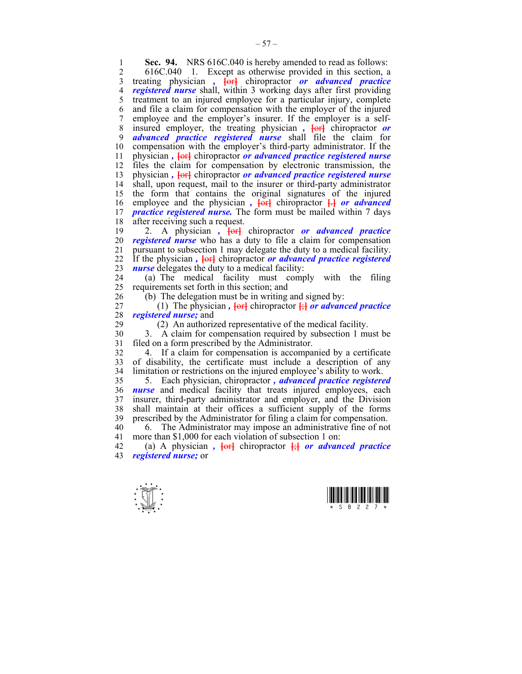**1 Sec. 94.** NRS 616C.040 is hereby amended to read as follows:<br>2 616C 040 1 Except as otherwise provided in this section a

2 616C.040 1. Except as otherwise provided in this section, a 3 treating physician *,* **[**or**]** chiropractor *or advanced practice*  4 *registered nurse* shall, within 3 working days after first providing 5 treatment to an injured employee for a particular injury, complete 6 and file a claim for compensation with the employer of the injured 7 employee and the employer's insurer. If the employer is a self-8 insured employer, the treating physician *,*  $\left\{\Theta f\right\}$  chiropractor *or* 9 *advanced practice registered nurse* shall file the claim for 10 compensation with the employer's third-party administrator. If the 11 physician *,* **[**or**]** chiropractor *or advanced practice registered nurse* 12 files the claim for compensation by electronic transmission, the 13 physician,  $\overline{\text{left}}$  chiropractor *or advanced practice registered nurse* 14 shall, upon request, mail to the insurer or third-party administrator 15 the form that contains the original signatures of the injured 16 employee and the physician,  $\overline{\text{terl}}$  chiropractor  $\overline{\text{H}}$  or advanced 17 *practice registered nurse.* The form must be mailed within 7 days 18 after receiving such a request.

19 2. A physician *,* **[**or**]** chiropractor *or advanced practice*  20 *registered nurse* who has a duty to file a claim for compensation 21 pursuant to subsection 1 may delegate the duty to a medical facility. 22 If the physician *,* **[**or**]** chiropractor *or advanced practice registered*  23 *nurse* delegates the duty to a medical facility:

24 (a) The medical facility must comply with the filing 25 requirements set forth in this section; and

26 (b) The delegation must be in writing and signed by:

27 (1) The physician,  $\overline{\text{terl}}$  chiropractor  $\frac{1}{2}$  *or advanced practice* 28 *registered nurse;* and

29 (2) An authorized representative of the medical facility.

30 3. A claim for compensation required by subsection 1 must be 31 filed on a form prescribed by the Administrator.

32 4. If a claim for compensation is accompanied by a certificate 33 of disability, the certificate must include a description of any 34 limitation or restrictions on the injured employee's ability to work.

35 5. Each physician, chiropractor *, advanced practice registered*  36 *nurse* and medical facility that treats injured employees, each 37 insurer, third-party administrator and employer, and the Division 38 shall maintain at their offices a sufficient supply of the forms 39 prescribed by the Administrator for filing a claim for compensation.

40 6. The Administrator may impose an administrative fine of not 41 more than \$1,000 for each violation of subsection 1 on:

42 (a) A physician *,* **[**or**]** chiropractor **[**;**]** *or advanced practice*  43 *registered nurse;* or



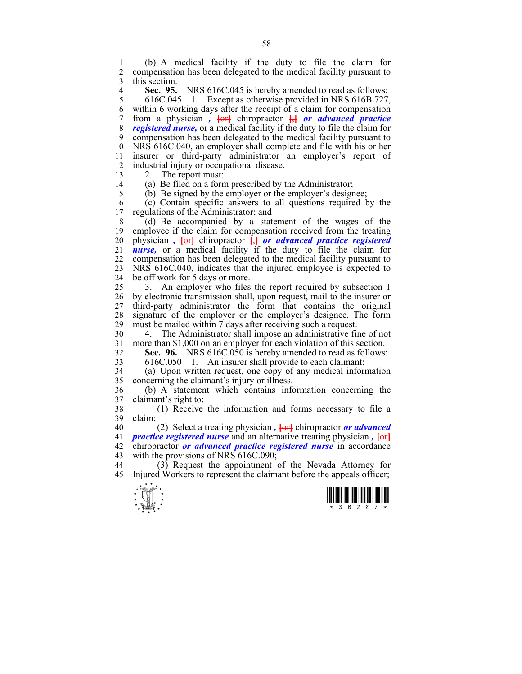1 (b) A medical facility if the duty to file the claim for 2 compensation has been delegated to the medical facility pursuant to 3 this section.

**Sec. 95.** NRS 616C.045 is hereby amended to read as follows:<br>5 616C.045 1. Except as otherwise provided in NRS 616B.727.

5 616C.045 1. Except as otherwise provided in NRS 616B.727, 6 within 6 working days after the receipt of a claim for compensation 7 from a physician *,* **[**or**]** chiropractor **[**,**]** *or advanced practice*  8 *registered nurse,* or a medical facility if the duty to file the claim for 9 compensation has been delegated to the medical facility pursuant to 10 NRS 616C.040, an employer shall complete and file with his or her 11 insurer or third-party administrator an employer's report of 12 industrial injury or occupational disease.

13 2. The report must:

14 (a) Be filed on a form prescribed by the Administrator; 15 (b) Be signed by the employer or the employer's designee;

16 (c) Contain specific answers to all questions required by the 17 regulations of the Administrator; and

18 (d) Be accompanied by a statement of the wages of the 19 employee if the claim for compensation received from the treating 20 physician *,* **[**or**]** chiropractor **[**,**]** *or advanced practice registered*  21 *nurse,* or a medical facility if the duty to file the claim for 22 compensation has been delegated to the medical facility pursuant to 23 NRS 616C.040, indicates that the injured employee is expected to 24 be off work for 5 days or more.

25 3. An employer who files the report required by subsection 1 26 by electronic transmission shall, upon request, mail to the insurer or 27 third-party administrator the form that contains the original 28 signature of the employer or the employer's designee. The form 29 must be mailed within 7 days after receiving such a request. must be mailed within 7 days after receiving such a request.

30 4. The Administrator shall impose an administrative fine of not 31 more than \$1,000 on an employer for each violation of this section.

32 **Sec. 96.** NRS 616C.050 is hereby amended to read as follows:

33 616C.0501. An insurer shall provide to each claimant:

34 (a) Upon written request, one copy of any medical information 35 concerning the claimant's injury or illness.

36 (b) A statement which contains information concerning the 37 claimant's right to:

38 (1) Receive the information and forms necessary to file a 39 claim;

40 (2) Select a treating physician,  $\overline{\text{terl}}$  chiropractor *or advanced* 41 *practice registered nurse* and an alternative treating physician *,* **[**or**]** 42 chiropractor *or advanced practice registered nurse* in accordance 43 with the provisions of NRS 616C.090;

44 (3) Request the appointment of the Nevada Attorney for 45 Injured Workers to represent the claimant before the appeals officer;



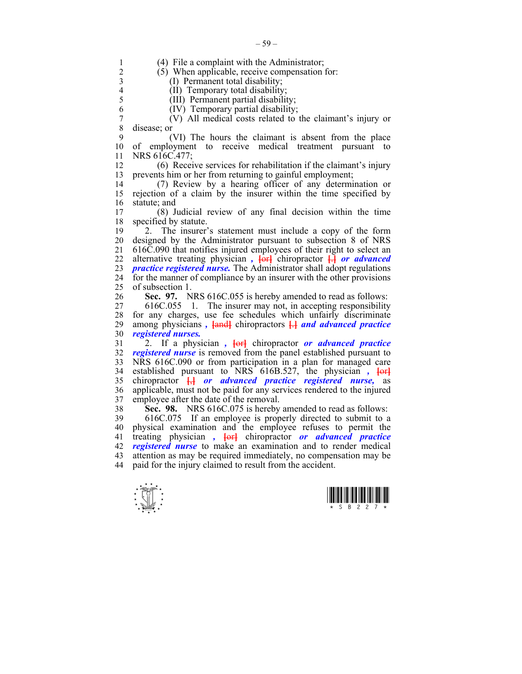$\frac{1}{x}$   $\frac{1}{x}$   $\frac{1}{x}$   $\frac{1}{x}$   $\frac{1}{x}$   $\frac{1}{x}$   $\frac{1}{x}$   $\frac{1}{x}$   $\frac{1}{x}$   $\frac{1}{x}$ 1 (4) File a complaint with the Administrator;<br>2 (5) When applicable receive compensation 2 (5) When applicable, receive compensation for: 3 (I) Permanent total disability;<br>4 (II) Temporary total disability 4 (II) Temporary total disability;<br>5 (III) Permanent partial disability; 5 (III) Permanent partial disability; 6 (IV) Temporary partial disability; 7 (V) All medical costs related to the claimant's injury or disease; or 9 (VI) The hours the claimant is absent from the place 10 of employment to receive medical treatment pursuant to 11 NRS 616C.477; 12 (6) Receive services for rehabilitation if the claimant's injury 13 prevents him or her from returning to gainful employment; 14 (7) Review by a hearing officer of any determination or 15 rejection of a claim by the insurer within the time specified by 16 statute; and 17 (8) Judicial review of any final decision within the time 18 specified by statute. 19 2. The insurer's statement must include a copy of the form 20 designed by the Administrator pursuant to subsection 8 of NRS 21 616C.090 that notifies injured employees of their right to select an 22 alternative treating physician,  $\overline{\text{for}}$  chiropractor  $\overline{\text{H}}$  *or advanced* 23 *practice registered nurse.* The Administrator shall adopt regulations 24 for the manner of compliance by an insurer with the other provisions 25 of subsection 1. 26 **Sec. 97.** NRS 616C.055 is hereby amended to read as follows: 27 616C.055 1. The insurer may not, in accepting responsibility 28 for any charges, use fee schedules which unfairly discriminate 29 among physicians *,* **[**and**]** chiropractors **[**.**]** *and advanced practice*  30 *registered nurses.* 31 2. If a physician *,* **[**or**]** chiropractor *or advanced practice*  32 *registered nurse* is removed from the panel established pursuant to 33 NRS 616C.090 or from participation in a plan for managed care 34 established pursuant to NRS 616B.527, the physician *,* **[**or**]** 35 chiropractor **[**,**]** *or advanced practice registered nurse,* as 36 applicable, must not be paid for any services rendered to the injured 37 employee after the date of the removal. 38 **Sec. 98.** NRS 616C.075 is hereby amended to read as follows: 39 616C.075 If an employee is properly directed to submit to a 40 physical examination and the employee refuses to permit the 41 treating physician *,* **[**or**]** chiropractor *or advanced practice*  42 *registered nurse* to make an examination and to render medical 43 attention as may be required immediately, no compensation may be 44 paid for the injury claimed to result from the accident.



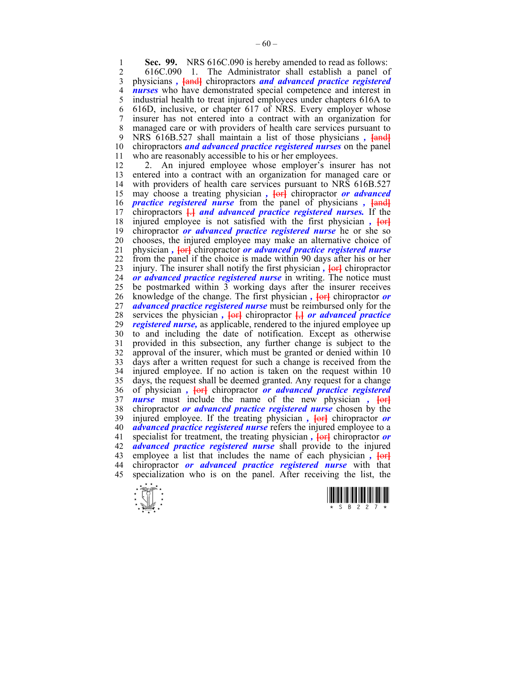**1 Sec. 99.** NRS 616C.090 is hereby amended to read as follows:<br>2 616C 090 1 The Administrator shall establish a panel of

2 616C.090 1. The Administrator shall establish a panel of 3 physicians *,* **[**and**]** chiropractors *and advanced practice registered*  4 *nurses* who have demonstrated special competence and interest in industrial health to treat injured employees under chapters 616A to 5 industrial health to treat injured employees under chapters 616A to 6 616D, inclusive, or chapter 617 of NRS. Every employer whose 7 insurer has not entered into a contract with an organization for 8 managed care or with providers of health care services pursuant to 9 NRS 616B.527 shall maintain a list of those physicians *,* **[**and**]** 10 chiropractors *and advanced practice registered nurses* on the panel 11 who are reasonably accessible to his or her employees.

12 2. An injured employee whose employer's insurer has not 13 entered into a contract with an organization for managed care or 14 with providers of health care services pursuant to NRS 616B.527 15 may choose a treating physician,  $\overrightarrow{f}$  chiropractor *or advanced* 16 *practice registered nurse* from the panel of physicians *,* **[**and**]** 17 chiropractors **[**.**]** *and advanced practice registered nurses.* If the 18 injured employee is not satisfied with the first physician *,* **[**or**]** 19 chiropractor *or advanced practice registered nurse* he or she so 20 chooses, the injured employee may make an alternative choice of 21 physician *,* **[**or**]** chiropractor *or advanced practice registered nurse* 22 from the panel if the choice is made within 90 days after his or her 23 injury. The insurer shall notify the first physician *,* **[**or**]** chiropractor 24 *or advanced practice registered nurse* in writing. The notice must 25 be postmarked within 3 working days after the insurer receives 26 knowledge of the change. The first physician,  $\frac{1}{\pi}$  chiropractor *or* 27 *advanced practice registered nurse* must be reimbursed only for the 28 services the physician,  $\frac{1}{\sqrt{c}}$  chiropractor  $\frac{1}{\sqrt{c}}$  *or advanced practice* 29 *registered nurse,* as applicable, rendered to the injured employee up 30 to and including the date of notification. Except as otherwise 31 provided in this subsection, any further change is subject to the 32 approval of the insurer, which must be granted or denied within 10 33 days after a written request for such a change is received from the 34 injured employee. If no action is taken on the request within 10 35 days, the request shall be deemed granted. Any request for a change 36 of physician *,* **[**or**]** chiropractor *or advanced practice registered*  37 *nurse* must include the name of the new physician *,* **[**or**]** 38 chiropractor *or advanced practice registered nurse* chosen by the 39 injured employee. If the treating physician *,* **[**or**]** chiropractor *or*  40 *advanced practice registered nurse* refers the injured employee to a 41 specialist for treatment, the treating physician *,* **[**or**]** chiropractor *or*  42 *advanced practice registered nurse* shall provide to the injured 43 employee a list that includes the name of each physician,  $\overline{\text{for}}$ 44 chiropractor *or advanced practice registered nurse* with that 45 specialization who is on the panel. After receiving the list, the



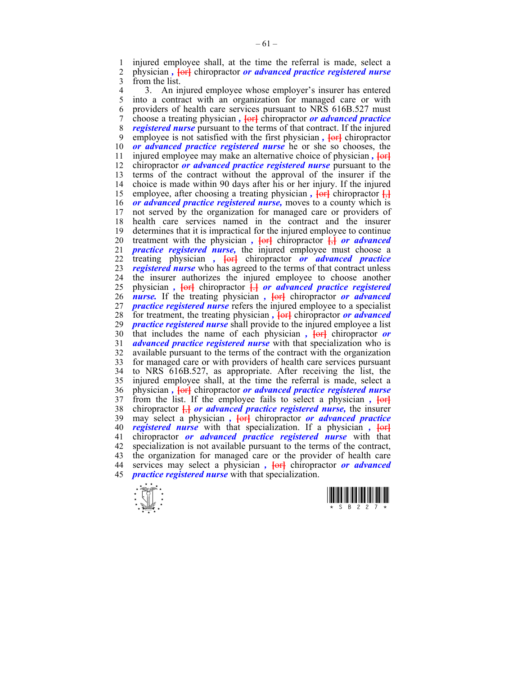1 injured employee shall, at the time the referral is made, select a  $\frac{1}{2}$  physician. For a *selector* or *advanced practice repistered purse* 2 physician *,* **[**or**]** chiropractor *or advanced practice registered nurse* 3 from the list.

4 3. An injured employee whose employer's insurer has entered<br>5 into a contract with an organization for managed care or with into a contract with an organization for managed care or with 6 providers of health care services pursuant to NRS 616B.527 must 7 choose a treating physician *,* **[**or**]** chiropractor *or advanced practice*  8 *registered nurse* pursuant to the terms of that contract. If the injured 9 employee is not satisfied with the first physician *,* **[**or**]** chiropractor 10 *or advanced practice registered nurse* he or she so chooses, the 11 injured employee may make an alternative choice of physician *,* **[**or**]** 12 chiropractor *or advanced practice registered nurse* pursuant to the 13 terms of the contract without the approval of the insurer if the 14 choice is made within 90 days after his or her injury. If the injured 15 employee, after choosing a treating physician,  $\overline{\text{left}}$  chiropractor  $\overline{\text{right}}$ 16 *or advanced practice registered nurse,* moves to a county which is 17 not served by the organization for managed care or providers of 18 health care services named in the contract and the insurer 19 determines that it is impractical for the injured employee to continue 20 treatment with the physician  $\overline{f}$ ,  $\overline{f}$  chiropractor  $\overline{f}$  *or advanced* 21 *practice registered nurse,* the injured employee must choose a 22 treating physician *,* **[**or**]** chiropractor *or advanced practice*  23 *registered nurse* who has agreed to the terms of that contract unless 24 the insurer authorizes the injured employee to choose another 25 physician *,* **[**or**]** chiropractor **[**.**]** *or advanced practice registered*  26 *nurse.* If the treating physician *,* **[**or**]** chiropractor *or advanced*  27 *practice registered nurse* refers the injured employee to a specialist 28 for treatment, the treating physician *,* **[**or**]** chiropractor *or advanced*  29 *practice registered nurse* shall provide to the injured employee a list 30 that includes the name of each physician *,* **[**or**]** chiropractor *or*  31 *advanced practice registered nurse* with that specialization who is 32 available pursuant to the terms of the contract with the organization 33 for managed care or with providers of health care services pursuant 34 to NRS 616B.527, as appropriate. After receiving the list, the 35 injured employee shall, at the time the referral is made, select a 36 physician *,* **[**or**]** chiropractor *or advanced practice registered nurse* 37 from the list. If the employee fails to select a physician *,*  $\overline{6}$ 38 chiropractor **[**,**]** *or advanced practice registered nurse,* the insurer 39 may select a physician *,* **[**or**]** chiropractor *or advanced practice*  40 *registered nurse* with that specialization. If a physician *,* **[**or**]** 41 chiropractor *or advanced practice registered nurse* with that 42 specialization is not available pursuant to the terms of the contract, 43 the organization for managed care or the provider of health care 44 services may select a physician *,* **[**or**]** chiropractor *or advanced*  45 *practice registered nurse* with that specialization.



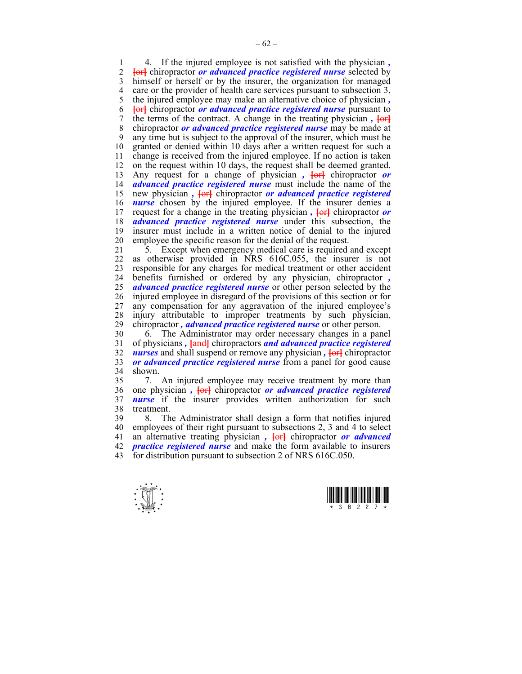1 4. If the injured employee is not satisfied with the physician *, Fort* chiropractor *or advanced practice registered nurse* selected by 3 himself or herself or by the insurer, the organization for managed 4 care or the provider of health care services pursuant to subsection 3, 5 the injured employee may make an alternative choice of physician *,* 6 **[**or**]** chiropractor *or advanced practice registered nurse* pursuant to 7 the terms of the contract. A change in the treating physician,  $\overline{f}$ 8 chiropractor *or advanced practice registered nurse* may be made at 9 any time but is subject to the approval of the insurer, which must be 10 granted or denied within 10 days after a written request for such a 11 change is received from the injured employee. If no action is taken 12 on the request within 10 days, the request shall be deemed granted. 13 Any request for a change of physician,  $\frac{1}{\sqrt{c}}$  chiropractor *or* 14 *advanced practice registered nurse* must include the name of the 15 new physician,  $\overline{\text{left}}$  chiropractor *or advanced practice registered* 16 *nurse* chosen by the injured employee. If the insurer denies a 17 request for a change in the treating physician,  $\frac{1}{\sqrt{1-\frac{1}{n}}}$  chiropractor *or* 18 *advanced practice registered nurse* under this subsection, the 19 insurer must include in a written notice of denial to the injured 20 employee the specific reason for the denial of the request.

21 5. Except when emergency medical care is required and except 22 as otherwise provided in NRS 616C.055, the insurer is not 23 responsible for any charges for medical treatment or other accident 24 benefits furnished or ordered by any physician, chiropractor *,*  25 *advanced practice registered nurse* or other person selected by the 26 injured employee in disregard of the provisions of this section or for 27 any compensation for any aggravation of the injured employee's 28 injury attributable to improper treatments by such physician,<br>29 chiropractor, *advanced practice registered nurse* or other person. 29 chiropractor *, advanced practice registered nurse* or other person.

30 6. The Administrator may order necessary changes in a panel 31 of physicians *,* **[**and**]** chiropractors *and advanced practice registered*  32 *nurses* and shall suspend or remove any physician *,* **[**or**]** chiropractor 33 *or advanced practice registered nurse* from a panel for good cause 34 shown.

35 7. An injured employee may receive treatment by more than 36 one physician *,* **[**or**]** chiropractor *or advanced practice registered*  37 *nurse* if the insurer provides written authorization for such 38 treatment.

39 8. The Administrator shall design a form that notifies injured 40 employees of their right pursuant to subsections 2, 3 and 4 to select 41 an alternative treating physician *,* **[**or**]** chiropractor *or advanced*  42 *practice registered nurse* and make the form available to insurers 43 for distribution pursuant to subsection 2 of NRS 616C.050.



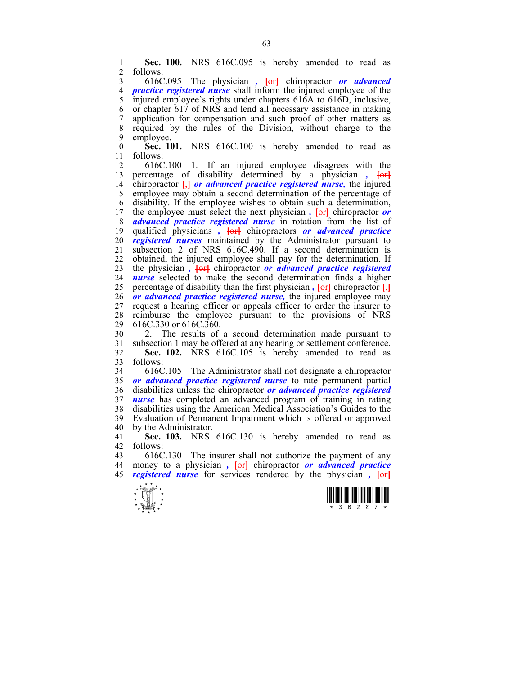1 **Sec. 100.** NRS 616C.095 is hereby amended to read as 2 follows: follows:

3 616C.095 The physician *,* **[**or**]** chiropractor *or advanced*  4 *practice registered nurse* shall inform the injured employee of the injured employee's rights under chapters 616A to 616D, inclusive, injured employee's rights under chapters 616A to 616D, inclusive, 6 or chapter 617 of NRS and lend all necessary assistance in making 7 application for compensation and such proof of other matters as 8 required by the rules of the Division, without charge to the 9 employee.

10 **Sec. 101.** NRS 616C.100 is hereby amended to read as 11 follows:

12 616C.100 1. If an injured employee disagrees with the 13 percentage of disability determined by a physician *,*  $\overline{6}$ 14 chiropractor **[**,**]** *or advanced practice registered nurse,* the injured 15 employee may obtain a second determination of the percentage of 16 disability. If the employee wishes to obtain such a determination, 17 the employee must select the next physician,  $\overline{\text{left}}$  chiropractor or 18 *advanced practice registered nurse* in rotation from the list of 19 qualified physicians *,* **[**or**]** chiropractors *or advanced practice*  20 *registered nurses* maintained by the Administrator pursuant to 21 subsection 2 of NRS 616C.490. If a second determination is 22 obtained, the injured employee shall pay for the determination. If 23 the physician *,* **[**or**]** chiropractor *or advanced practice registered*  24 *nurse* selected to make the second determination finds a higher 25 percentage of disability than the first physician  $\overline{A}$  **[** $\overline{A}$ **]** chiropractor  $\overline{A}$ **]** 26 *or advanced practice registered nurse,* the injured employee may 27 request a hearing officer or appeals officer to order the insurer to 28 reimburse the employee pursuant to the provisions of NRS 29 616C.330 or 616C.360.

30 2. The results of a second determination made pursuant to 31 subsection 1 may be offered at any hearing or settlement conference. 32 **Sec. 102.** NRS 616C.105 is hereby amended to read as 33 follows:

34 616C.105 The Administrator shall not designate a chiropractor 35 *or advanced practice registered nurse* to rate permanent partial 36 disabilities unless the chiropractor *or advanced practice registered*  37 *nurse* has completed an advanced program of training in rating 38 disabilities using the American Medical Association's Guides to the 39 Evaluation of Permanent Impairment which is offered or approved 40 by the Administrator.

41 **Sec. 103.** NRS 616C.130 is hereby amended to read as 42 follows:

43 616C.130 The insurer shall not authorize the payment of any 44 money to a physician *,* **[**or**]** chiropractor *or advanced practice*  45 *registered nurse* for services rendered by the physician *,* **[**or**]**



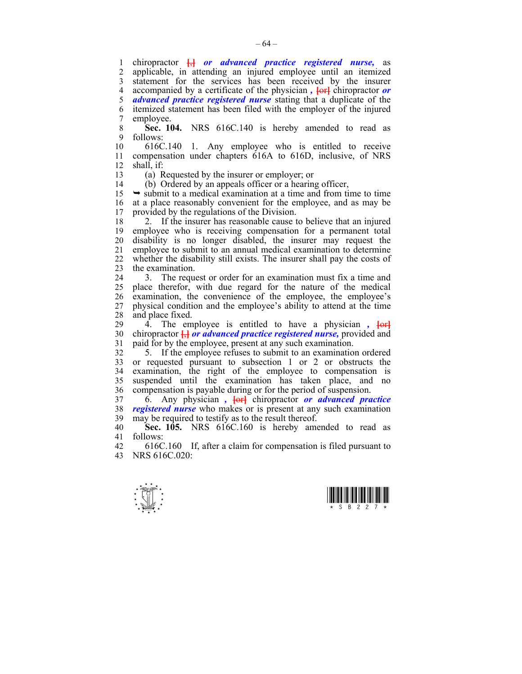1 chiropractor **[**,**]** *or advanced practice registered nurse,* as 2 applicable, in attending an injured employee until an itemized 3 statement for the services has been received by the insurer 4 accompanied by a certificate of the physician *,* **[**or**]** chiropractor *or*  5 *advanced practice registered nurse* stating that a duplicate of the 6 itemized statement has been filed with the employer of the injured 7 employee.

8 **Sec. 104.** NRS 616C.140 is hereby amended to read as 9 follows:

10 616C.140 1. Any employee who is entitled to receive 11 compensation under chapters 616A to 616D, inclusive, of NRS 12 shall, if:

13 (a) Requested by the insurer or employer; or

14 (b) Ordered by an appeals officer or a hearing officer,

 $15 \rightarrow$  submit to a medical examination at a time and from time to time 16 at a place reasonably convenient for the employee, and as may be 17 provided by the regulations of the Division.

18 2. If the insurer has reasonable cause to believe that an injured 19 employee who is receiving compensation for a permanent total 20 disability is no longer disabled, the insurer may request the 21 employee to submit to an annual medical examination to determine 22 whether the disability still exists. The insurer shall pay the costs of 23 the examination.

24 3. The request or order for an examination must fix a time and 25 place therefor, with due regard for the nature of the medical 26 examination, the convenience of the employee, the employee's 27 physical condition and the employee's ability to attend at the time 28 and place fixed.

29 4. The employee is entitled to have a physician ,  $\overline{\text{for}}$ 30 chiropractor **[**,**]** *or advanced practice registered nurse,* provided and 31 paid for by the employee, present at any such examination.

32 5. If the employee refuses to submit to an examination ordered 33 or requested pursuant to subsection 1 or 2 or obstructs the 34 examination, the right of the employee to compensation is 35 suspended until the examination has taken place, and no 36 compensation is payable during or for the period of suspension.

37 6. Any physician *,* **[**or**]** chiropractor *or advanced practice*  38 *registered nurse* who makes or is present at any such examination 39 may be required to testify as to the result thereof.

40 **Sec. 105.** NRS 616C.160 is hereby amended to read as 41 follows:

42 616C.160 If, after a claim for compensation is filed pursuant to 43 NRS 616C.020:



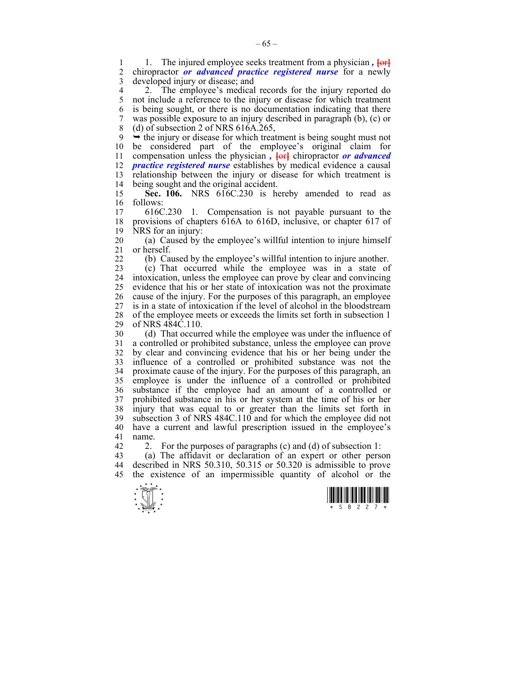1. The injured employee seeks treatment from a physician,  $\frac{1}{10}$ <br>2. chiropractor *or advanced practice repistered nurse* for a newly 2 chiropractor *or advanced practice registered nurse* for a newly 3 developed injury or disease; and

4 2. The employee's medical records for the injury reported do<br>5 not include a reference to the injury or disease for which treatment 5 not include a reference to the injury or disease for which treatment 6 is being sought, or there is no documentation indicating that there 7 was possible exposure to an injury described in paragraph (b), (c) or 8 (d) of subsection 2 of NRS 616A.265,

9  $\rightarrow$  the injury or disease for which treatment is being sought must not 10 be considered part of the employee's original claim for 11 compensation unless the physician *,*  $\frac{1}{2}$  chiropractor *or advanced* 12 *practice registered nurse* establishes by medical evidence a causal 13 relationship between the injury or disease for which treatment is 14 being sought and the original accident. being sought and the original accident.

15 **Sec. 106.** NRS 616C.230 is hereby amended to read as 16 follows:<br>17 616C

17 616C.230 1. Compensation is not payable pursuant to the 18 provisions of chapters 616A to 616D, inclusive, or chapter 617 of 19 NRS for an injury:

20 (a) Caused by the employee's willful intention to injure himself 21 or herself.

22 (b) Caused by the employee's willful intention to injure another.

23 (c) That occurred while the employee was in a state of 24 intoxication, unless the employee can prove by clear and convincing 25 evidence that his or her state of intoxication was not the proximate 26 cause of the injury. For the purposes of this paragraph, an employee 27 is in a state of intoxication if the level of alcohol in the bloodstream 28 of the employee meets or exceeds the limits set forth in subsection 1<br>29 of NRS 484C 110 of NRS 484C.110.

30 (d) That occurred while the employee was under the influence of 31 a controlled or prohibited substance, unless the employee can prove 32 by clear and convincing evidence that his or her being under the 33 influence of a controlled or prohibited substance was not the 34 proximate cause of the injury. For the purposes of this paragraph, an 35 employee is under the influence of a controlled or prohibited 36 substance if the employee had an amount of a controlled or 37 prohibited substance in his or her system at the time of his or her 38 injury that was equal to or greater than the limits set forth in 39 subsection 3 of NRS 484C.110 and for which the employee did not 40 have a current and lawful prescription issued in the employee's 41 name.

42 2. For the purposes of paragraphs  $(c)$  and  $(d)$  of subsection 1:

43 (a) The affidavit or declaration of an expert or other person 44 described in NRS 50.310, 50.315 or 50.320 is admissible to prove 45 the existence of an impermissible quantity of alcohol or the



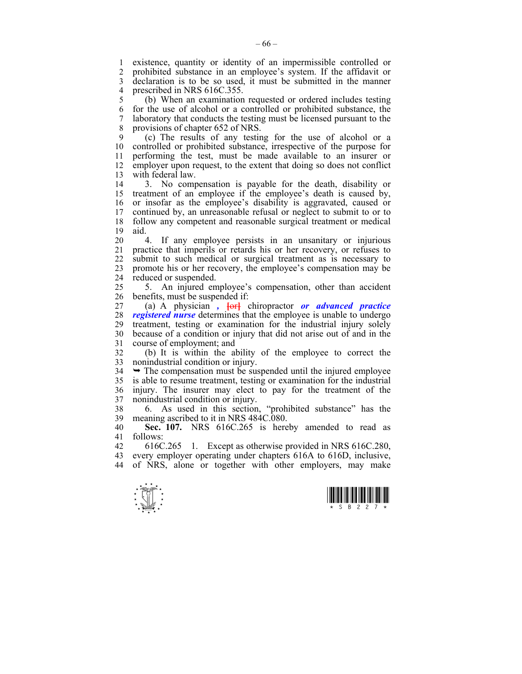1 existence, quantity or identity of an impermissible controlled or 2 prohibited substance in an employee's system. If the affidavit or 3 declaration is to be so used, it must be submitted in the manner 4 prescribed in NRS 616C.355.

5 (b) When an examination requested or ordered includes testing 6 for the use of alcohol or a controlled or prohibited substance, the 7 laboratory that conducts the testing must be licensed pursuant to the 8 provisions of chapter 652 of NRS.

9 (c) The results of any testing for the use of alcohol or a 10 controlled or prohibited substance, irrespective of the purpose for 11 performing the test, must be made available to an insurer or 12 employer upon request, to the extent that doing so does not conflict 13 with federal law.

14 3. No compensation is payable for the death, disability or 15 treatment of an employee if the employee's death is caused by, 16 or insofar as the employee's disability is aggravated, caused or 17 continued by, an unreasonable refusal or neglect to submit to or to 18 follow any competent and reasonable surgical treatment or medical 19 aid.

20 4. If any employee persists in an unsanitary or injurious 21 practice that imperils or retards his or her recovery, or refuses to 22 submit to such medical or surgical treatment as is necessary to 23 promote his or her recovery, the employee's compensation may be 24 reduced or suspended.

25 5. An injured employee's compensation, other than accident 26 benefits, must be suspended if:

27 (a) A physician *,* **[**or**]** chiropractor *or advanced practice*  28 *registered nurse* determines that the employee is unable to undergo 29 treatment, testing or examination for the industrial injury solely 30 because of a condition or injury that did not arise out of and in the 31 course of employment; and

32 (b) It is within the ability of the employee to correct the 33 nonindustrial condition or injury.

 $34 \rightarrow$  The compensation must be suspended until the injured employee 35 is able to resume treatment, testing or examination for the industrial 36 injury. The insurer may elect to pay for the treatment of the 37 nonindustrial condition or injury.

38 6. As used in this section, "prohibited substance" has the 39 meaning ascribed to it in NRS 484C.080.

40 **Sec. 107.** NRS 616C.265 is hereby amended to read as 41 follows:

42 616C.265 1. Except as otherwise provided in NRS 616C.280, 43 every employer operating under chapters 616A to 616D, inclusive, 44 of NRS, alone or together with other employers, may make



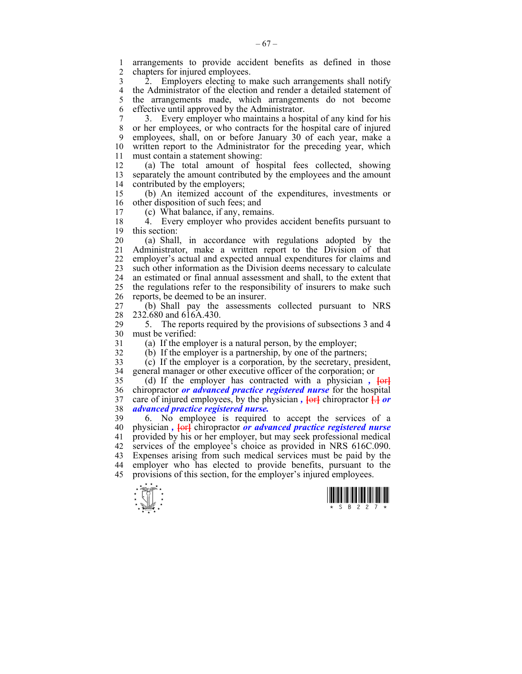1 arrangements to provide accident benefits as defined in those chapters for injured employees.

3 2. Employers electing to make such arrangements shall notify 4 the Administrator of the election and render a detailed statement of 5 the arrangements made, which arrangements do not become 6 effective until approved by the Administrator.

7 3. Every employer who maintains a hospital of any kind for his 8 or her employees, or who contracts for the hospital care of injured 9 employees, shall, on or before January 30 of each year, make a 10 written report to the Administrator for the preceding year, which 11 must contain a statement showing:

12 (a) The total amount of hospital fees collected, showing 13 separately the amount contributed by the employees and the amount 14 contributed by the employers;

15 (b) An itemized account of the expenditures, investments or 16 other disposition of such fees; and<br>17 (c) What balance if any rema

17 (c) What balance, if any, remains.

18 4. Every employer who provides accident benefits pursuant to 19 this section:

20 (a) Shall, in accordance with regulations adopted by the 21 Administrator, make a written report to the Division of that 22 employer's actual and expected annual expenditures for claims and 23 such other information as the Division deems necessary to calculate 24 an estimated or final annual assessment and shall, to the extent that 25 the regulations refer to the responsibility of insurers to make such 26 reports, be deemed to be an insurer.

27 (b) Shall pay the assessments collected pursuant to NRS 28 232.680 and 616A.430.

29 5. The reports required by the provisions of subsections 3 and 4 30 must be verified:

31 (a) If the employer is a natural person, by the employer;

32 (b) If the employer is a partnership, by one of the partners;

33 (c) If the employer is a corporation, by the secretary, president, 34 general manager or other executive officer of the corporation; or

35 (d) If the employer has contracted with a physician *,* **[**or**]** 36 chiropractor *or advanced practice registered nurse* for the hospital 37 care of injured employees, by the physician *,*  $\left\{\text{or} \right\}$  chiropractor  $\frac{\Box}{\Box}$  or advanced practice registered nurse. 38 *advanced practice registered nurse.*

39 6. No employee is required to accept the services of a 40 physician *,* **[**or**]** chiropractor *or advanced practice registered nurse*  41 provided by his or her employer, but may seek professional medical 42 services of the employee's choice as provided in NRS 616C.090. 43 Expenses arising from such medical services must be paid by the 44 employer who has elected to provide benefits, pursuant to the 45 provisions of this section, for the employer's injured employees.



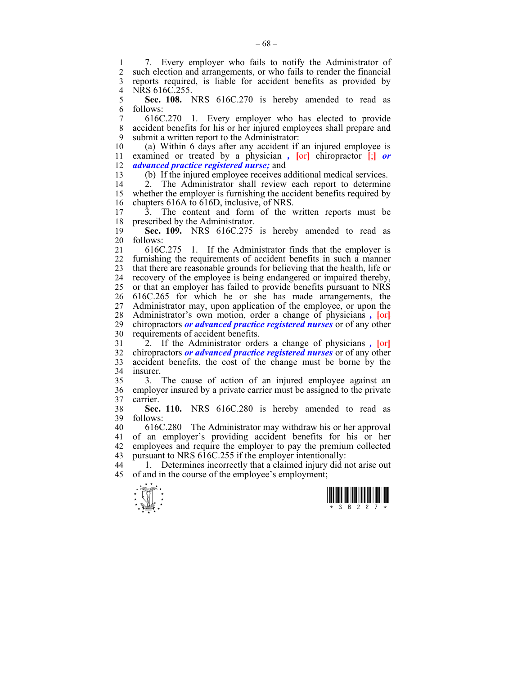1 7. Every employer who fails to notify the Administrator of 2 such election and arrangements or who fails to render the financial such election and arrangements, or who fails to render the financial 3 reports required, is liable for accident benefits as provided by 4 NRS 616C.255.<br>5 **Sec. 108.** 1

5 **Sec. 108.** NRS 616C.270 is hereby amended to read as 6 follows:

7 616C.270 1. Every employer who has elected to provide 8 accident benefits for his or her injured employees shall prepare and 9 submit a written report to the Administrator:

10 (a) Within 6 days after any accident if an injured employee is 11 examined or treated by a physician *,*  $\left\{\text{or} \right\}$  chiropractor  $\left\{\cdot\right\}$  or 12 *advanced practice registered nurse;* and

13 (b) If the injured employee receives additional medical services.

14 2. The Administrator shall review each report to determine 15 whether the employer is furnishing the accident benefits required by 16 chapters 616A to 616D, inclusive, of NRS.

17 3. The content and form of the written reports must be 18 prescribed by the Administrator.

19 **Sec. 109.** NRS 616C.275 is hereby amended to read as 20 follows:

21 616C.275 1. If the Administrator finds that the employer is 22 furnishing the requirements of accident benefits in such a manner 23 that there are reasonable grounds for believing that the health, life or 24 recovery of the employee is being endangered or impaired thereby, 25 or that an employer has failed to provide benefits pursuant to NRS 26 616C.265 for which he or she has made arrangements, the 27 Administrator may, upon application of the employee, or upon the 28 Administrator's own motion, order a change of physicians,  $\overline{\text{for}}$ 29 chiropractors *or advanced practice registered nurses* or of any other 30 requirements of accident benefits.

31 2. If the Administrator orders a change of physicians *,* **[**or**]** 32 chiropractors *or advanced practice registered nurses* or of any other 33 accident benefits, the cost of the change must be borne by the 34 insurer.

35 3. The cause of action of an injured employee against an 36 employer insured by a private carrier must be assigned to the private 37 carrier.

38 **Sec. 110.** NRS 616C.280 is hereby amended to read as 39 follows:

40 616C.280 The Administrator may withdraw his or her approval 41 of an employer's providing accident benefits for his or her 42 employees and require the employer to pay the premium collected 43 pursuant to NRS 616C.255 if the employer intentionally:

44 1. Determines incorrectly that a claimed injury did not arise out 45 of and in the course of the employee's employment;



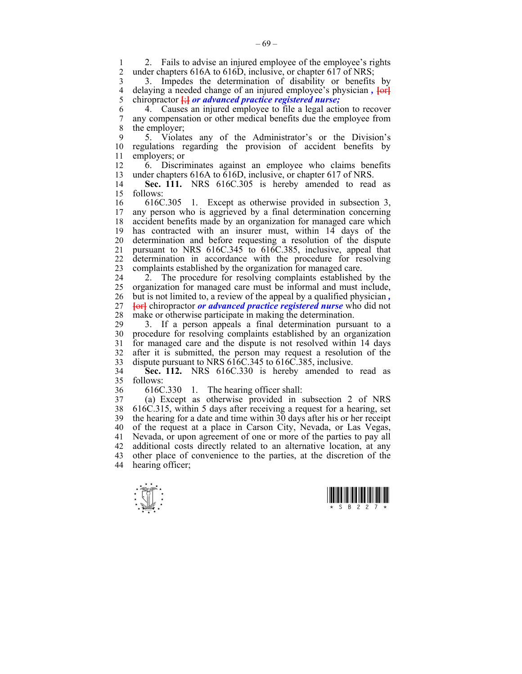2. Fails to advise an injured employee of the employee's rights<br>2. under chapters 616A to 616D inclusive or chapter 617 of NRS: under chapters 616A to 616D, inclusive, or chapter 617 of NRS;

3 3. Impedes the determination of disability or benefits by 4 delaying a needed change of an injured employee's physician,  $\overline{\text{left}}$ <br>5 chiropractor  $\frac{1}{\sqrt{1 + \frac{1}{n}}}$  or advanced practice registered nurse; 5 chiropractor **[**;**]** *or advanced practice registered nurse;*

6 4. Causes an injured employee to file a legal action to recover 7 any compensation or other medical benefits due the employee from 8 the employer;

9 5. Violates any of the Administrator's or the Division's 10 regulations regarding the provision of accident benefits by 11 employers; or

12 6. Discriminates against an employee who claims benefits 13 under chapters 616A to 616D, inclusive, or chapter 617 of NRS.

14 **Sec. 111.** NRS 616C.305 is hereby amended to read as 15 follows:

16 616C.305 1. Except as otherwise provided in subsection 3, 17 any person who is aggrieved by a final determination concerning 18 accident benefits made by an organization for managed care which 19 has contracted with an insurer must, within 14 days of the 20 determination and before requesting a resolution of the dispute 21 pursuant to NRS 616C.345 to 616C.385, inclusive, appeal that 22 determination in accordance with the procedure for resolving 23 complaints established by the organization for managed care.

24 2. The procedure for resolving complaints established by the 25 organization for managed care must be informal and must include, 26 but is not limited to, a review of the appeal by a qualified physician *,*  27 **[**or**]** chiropractor *or advanced practice registered nurse* who did not 28 make or otherwise participate in making the determination.

29 3. If a person appeals a final determination pursuant to a 30 procedure for resolving complaints established by an organization 31 for managed care and the dispute is not resolved within 14 days 32 after it is submitted, the person may request a resolution of the 33 dispute pursuant to NRS 616C.345 to 616C.385, inclusive.

34 **Sec. 112.** NRS 616C.330 is hereby amended to read as 35 follows:

36 616C.330 1. The hearing officer shall:

37 (a) Except as otherwise provided in subsection 2 of NRS 38 616C.315, within 5 days after receiving a request for a hearing, set 39 the hearing for a date and time within 30 days after his or her receipt 40 of the request at a place in Carson City, Nevada, or Las Vegas, 41 Nevada, or upon agreement of one or more of the parties to pay all 42 additional costs directly related to an alternative location, at any 43 other place of convenience to the parties, at the discretion of the 44 hearing officer;



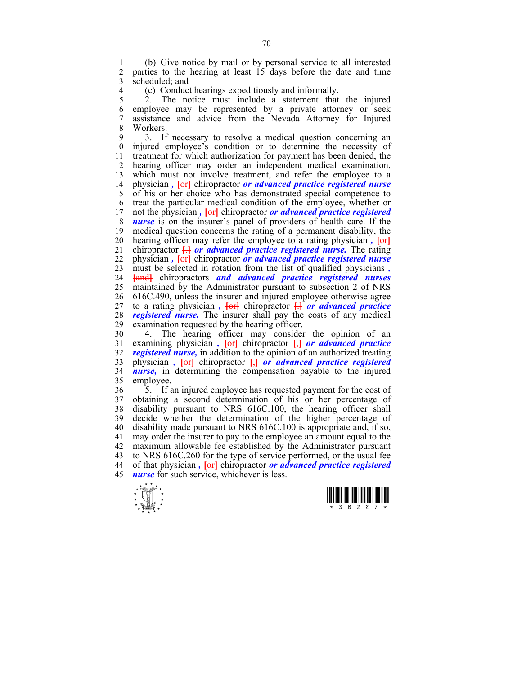1 (b) Give notice by mail or by personal service to all interested parties to the hearing at least  $15$  days before the date and time 3 scheduled; and

4 (c) Conduct hearings expeditiously and informally.<br>5 2. The notice must include a statement that

5 2. The notice must include a statement that the injured 6 employee may be represented by a private attorney or seek 7 assistance and advice from the Nevada Attorney for Injured 8 Workers.

9 3. If necessary to resolve a medical question concerning an 10 injured employee's condition or to determine the necessity of 11 treatment for which authorization for payment has been denied, the 12 hearing officer may order an independent medical examination, 13 which must not involve treatment, and refer the employee to a 14 physician *,* **[**or**]** chiropractor *or advanced practice registered nurse*  15 of his or her choice who has demonstrated special competence to 16 treat the particular medical condition of the employee, whether or 17 not the physician *,* **[**or**]** chiropractor *or advanced practice registered*  18 *nurse* is on the insurer's panel of providers of health care. If the 19 medical question concerns the rating of a permanent disability, the 20 hearing officer may refer the employee to a rating physician *,*  $\overline{\text{6}}$ 21 chiropractor **[**.**]** *or advanced practice registered nurse.* The rating 22 physician *,* **[**or**]** chiropractor *or advanced practice registered nurse*  23 must be selected in rotation from the list of qualified physicians *,*  24 **[**and**]** chiropractors *and advanced practice registered nurses* 25 maintained by the Administrator pursuant to subsection 2 of NRS 26 616C.490, unless the insurer and injured employee otherwise agree 27 to a rating physician,  $\overline{\text{terf}}$  chiropractor  $\overline{\text{H}}$  *or advanced practice* 28 *registered nurse*. The insurer shall pay the costs of any medical examination requested by the hearing officer. examination requested by the hearing officer.

30 4. The hearing officer may consider the opinion of an 31 examining physician *,* **[**or**]** chiropractor **[**,**]** *or advanced practice*  32 *registered nurse,* in addition to the opinion of an authorized treating 33 physician *,* **[**or**]** chiropractor **[**,**]** *or advanced practice registered*  34 *nurse,* in determining the compensation payable to the injured 35 employee.

36 5. If an injured employee has requested payment for the cost of 37 obtaining a second determination of his or her percentage of 38 disability pursuant to NRS 616C.100, the hearing officer shall 39 decide whether the determination of the higher percentage of 40 disability made pursuant to NRS 616C.100 is appropriate and, if so, 41 may order the insurer to pay to the employee an amount equal to the 42 maximum allowable fee established by the Administrator pursuant 43 to NRS 616C.260 for the type of service performed, or the usual fee 44 of that physician *,* **[**or**]** chiropractor *or advanced practice registered*  45 *nurse* for such service, whichever is less.



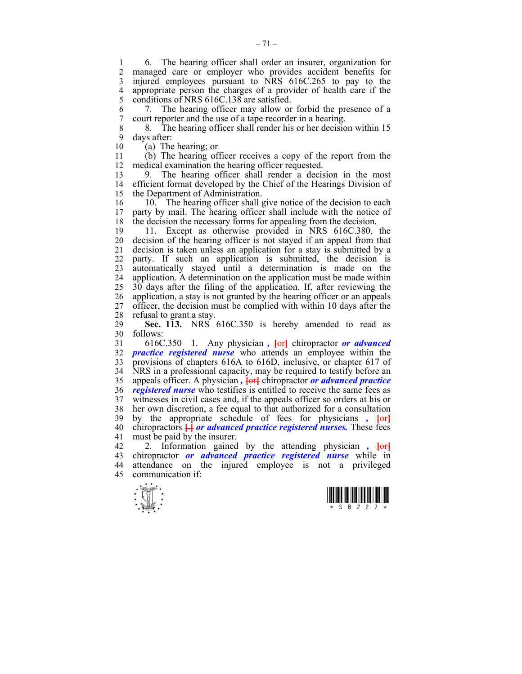1 6. The hearing officer shall order an insurer, organization for managed care or employer who provides accident benefits for 3 injured employees pursuant to NRS 616C.265 to pay to the 4 appropriate person the charges of a provider of health care if the conditions of NRS 616C.138 are satisfied. conditions of NRS 616C.138 are satisfied.

6 7. The hearing officer may allow or forbid the presence of a 7 court reporter and the use of a tape recorder in a hearing.

8 8. The hearing officer shall render his or her decision within 15

9 days after:<br>10 (a) The  $(a)$  The hearing; or

11 (b) The hearing officer receives a copy of the report from the 12 medical examination the hearing officer requested.

13 9. The hearing officer shall render a decision in the most 14 efficient format developed by the Chief of the Hearings Division of 15 the Department of Administration.

16 10. The hearing officer shall give notice of the decision to each 17 party by mail. The hearing officer shall include with the notice of 18 the decision the necessary forms for appealing from the decision.

19 11. Except as otherwise provided in NRS 616C.380, the 20 decision of the hearing officer is not stayed if an appeal from that 21 decision is taken unless an application for a stay is submitted by a 22 party. If such an application is submitted, the decision is 23 automatically stayed until a determination is made on the 24 application. A determination on the application must be made within 25 30 days after the filing of the application. If, after reviewing the 26 application, a stay is not granted by the hearing officer or an appeals 27 officer, the decision must be complied with within 10 days after the 28 refusal to grant a stay.

29 **Sec. 113.** NRS 616C.350 is hereby amended to read as 30 follows:

31 616C.350 1. Any physician *,* **[**or**]** chiropractor *or advanced*  32 *practice registered nurse* who attends an employee within the 33 provisions of chapters 616A to 616D, inclusive, or chapter 617 of 34 NRS in a professional capacity, may be required to testify before an 35 appeals officer. A physician *,* **[**or**]** chiropractor *or advanced practice*  36 *registered nurse* who testifies is entitled to receive the same fees as 37 witnesses in civil cases and, if the appeals officer so orders at his or 38 her own discretion, a fee equal to that authorized for a consultation 39 by the appropriate schedule of fees for physicians *,* **[**or**]** 40 chiropractors **[**.**]** *or advanced practice registered nurses.* These fees 41 must be paid by the insurer.

42 2. Information gained by the attending physician *,* **[**or**]** 43 chiropractor *or advanced practice registered nurse* while in 44 attendance on the injured employee is not a privileged 45 communication if:



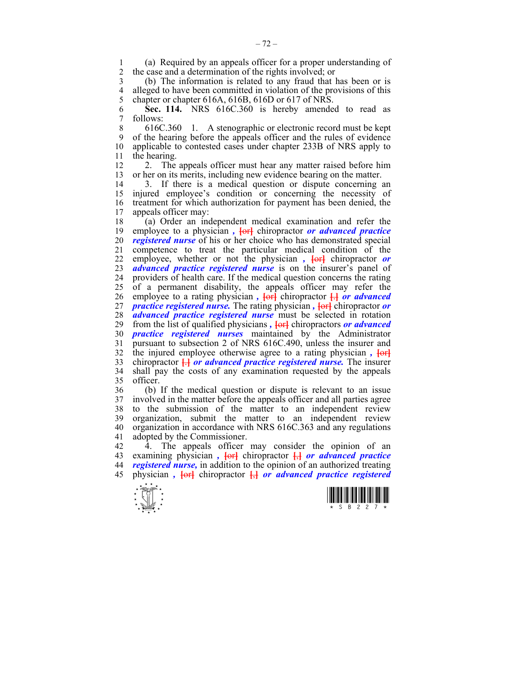1 (a) Required by an appeals officer for a proper understanding of the case and a determination of the rights involved: or 2 the case and a determination of the rights involved; or

3 (b) The information is related to any fraud that has been or is 4 alleged to have been committed in violation of the provisions of this<br>5 chapter or chapter 616A, 616B, 616D or 617 of NRS. chapter or chapter 616A, 616B, 616D or 617 of NRS.

6 **Sec. 114.** NRS 616C.360 is hereby amended to read as 7 follows:

8 616C.360 1. A stenographic or electronic record must be kept 9 of the hearing before the appeals officer and the rules of evidence 10 applicable to contested cases under chapter 233B of NRS apply to 11 the hearing.

12 2. The appeals officer must hear any matter raised before him 13 or her on its merits, including new evidence bearing on the matter.

14 3. If there is a medical question or dispute concerning an 15 injured employee's condition or concerning the necessity of 16 treatment for which authorization for payment has been denied, the 17 appeals officer may:

18 (a) Order an independent medical examination and refer the 19 employee to a physician,  $\frac{1}{\text{erl}}$  chiropractor *or advanced practice* 20 *registered nurse* of his or her choice who has demonstrated special 21 competence to treat the particular medical condition of the 22 employee, whether or not the physician,  $\overline{\text{ter}}$  chiropractor or 23 *advanced practice registered nurse* is on the insurer's panel of 24 providers of health care. If the medical question concerns the rating 25 of a permanent disability, the appeals officer may refer the 26 employee to a rating physician *,* **[**or**]** chiropractor **[**.**]** *or advanced*  27 *practice registered nurse.* The rating physician *,* **[**or**]** chiropractor *or*  28 *advanced practice registered nurse* must be selected in rotation 29 from the list of qualified physicians,  $\frac{1}{2}$  chiropractors *or advanced* 30 *practice registered nurses* maintained by the Administrator 31 pursuant to subsection 2 of NRS 616C.490, unless the insurer and 32 the injured employee otherwise agree to a rating physician *,* **[**or**]** 33 chiropractor **[**.**]** *or advanced practice registered nurse.* The insurer 34 shall pay the costs of any examination requested by the appeals 35 officer.

36 (b) If the medical question or dispute is relevant to an issue 37 involved in the matter before the appeals officer and all parties agree 38 to the submission of the matter to an independent review 39 organization, submit the matter to an independent review 40 organization in accordance with NRS 616C.363 and any regulations 41 adopted by the Commissioner.

42 4. The appeals officer may consider the opinion of an 43 examining physician *,* **[**or**]** chiropractor **[**,**]** *or advanced practice*  44 *registered nurse,* in addition to the opinion of an authorized treating 45 physician *,* **[**or**]** chiropractor **[**,**]** *or advanced practice registered* 



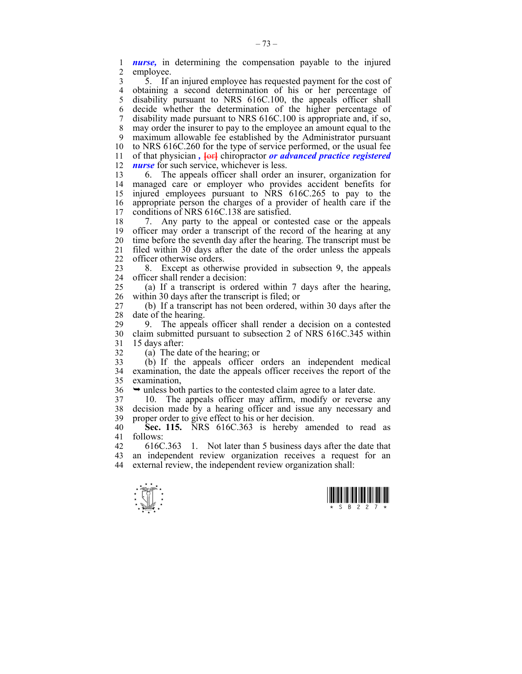1 *nurse,* in determining the compensation payable to the injured employee.

3 5. If an injured employee has requested payment for the cost of 4 obtaining a second determination of his or her percentage of 5 disability pursuant to NRS 616C.100, the appeals officer shall 6 decide whether the determination of the higher percentage of 7 disability made pursuant to NRS 616C.100 is appropriate and, if so, 8 may order the insurer to pay to the employee an amount equal to the 9 maximum allowable fee established by the Administrator pursuant 10 to NRS 616C.260 for the type of service performed, or the usual fee 11 of that physician,  $\frac{1}{\sqrt{c}}$  chiropractor *or advanced practice registered* 12 *nurse* for such service, whichever is less.

13 6. The appeals officer shall order an insurer, organization for 14 managed care or employer who provides accident benefits for 15 injured employees pursuant to NRS 616C.265 to pay to the 16 appropriate person the charges of a provider of health care if the 17 conditions of NRS 616C.138 are satisfied.

18 7. Any party to the appeal or contested case or the appeals 19 officer may order a transcript of the record of the hearing at any 20 time before the seventh day after the hearing. The transcript must be 21 filed within 30 days after the date of the order unless the appeals 22 officer otherwise orders.

23 8. Except as otherwise provided in subsection 9, the appeals 24 officer shall render a decision:

25 (a) If a transcript is ordered within 7 days after the hearing, 26 within 30 days after the transcript is filed; or

27 (b) If a transcript has not been ordered, within 30 days after the 28 date of the hearing.

29 9. The appeals officer shall render a decision on a contested 30 claim submitted pursuant to subsection 2 of NRS 616C.345 within 31 15 days after:

32 (a) The date of the hearing; or

33 (b) If the appeals officer orders an independent medical 34 examination, the date the appeals officer receives the report of the 35 examination,

 $36 \rightarrow$  unless both parties to the contested claim agree to a later date.

37 10. The appeals officer may affirm, modify or reverse any 38 decision made by a hearing officer and issue any necessary and 39 proper order to give effect to his or her decision.

40 **Sec. 115.** NRS 616C.363 is hereby amended to read as 41 follows:

42 616C.363 1. Not later than 5 business days after the date that 43 an independent review organization receives a request for an 44 external review, the independent review organization shall:



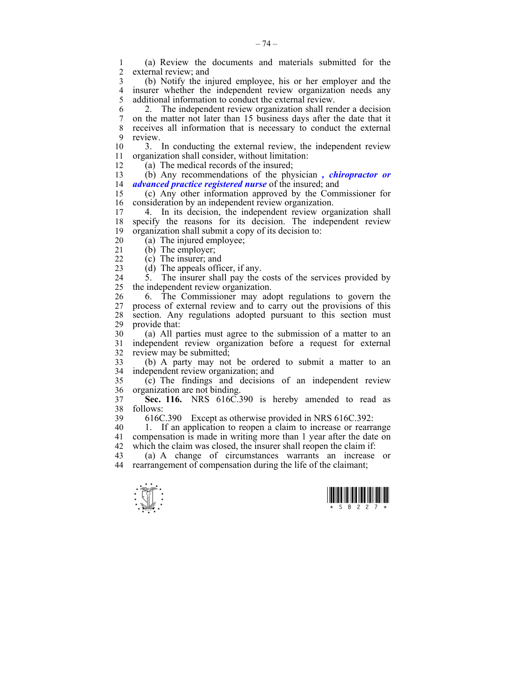1 (a) Review the documents and materials submitted for the external review; and

3 (b) Notify the injured employee, his or her employer and the 4 insurer whether the independent review organization needs any<br>5 additional information to conduct the external review additional information to conduct the external review.

6 2. The independent review organization shall render a decision 7 on the matter not later than 15 business days after the date that it 8 receives all information that is necessary to conduct the external

9 review.<br> $\frac{9}{10}$   $\frac{1}{3}$ 3. In conducting the external review, the independent review 11 organization shall consider, without limitation:

12 (a) The medical records of the insured;

13 (b) Any recommendations of the physician *, chiropractor or*  14 *advanced practice registered nurse* of the insured; and

15 (c) Any other information approved by the Commissioner for 16 consideration by an independent review organization.<br>17 – 4 In its decision the independent review organization.

4. In its decision, the independent review organization shall 18 specify the reasons for its decision. The independent review 19 organization shall submit a copy of its decision to:

20 (a) The injured employee;

- 21 (b) The employer;
- 22 (c) The insurer; and

23 (d) The appeals officer, if any.

24 5. The insurer shall pay the costs of the services provided by 25 the independent review organization.

26 6. The Commissioner may adopt regulations to govern the 27 process of external review and to carry out the provisions of this 28 section. Any regulations adopted pursuant to this section must 29 provide that:

30 (a) All parties must agree to the submission of a matter to an 31 independent review organization before a request for external 32 review may be submitted;

33 (b) A party may not be ordered to submit a matter to an 34 independent review organization; and

35 (c) The findings and decisions of an independent review 36 organization are not binding.

37 **Sec. 116.** NRS 616C.390 is hereby amended to read as 38 follows:

39 616C.390 Except as otherwise provided in NRS 616C.392:

40 1. If an application to reopen a claim to increase or rearrange 41 compensation is made in writing more than 1 year after the date on 42 which the claim was closed, the insurer shall reopen the claim if:

43 (a) A change of circumstances warrants an increase or 44 rearrangement of compensation during the life of the claimant;



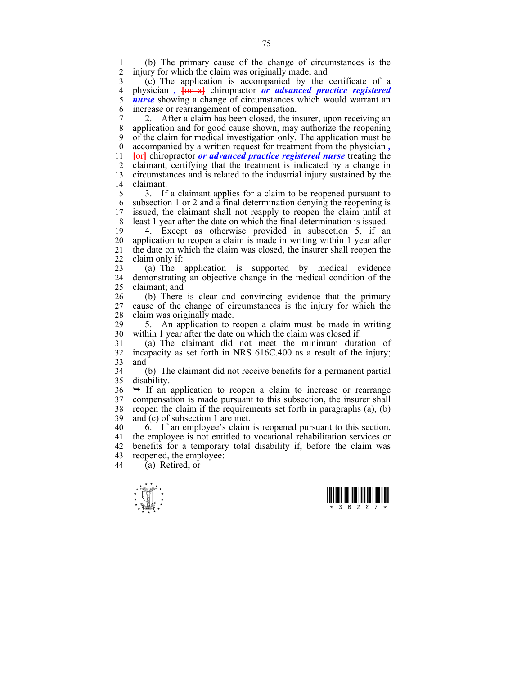1 (b) The primary cause of the change of circumstances is the injury for which the claim was originally made; and

3 (c) The application is accompanied by the certificate of a 4 physician *,* **[**or a**]** chiropractor *or advanced practice registered*  5 *nurse* showing a change of circumstances which would warrant an 6 increase or rearrangement of compensation.

7 2. After a claim has been closed, the insurer, upon receiving an 8 application and for good cause shown, may authorize the reopening 9 of the claim for medical investigation only. The application must be 10 accompanied by a written request for treatment from the physician *,*  11 **[**or**]** chiropractor *or advanced practice registered nurse* treating the 12 claimant, certifying that the treatment is indicated by a change in 13 circumstances and is related to the industrial injury sustained by the 14 claimant.

15 3. If a claimant applies for a claim to be reopened pursuant to 16 subsection 1 or 2 and a final determination denying the reopening is 17 issued, the claimant shall not reapply to reopen the claim until at 18 least 1 year after the date on which the final determination is issued.

19 4. Except as otherwise provided in subsection 5, if an 20 application to reopen a claim is made in writing within 1 year after 21 the date on which the claim was closed, the insurer shall reopen the 22 claim only if:

23 (a) The application is supported by medical evidence 24 demonstrating an objective change in the medical condition of the 25 claimant; and

26 (b) There is clear and convincing evidence that the primary 27 cause of the change of circumstances is the injury for which the 28 claim was originally made.<br>29 5 An application to r

5. An application to reopen a claim must be made in writing 30 within 1 year after the date on which the claim was closed if:

31 (a) The claimant did not meet the minimum duration of 32 incapacity as set forth in NRS 616C.400 as a result of the injury; 33 and

34 (b) The claimant did not receive benefits for a permanent partial 35 disability.

 $36 \rightarrow$  If an application to reopen a claim to increase or rearrange 37 compensation is made pursuant to this subsection, the insurer shall 38 reopen the claim if the requirements set forth in paragraphs (a), (b) 39 and (c) of subsection 1 are met.

 $40$  6. If an employee's claim is reopened pursuant to this section, 41 the employee is not entitled to vocational rehabilitation services or 42 benefits for a temporary total disability if, before the claim was 43 reopened, the employee:<br>44 (a) Retired or

 $\tilde{a}$ ) Retired; or



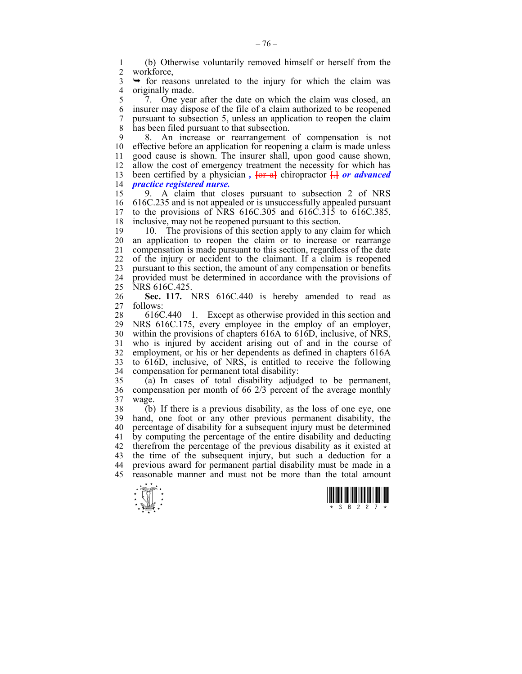1 (b) Otherwise voluntarily removed himself or herself from the workforce.

 $3 \rightarrow$  for reasons unrelated to the injury for which the claim was 4 originally made.<br>5 7. One year

5 7. One year after the date on which the claim was closed, an 6 insurer may dispose of the file of a claim authorized to be reopened 7 pursuant to subsection 5, unless an application to reopen the claim 8 has been filed pursuant to that subsection.

9 8. An increase or rearrangement of compensation is not 10 effective before an application for reopening a claim is made unless 11 good cause is shown. The insurer shall, upon good cause shown, 12 allow the cost of emergency treatment the necessity for which has 13 been certified by a physician,  $\frac{1}{\pi}$  chiropractor  $\frac{1}{\pi}$  or advanced 14 *practice registered nurse.*

15 9. A claim that closes pursuant to subsection 2 of NRS 16 616C.235 and is not appealed or is unsuccessfully appealed pursuant 17 to the provisions of NRS 616C.305 and 616C.315 to 616C.385, 18 inclusive, may not be reopened pursuant to this section.

19 10. The provisions of this section apply to any claim for which 20 an application to reopen the claim or to increase or rearrange 21 compensation is made pursuant to this section, regardless of the date 22 of the injury or accident to the claimant. If a claim is reopened 23 pursuant to this section, the amount of any compensation or benefits 24 provided must be determined in accordance with the provisions of 25 NRS 616C.425.

26 **Sec. 117.** NRS 616C.440 is hereby amended to read as 27 follows:

28 616C.440 1. Except as otherwise provided in this section and 29 NRS 616C.175, every employee in the employ of an employer, 30 within the provisions of chapters 616A to 616D, inclusive, of NRS, 31 who is injured by accident arising out of and in the course of 32 employment, or his or her dependents as defined in chapters 616A 33 to 616D, inclusive, of NRS, is entitled to receive the following 34 compensation for permanent total disability:

35 (a) In cases of total disability adjudged to be permanent, 36 compensation per month of 66 2/3 percent of the average monthly 37 wage.

38 (b) If there is a previous disability, as the loss of one eye, one 39 hand, one foot or any other previous permanent disability, the 40 percentage of disability for a subsequent injury must be determined 41 by computing the percentage of the entire disability and deducting 42 therefrom the percentage of the previous disability as it existed at 43 the time of the subsequent injury, but such a deduction for a 44 previous award for permanent partial disability must be made in a 45 reasonable manner and must not be more than the total amount



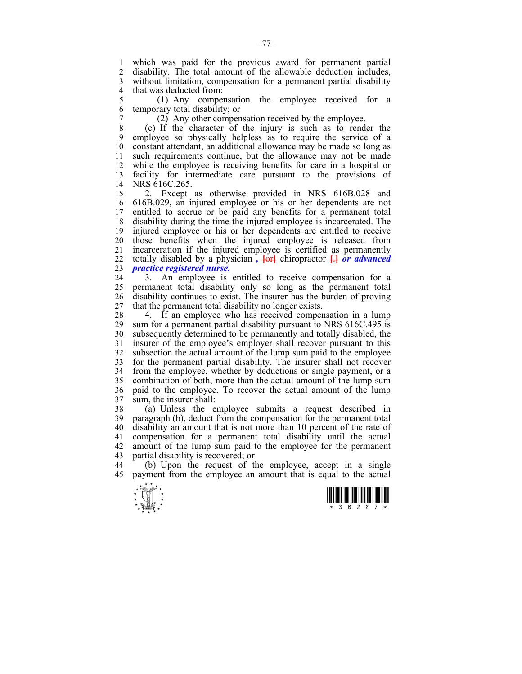1 which was paid for the previous award for permanent partial 2 disability. The total amount of the allowable deduction includes, 3 without limitation, compensation for a permanent partial disability 4 that was deducted from:

5 (1) Any compensation the employee received for a 6 temporary total disability; or

7 (2) Any other compensation received by the employee.

8 (c) If the character of the injury is such as to render the 9 employee so physically helpless as to require the service of a 10 constant attendant, an additional allowance may be made so long as 11 such requirements continue, but the allowance may not be made 12 while the employee is receiving benefits for care in a hospital or 13 facility for intermediate care pursuant to the provisions of 14 NRS 616C.265.

15 2. Except as otherwise provided in NRS 616B.028 and 16 616B.029, an injured employee or his or her dependents are not 17 entitled to accrue or be paid any benefits for a permanent total 18 disability during the time the injured employee is incarcerated. The 19 injured employee or his or her dependents are entitled to receive 20 those benefits when the injured employee is released from 21 incarceration if the injured employee is certified as permanently 22 totally disabled by a physician,  $\frac{1}{\sqrt{c}}$  chiropractor  $\frac{1}{\sqrt{c}}$  or advanced 23 *practice registered nurse.*

24 3. An employee is entitled to receive compensation for a 25 permanent total disability only so long as the permanent total 26 disability continues to exist. The insurer has the burden of proving 27 that the permanent total disability no longer exists.

28 4. If an employee who has received compensation in a lump 29 sum for a permanent partial disability pursuant to NRS 616C.495 is 30 subsequently determined to be permanently and totally disabled, the 31 insurer of the employee's employer shall recover pursuant to this 32 subsection the actual amount of the lump sum paid to the employee 33 for the permanent partial disability. The insurer shall not recover 34 from the employee, whether by deductions or single payment, or a 35 combination of both, more than the actual amount of the lump sum 36 paid to the employee. To recover the actual amount of the lump 37 sum, the insurer shall:

38 (a) Unless the employee submits a request described in 39 paragraph (b), deduct from the compensation for the permanent total 40 disability an amount that is not more than 10 percent of the rate of 41 compensation for a permanent total disability until the actual 42 amount of the lump sum paid to the employee for the permanent 43 partial disability is recovered; or

44 (b) Upon the request of the employee, accept in a single 45 payment from the employee an amount that is equal to the actual



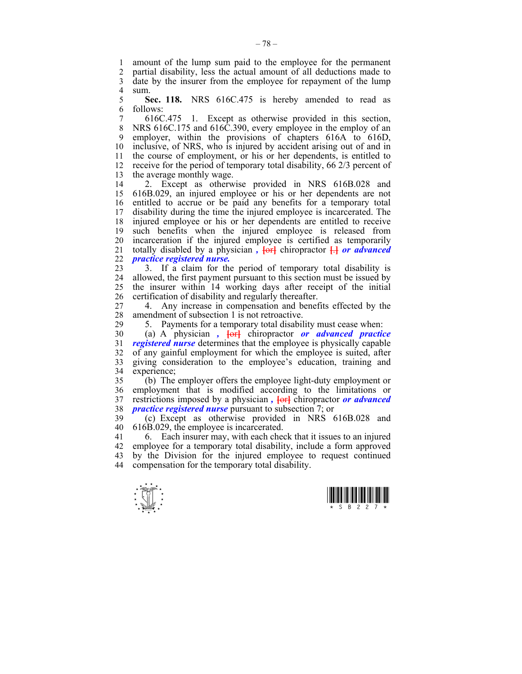1 amount of the lump sum paid to the employee for the permanent 2 partial disability, less the actual amount of all deductions made to 3 date by the insurer from the employee for repayment of the lump 4 sum.<br> $5 \qquad S$ 

5 **Sec. 118.** NRS 616C.475 is hereby amended to read as 6 follows:

7 616C.475 1. Except as otherwise provided in this section, 8 NRS 616C.175 and 616C.390, every employee in the employ of an 9 employer, within the provisions of chapters 616A to 616D, 10 inclusive, of NRS, who is injured by accident arising out of and in 11 the course of employment, or his or her dependents, is entitled to 12 receive for the period of temporary total disability, 66 2/3 percent of 13 the average monthly wage.

14 2. Except as otherwise provided in NRS 616B.028 and 15 616B.029, an injured employee or his or her dependents are not 16 entitled to accrue or be paid any benefits for a temporary total 17 disability during the time the injured employee is incarcerated. The 18 injured employee or his or her dependents are entitled to receive 19 such benefits when the injured employee is released from 20 incarceration if the injured employee is certified as temporarily 21 totally disabled by a physician,  $\{or\}$  chiropractor  $\Box$  *or advanced* 22 *practice registered nurse.*

23 3. If a claim for the period of temporary total disability is 24 allowed, the first payment pursuant to this section must be issued by 25 the insurer within 14 working days after receipt of the initial 26 certification of disability and regularly thereafter.

27 4. Any increase in compensation and benefits effected by the 28 amendment of subsection 1 is not retroactive.

29 5. Payments for a temporary total disability must cease when:

30 (a) A physician *,* **[**or**]** chiropractor *or advanced practice*  31 *registered nurse* determines that the employee is physically capable 32 of any gainful employment for which the employee is suited, after 33 giving consideration to the employee's education, training and 34 experience;

35 (b) The employer offers the employee light-duty employment or 36 employment that is modified according to the limitations or 37 restrictions imposed by a physician *,* **[**or**]** chiropractor *or advanced*  38 *practice registered nurse* pursuant to subsection 7; or

39 (c) Except as otherwise provided in NRS 616B.028 and 40 616B.029, the employee is incarcerated.

41 6. Each insurer may, with each check that it issues to an injured 42 employee for a temporary total disability, include a form approved 43 by the Division for the injured employee to request continued 44 compensation for the temporary total disability.



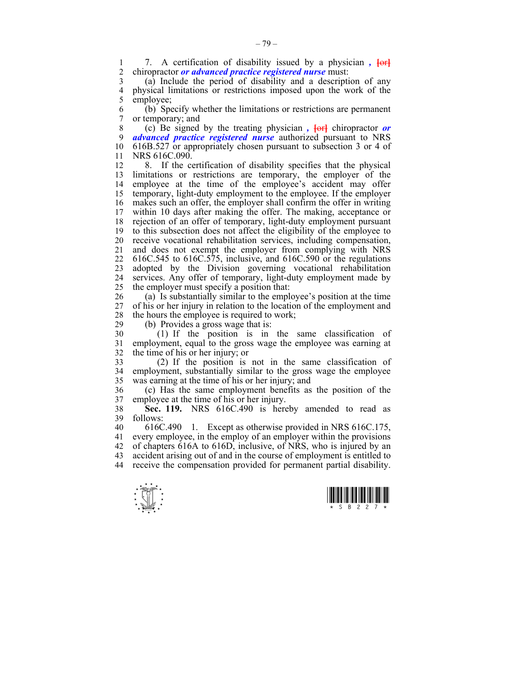1 7. A certification of disability issued by a physician *,*  $\overline{\text{ter}}$ <br>2 chiropractor *or advanced practice registered nurse* must: 2 chiropractor *or advanced practice registered nurse* must:

3 (a) Include the period of disability and a description of any 4 physical limitations or restrictions imposed upon the work of the semployee: employee:

6 (b) Specify whether the limitations or restrictions are permanent 7 or temporary; and

8 (c) Be signed by the treating physician *,* **[**or**]** chiropractor *or*  9 *advanced practice registered nurse* authorized pursuant to NRS 10 616B.527 or appropriately chosen pursuant to subsection 3 or 4 of 11 NRS 616C.090.

12 8. If the certification of disability specifies that the physical 13 limitations or restrictions are temporary, the employer of the 14 employee at the time of the employee's accident may offer 15 temporary, light-duty employment to the employee. If the employer 16 makes such an offer, the employer shall confirm the offer in writing 17 within 10 days after making the offer. The making, acceptance or 18 rejection of an offer of temporary, light-duty employment pursuant 19 to this subsection does not affect the eligibility of the employee to 20 receive vocational rehabilitation services, including compensation, 21 and does not exempt the employer from complying with NRS 22 616C.545 to 616C.575, inclusive, and 616C.590 or the regulations 23 adopted by the Division governing vocational rehabilitation 24 services. Any offer of temporary, light-duty employment made by 25 the employer must specify a position that:

26 (a) Is substantially similar to the employee's position at the time 27 of his or her injury in relation to the location of the employment and 28 the hours the employee is required to work;

29 (b) Provides a gross wage that is:

30 (1) If the position is in the same classification of 31 employment, equal to the gross wage the employee was earning at 32 the time of his or her injury; or

33 (2) If the position is not in the same classification of 34 employment, substantially similar to the gross wage the employee 35 was earning at the time of his or her injury; and

36 (c) Has the same employment benefits as the position of the 37 employee at the time of his or her injury.

38 **Sec. 119.** NRS 616C.490 is hereby amended to read as 39 follows:

40 616C.490 1. Except as otherwise provided in NRS 616C.175, 41 every employee, in the employ of an employer within the provisions 42 of chapters 616A to 616D, inclusive, of NRS, who is injured by an 43 accident arising out of and in the course of employment is entitled to 44 receive the compensation provided for permanent partial disability.



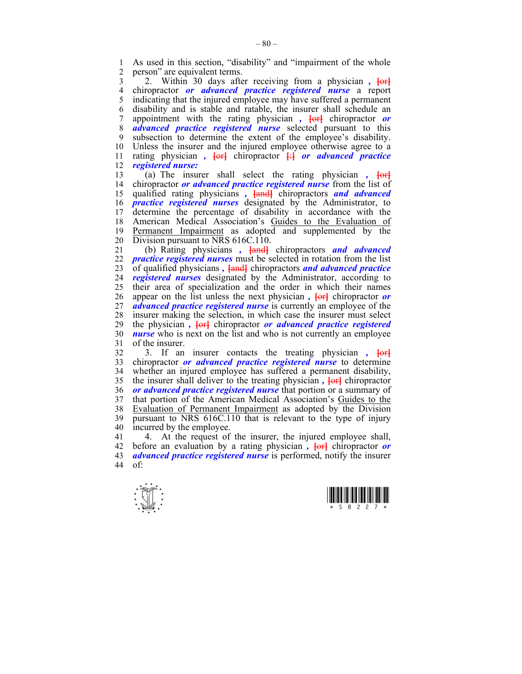1 As used in this section, "disability" and "impairment of the whole<br>2 nerson" are equivalent terms person" are equivalent terms.

3 2. Within 30 days after receiving from a physician *,* **[**or**]** 4 chiropractor *or advanced practice registered nurse* a report 5 indicating that the injured employee may have suffered a permanent 6 disability and is stable and ratable, the insurer shall schedule an 7 appointment with the rating physician *,* **[**or**]** chiropractor *or*  8 *advanced practice registered nurse* selected pursuant to this 9 subsection to determine the extent of the employee's disability. 10 Unless the insurer and the injured employee otherwise agree to a 11 rating physician *,* **[**or**]** chiropractor **[**:**]** *or advanced practice*  12 *registered nurse:*

13 (a) The insurer shall select the rating physician *,* **[**or**]** 14 chiropractor *or advanced practice registered nurse* from the list of 15 qualified rating physicians *,* **[**and**]** chiropractors *and advanced*  16 *practice registered nurses* designated by the Administrator, to 17 determine the percentage of disability in accordance with the 18 American Medical Association's Guides to the Evaluation of 19 Permanent Impairment as adopted and supplemented by the 20 Division pursuant to NRS 616C.110.

21 (b) Rating physicians *,* **[**and**]** chiropractors *and advanced*  22 *practice registered nurses* must be selected in rotation from the list 23 of qualified physicians *,* **[**and**]** chiropractors *and advanced practice*  24 *registered nurses* designated by the Administrator, according to 25 their area of specialization and the order in which their names 26 appear on the list unless the next physician,  $\frac{1}{\pi}$  chiropractor *or* 27 *advanced practice registered nurse* is currently an employee of the 28 insurer making the selection, in which case the insurer must select 29 the physician *,* **[**or**]** chiropractor *or advanced practice registered*  30 *nurse* who is next on the list and who is not currently an employee 31 of the insurer.

32 3. If an insurer contacts the treating physician *,* **[**or**]** 33 chiropractor *or advanced practice registered nurse* to determine 34 whether an injured employee has suffered a permanent disability, 35 the insurer shall deliver to the treating physician *,* **[**or**]** chiropractor 36 *or advanced practice registered nurse* that portion or a summary of 37 that portion of the American Medical Association's Guides to the 38 Evaluation of Permanent Impairment as adopted by the Division 39 pursuant to NRS 616C.110 that is relevant to the type of injury 40 incurred by the employee.

41 4. At the request of the insurer, the injured employee shall, 42 before an evaluation by a rating physician *,* **[**or**]** chiropractor *or*  43 *advanced practice registered nurse* is performed, notify the insurer  $44$  of



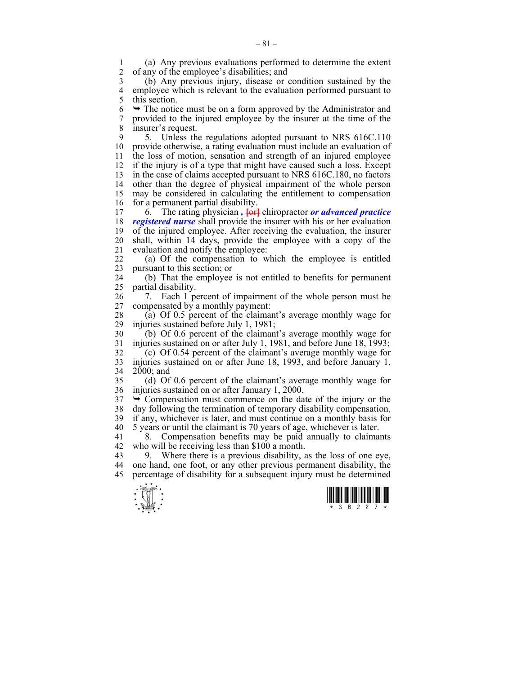1 (a) Any previous evaluations performed to determine the extent 2 of any of the employee's disabilities; and

3 (b) Any previous injury, disease or condition sustained by the 4 employee which is relevant to the evaluation performed pursuant to this section. this section.

 $6 \rightarrow$  The notice must be on a form approved by the Administrator and 7 provided to the injured employee by the insurer at the time of the 8 insurer's request.

9 5. Unless the regulations adopted pursuant to NRS 616C.110 10 provide otherwise, a rating evaluation must include an evaluation of 11 the loss of motion, sensation and strength of an injured employee 12 if the injury is of a type that might have caused such a loss. Except 13 in the case of claims accepted pursuant to NRS 616C.180, no factors 14 other than the degree of physical impairment of the whole person 15 may be considered in calculating the entitlement to compensation 16 for a permanent partial disability.

17 6. The rating physician, **{or}** chiropractor *or advanced practice* 18 *registered nurse* shall provide the insurer with his or her evaluation 19 of the injured employee. After receiving the evaluation, the insurer 20 shall, within 14 days, provide the employee with a copy of the 21 evaluation and notify the employee:

22 (a) Of the compensation to which the employee is entitled 23 pursuant to this section; or

24 (b) That the employee is not entitled to benefits for permanent 25 partial disability.

26 7. Each 1 percent of impairment of the whole person must be 27 compensated by a monthly payment:

28 (a) Of 0.5 percent of the claimant's average monthly wage for injuries sustained before July 1, 1981: injuries sustained before July 1, 1981;

30 (b) Of 0.6 percent of the claimant's average monthly wage for 31 injuries sustained on or after July 1, 1981, and before June 18, 1993;

32 (c) Of 0.54 percent of the claimant's average monthly wage for 33 injuries sustained on or after June 18, 1993, and before January 1, 34 2000; and

35 (d) Of 0.6 percent of the claimant's average monthly wage for 36 injuries sustained on or after January 1, 2000.

 $37 \rightarrow$  Compensation must commence on the date of the injury or the 38 day following the termination of temporary disability compensation, 39 if any, whichever is later, and must continue on a monthly basis for 40 5 years or until the claimant is 70 years of age, whichever is later.

41 8. Compensation benefits may be paid annually to claimants 42 who will be receiving less than \$100 a month.

43 9. Where there is a previous disability, as the loss of one eye, 44 one hand, one foot, or any other previous permanent disability, the 45 percentage of disability for a subsequent injury must be determined

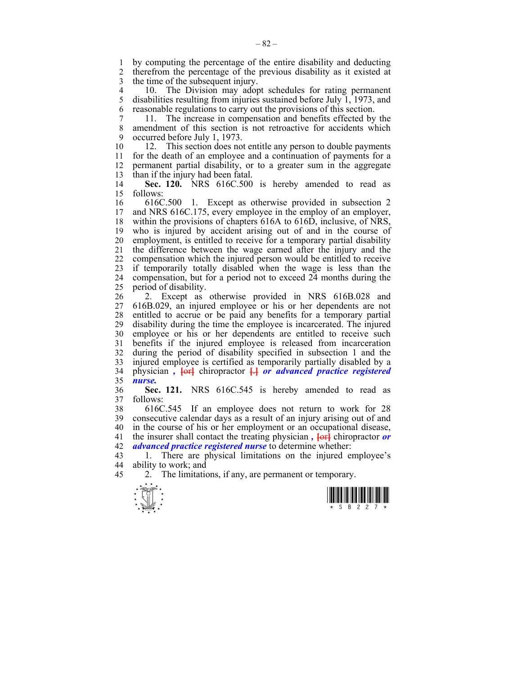1 by computing the percentage of the entire disability and deducting<br>2 therefrom the percentage of the previous disability as it existed at 2 therefrom the percentage of the previous disability as it existed at 3 the time of the subsequent injury.

4 10. The Division may adopt schedules for rating permanent 5 disabilities resulting from injuries sustained before July 1, 1973, and 6 reasonable regulations to carry out the provisions of this section.

7 11. The increase in compensation and benefits effected by the 8 amendment of this section is not retroactive for accidents which 9 occurred before July 1, 1973.

10 12. This section does not entitle any person to double payments 11 for the death of an employee and a continuation of payments for a 12 permanent partial disability, or to a greater sum in the aggregate 13 than if the injury had been fatal.

14 **Sec. 120.** NRS 616C.500 is hereby amended to read as 15 follows:

16 616C.500 1. Except as otherwise provided in subsection 2 17 and NRS 616C.175, every employee in the employ of an employer, 18 within the provisions of chapters 616A to 616D, inclusive, of NRS, 19 who is injured by accident arising out of and in the course of 20 employment, is entitled to receive for a temporary partial disability 21 the difference between the wage earned after the injury and the 22 compensation which the injured person would be entitled to receive 23 if temporarily totally disabled when the wage is less than the 24 compensation, but for a period not to exceed 24 months during the 25 period of disability.

26 2. Except as otherwise provided in NRS 616B.028 and 27 616B.029, an injured employee or his or her dependents are not 28 entitled to accrue or be paid any benefits for a temporary partial 29 disability during the time the employee is incarcerated. The injured 30 employee or his or her dependents are entitled to receive such 31 benefits if the injured employee is released from incarceration 32 during the period of disability specified in subsection 1 and the 33 injured employee is certified as temporarily partially disabled by a 34 physician *,* **[**or**]** chiropractor **[**.**]** *or advanced practice registered*  35 *nurse.*

36 **Sec. 121.** NRS 616C.545 is hereby amended to read as 37 follows:

38 616C.545 If an employee does not return to work for 28 39 consecutive calendar days as a result of an injury arising out of and 40 in the course of his or her employment or an occupational disease, 41 the insurer shall contact the treating physician *,* **[**or**]** chiropractor *or*  42 *advanced practice registered nurse* to determine whether:

43 1. There are physical limitations on the injured employee's 44 ability to work; and

45 2. The limitations, if any, are permanent or temporary.



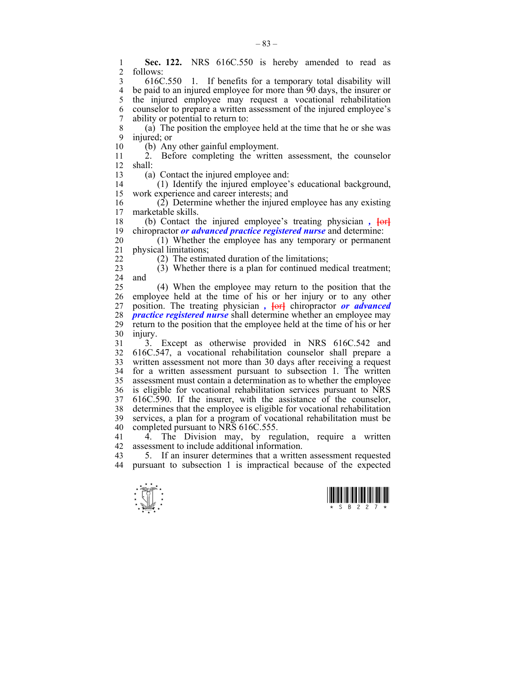1 **Sec. 122.** NRS 616C.550 is hereby amended to read as 2 follows: follows: 3 616C.550 1. If benefits for a temporary total disability will 4 be paid to an injured employee for more than  $\overline{90}$  days, the insurer or the injured employee may request a vocational rehabilitation the injured employee may request a vocational rehabilitation 6 counselor to prepare a written assessment of the injured employee's 7 ability or potential to return to: 8 (a) The position the employee held at the time that he or she was 9 injured; or 10 (b) Any other gainful employment. 11 2. Before completing the written assessment, the counselor 12 shall: 13 (a) Contact the injured employee and: 14 (1) Identify the injured employee's educational background, 15 work experience and career interests; and 16 (2) Determine whether the injured employee has any existing narketable skills marketable skills. 18 (b) Contact the injured employee's treating physician *,* **[**or**]** 19 chiropractor *or advanced practice registered nurse* and determine: 20 (1) Whether the employee has any temporary or permanent 21 physical limitations; 22 (2) The estimated duration of the limitations; 23 (3) Whether there is a plan for continued medical treatment; 24 and 25 (4) When the employee may return to the position that the 26 employee held at the time of his or her injury or to any other 27 position. The treating physician *,* **[or**] chiropractor *or advanced* 28 *practice registered nurse* shall determine whether an employee may 29 return to the position that the employee held at the time of his or her 30 injury. 31 3. Except as otherwise provided in NRS 616C.542 and 32 616C.547, a vocational rehabilitation counselor shall prepare a 33 written assessment not more than 30 days after receiving a request 34 for a written assessment pursuant to subsection 1. The written 35 assessment must contain a determination as to whether the employee 36 is eligible for vocational rehabilitation services pursuant to NRS 37 616C.590. If the insurer, with the assistance of the counselor, 38 determines that the employee is eligible for vocational rehabilitation 39 services, a plan for a program of vocational rehabilitation must be 40 completed pursuant to NRS 616C.555. 41 4. The Division may, by regulation, require a written 42 assessment to include additional information.<br>43 5. If an insurer determines that a writter 43 5. If an insurer determines that a written assessment requested<br>44 pursuant to subsection 1 is impractical because of the expected pursuant to subsection 1 is impractical because of the expected



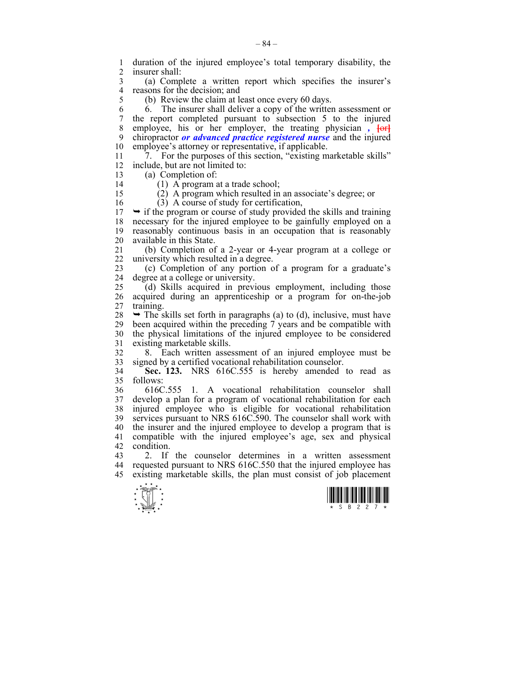1 duration of the injured employee's total temporary disability, the insurer shall insurer shall:

3 (a) Complete a written report which specifies the insurer's 4 reasons for the decision; and<br>5 (b) Review the claim at  $\frac{1}{2}$ 

(b) Review the claim at least once every 60 days.

6 6. The insurer shall deliver a copy of the written assessment or 7 the report completed pursuant to subsection 5 to the injured 8 employee, his or her employer, the treating physician **for** 9 chiropractor *or advanced practice registered nurse* and the injured 10 employee's attorney or representative, if applicable.

11  $\overline{7}$ . For the purposes of this section, "existing marketable skills" 12 include, but are not limited to:

13 (a) Completion of:

14 (1) A program at a trade school;

15 (2) A program which resulted in an associate's degree; or 16 (3) A course of study for certification,

 $17 \rightarrow$  if the program or course of study provided the skills and training 18 necessary for the injured employee to be gainfully employed on a 19 reasonably continuous basis in an occupation that is reasonably 20 available in this State.

21 (b) Completion of a 2-year or 4-year program at a college or 22 university which resulted in a degree.

23 (c) Completion of any portion of a program for a graduate's 24 degree at a college or university.

25 (d) Skills acquired in previous employment, including those 26 acquired during an apprenticeship or a program for on-the-job 27 training.

 $28 \rightarrow$  The skills set forth in paragraphs (a) to (d), inclusive, must have 29 been acquired within the preceding 7 years and be compatible with 30 the physical limitations of the injured employee to be considered 31 existing marketable skills.

32 8. Each written assessment of an injured employee must be 33 signed by a certified vocational rehabilitation counselor.

34 **Sec. 123.** NRS 616C.555 is hereby amended to read as 35 follows:

36 616C.555 1. A vocational rehabilitation counselor shall 37 develop a plan for a program of vocational rehabilitation for each injured employee who is eligible for vocational rehabilitation 39 services pursuant to NRS 616C.590. The counselor shall work with 40 the insurer and the injured employee to develop a program that is 41 compatible with the injured employee's age, sex and physical 42 condition.

43 2. If the counselor determines in a written assessment 44 requested pursuant to NRS 616C.550 that the injured employee has 45 existing marketable skills, the plan must consist of job placement



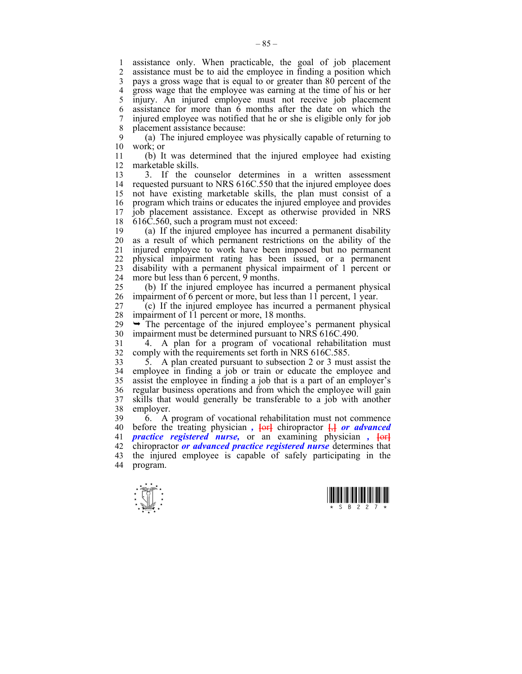1 assistance only. When practicable, the goal of job placement 2 assistance must be to aid the employee in finding a position which 3 pays a gross wage that is equal to or greater than 80 percent of the 4 gross wage that the employee was earning at the time of his or her 5 injury. An injured employee must not receive job placement 6 assistance for more than 6 months after the date on which the 7 injured employee was notified that he or she is eligible only for job 8 placement assistance because:

9 (a) The injured employee was physically capable of returning to 10 work; or

11 (b) It was determined that the injured employee had existing 12 marketable skills.

13 3. If the counselor determines in a written assessment 14 requested pursuant to NRS 616C.550 that the injured employee does 15 not have existing marketable skills, the plan must consist of a 16 program which trains or educates the injured employee and provides 17 job placement assistance. Except as otherwise provided in NRS 18 616C.560, such a program must not exceed:

19 (a) If the injured employee has incurred a permanent disability 20 as a result of which permanent restrictions on the ability of the 21 injured employee to work have been imposed but no permanent 22 physical impairment rating has been issued, or a permanent 23 disability with a permanent physical impairment of 1 percent or 24 more but less than 6 percent, 9 months.

25 (b) If the injured employee has incurred a permanent physical 26 impairment of 6 percent or more, but less than 11 percent, 1 year.

27 (c) If the injured employee has incurred a permanent physical 28 impairment of 11 percent or more, 18 months.

 $29 \rightarrow$  The percentage of the injured employee's permanent physical 30 impairment must be determined pursuant to NRS 616C.490.

31 4. A plan for a program of vocational rehabilitation must 32 comply with the requirements set forth in NRS 616C.585.

33 5. A plan created pursuant to subsection 2 or 3 must assist the 34 employee in finding a job or train or educate the employee and 35 assist the employee in finding a job that is a part of an employer's 36 regular business operations and from which the employee will gain 37 skills that would generally be transferable to a job with another 38 employer.

39 6. A program of vocational rehabilitation must not commence 40 before the treating physician *,* **[**or**]** chiropractor **[**,**]** *or advanced*  41 *practice registered nurse,* or an examining physician *,* **[**or**]** 42 chiropractor *or advanced practice registered nurse* determines that 43 the injured employee is capable of safely participating in the 44 program.



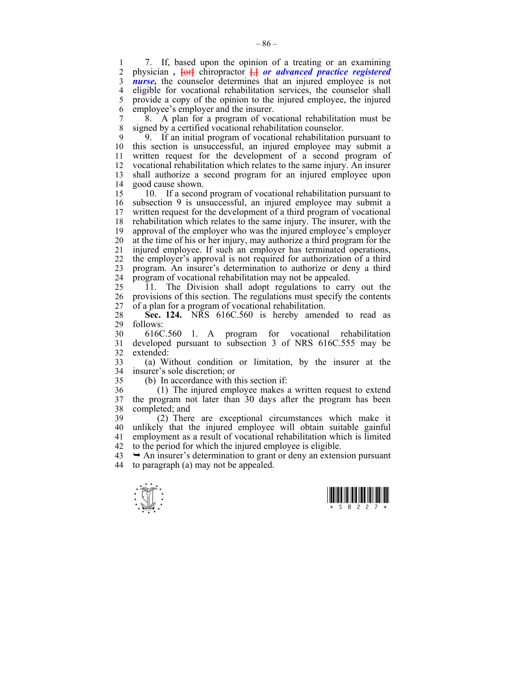1 7. If, based upon the opinion of a treating or an examining<br>2 physician,  $\frac{1}{2}$  chiropractor  $\frac{1}{2}$  or advanced practice registered 2 physician *,* **[**or**]** chiropractor **[**,**]** *or advanced practice registered*  3 *nurse,* the counselor determines that an injured employee is not 4 eligible for vocational rehabilitation services, the counselor shall 5 provide a copy of the opinion to the injured employee, the injured 6 employee's employer and the insurer.

7 8. A plan for a program of vocational rehabilitation must be 8 signed by a certified vocational rehabilitation counselor.

9 9. If an initial program of vocational rehabilitation pursuant to 10 this section is unsuccessful, an injured employee may submit a 11 written request for the development of a second program of 12 vocational rehabilitation which relates to the same injury. An insurer 13 shall authorize a second program for an injured employee upon 14 good cause shown.

15 10. If a second program of vocational rehabilitation pursuant to 16 subsection 9 is unsuccessful, an injured employee may submit a 17 written request for the development of a third program of vocational 18 rehabilitation which relates to the same injury. The insurer, with the 19 approval of the employer who was the injured employee's employer 20 at the time of his or her injury, may authorize a third program for the 21 injured employee. If such an employer has terminated operations, 22 the employer's approval is not required for authorization of a third 23 program. An insurer's determination to authorize or deny a third 24 program of vocational rehabilitation may not be appealed.

25 11. The Division shall adopt regulations to carry out the 26 provisions of this section. The regulations must specify the contents 27 of a plan for a program of vocational rehabilitation.

28 **Sec. 124.** NRS 616C.560 is hereby amended to read as  $29$  follows: follows:

30 616C.560 1. A program for vocational rehabilitation 31 developed pursuant to subsection 3 of NRS 616C.555 may be 32 extended:

33 (a) Without condition or limitation, by the insurer at the 34 insurer's sole discretion; or

35 (b) In accordance with this section if:

36 (1) The injured employee makes a written request to extend 37 the program not later than 30 days after the program has been 38 completed; and

39 (2) There are exceptional circumstances which make it 40 unlikely that the injured employee will obtain suitable gainful 41 employment as a result of vocational rehabilitation which is limited 42 to the period for which the injured employee is eligible.

 $43 \rightarrow An$  insurer's determination to grant or deny an extension pursuant 44 to paragraph (a) may not be appealed.



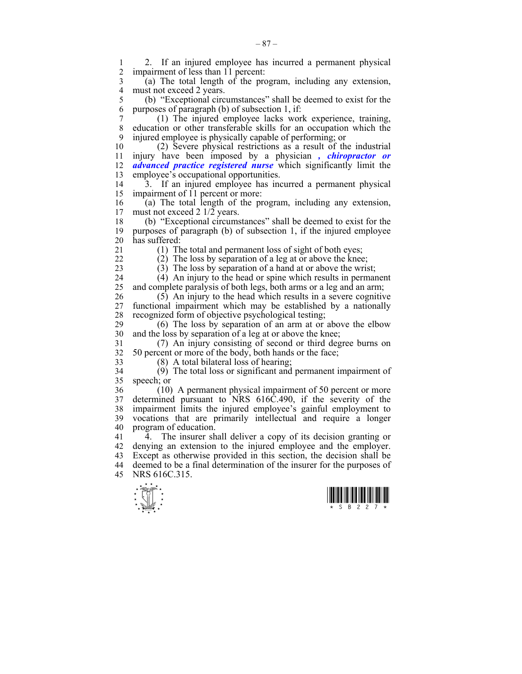1 2. If an injured employee has incurred a permanent physical<br>2. impairment of less than 11 percent: impairment of less than 11 percent:

3 (a) The total length of the program, including any extension, 4 must not exceed 2 years.<br>5 (b) "Exceptional circ

5 (b) "Exceptional circumstances" shall be deemed to exist for the 6 purposes of paragraph (b) of subsection 1, if:

7 (1) The injured employee lacks work experience, training, 8 education or other transferable skills for an occupation which the 9 injured employee is physically capable of performing; or

10 (2) Severe physical restrictions as a result of the industrial 11 injury have been imposed by a physician *, chiropractor or*  12 *advanced practice registered nurse* which significantly limit the 13 employee's occupational opportunities.

14 3. If an injured employee has incurred a permanent physical 15 impairment of 11 percent or more:

16 (a) The total length of the program, including any extension,  $17$  must not exceed 2  $1/2$  years. must not exceed 2 1/2 years.

18 (b) "Exceptional circumstances" shall be deemed to exist for the 19 purposes of paragraph (b) of subsection 1, if the injured employee 20 has suffered:

21 (1) The total and permanent loss of sight of both eyes;

22 (2) The loss by separation of a leg at or above the knee;

23 (3) The loss by separation of a hand at or above the wrist;

24 (4) An injury to the head or spine which results in permanent 25 and complete paralysis of both legs, both arms or a leg and an arm;

26 (5) An injury to the head which results in a severe cognitive 27 functional impairment which may be established by a nationally 28 recognized form of objective psychological testing;

29 (6) The loss by separation of an arm at or above the elbow 30 and the loss by separation of a leg at or above the knee;

31 (7) An injury consisting of second or third degree burns on 32 50 percent or more of the body, both hands or the face;

33 (8) A total bilateral loss of hearing;

34 (9) The total loss or significant and permanent impairment of 35 speech; or

36 (10) A permanent physical impairment of 50 percent or more 37 determined pursuant to NRS 616C.490, if the severity of the 38 impairment limits the injured employee's gainful employment to 39 vocations that are primarily intellectual and require a longer 40 program of education.

41 4. The insurer shall deliver a copy of its decision granting or 42 denying an extension to the injured employee and the employer. 43 Except as otherwise provided in this section, the decision shall be 44 deemed to be a final determination of the insurer for the purposes of 45 NRS 616C.315.





– 87 –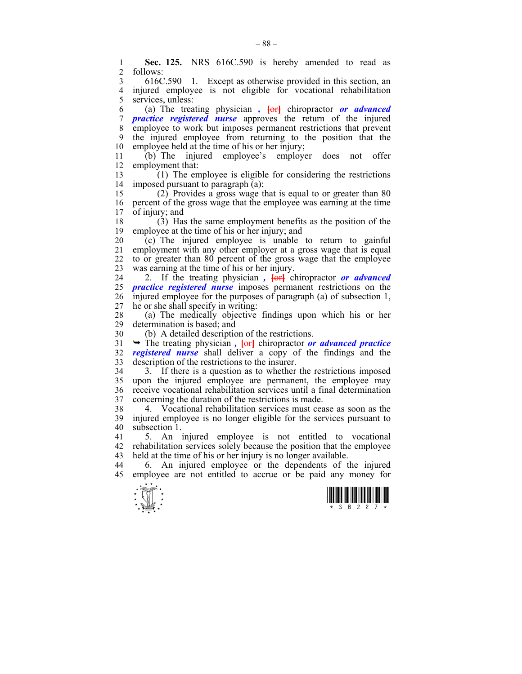1 **Sec. 125.** NRS 616C.590 is hereby amended to read as 2 follows: follows:

3 616C.590 1. Except as otherwise provided in this section, an 4 injured employee is not eligible for vocational rehabilitation<br>5 services unless: services, unless:

6 (a) The treating physician *,* **[**or**]** chiropractor *or advanced*  7 *practice registered nurse* approves the return of the injured 8 employee to work but imposes permanent restrictions that prevent 9 the injured employee from returning to the position that the 10 employee held at the time of his or her injury;

11 (b) The injured employee's employer does not offer 12 employment that:

13 (1) The employee is eligible for considering the restrictions 14 imposed pursuant to paragraph (a);

15 (2) Provides a gross wage that is equal to or greater than 80 16 percent of the gross wage that the employee was earning at the time 17 of injury; and

18 (3) Has the same employment benefits as the position of the 19 employee at the time of his or her injury; and

20 (c) The injured employee is unable to return to gainful 21 employment with any other employer at a gross wage that is equal 22 to or greater than 80 percent of the gross wage that the employee 23 was earning at the time of his or her injury.

24 2. If the treating physician,  $\frac{1}{2}$  chiropractor *or advanced* 25 *practice registered nurse* imposes permanent restrictions on the 26 injured employee for the purposes of paragraph (a) of subsection 1, 27 he or she shall specify in writing:

28 (a) The medically objective findings upon which his or her determination is based; and

30 (b) A detailed description of the restrictions.

31 ¬ The treating physician *,* **[**or**]** chiropractor *or advanced practice*  32 *registered nurse* shall deliver a copy of the findings and the 33 description of the restrictions to the insurer.

34 3. If there is a question as to whether the restrictions imposed 35 upon the injured employee are permanent, the employee may 36 receive vocational rehabilitation services until a final determination 37 concerning the duration of the restrictions is made.

38 4. Vocational rehabilitation services must cease as soon as the 39 injured employee is no longer eligible for the services pursuant to 40 subsection 1.

41 5. An injured employee is not entitled to vocational 42 rehabilitation services solely because the position that the employee 43 held at the time of his or her injury is no longer available.

44 6. An injured employee or the dependents of the injured 45 employee are not entitled to accrue or be paid any money for



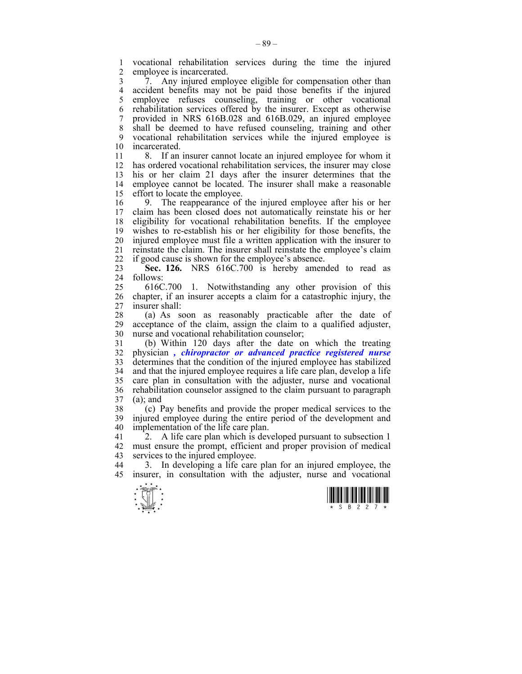1 vocational rehabilitation services during the time the injured employee is incarcerated.

3 7. Any injured employee eligible for compensation other than 4 accident benefits may not be paid those benefits if the injured<br>5 employee refuses counseling, training or other vocational 5 employee refuses counseling, training or other vocational 6 rehabilitation services offered by the insurer. Except as otherwise 7 provided in NRS 616B.028 and 616B.029, an injured employee 8 shall be deemed to have refused counseling, training and other 9 vocational rehabilitation services while the injured employee is incarcerated

11 8. If an insurer cannot locate an injured employee for whom it 12 has ordered vocational rehabilitation services, the insurer may close 13 his or her claim 21 days after the insurer determines that the 14 employee cannot be located. The insurer shall make a reasonable 15 effort to locate the employee.

16 9. The reappearance of the injured employee after his or her 17 claim has been closed does not automatically reinstate his or her claim has been closed does not automatically reinstate his or her 18 eligibility for vocational rehabilitation benefits. If the employee 19 wishes to re-establish his or her eligibility for those benefits, the 20 injured employee must file a written application with the insurer to 21 reinstate the claim. The insurer shall reinstate the employee's claim 22 if good cause is shown for the employee's absence.

23 **Sec. 126.** NRS 616C.700 is hereby amended to read as 24 follows:

25 616C.700 1. Notwithstanding any other provision of this 26 chapter, if an insurer accepts a claim for a catastrophic injury, the 27 insurer shall:

28 (a) As soon as reasonably practicable after the date of 29 accentance of the claim assign the claim to a qualified adjuster acceptance of the claim, assign the claim to a qualified adjuster, 30 nurse and vocational rehabilitation counselor;

31 (b) Within 120 days after the date on which the treating 32 physician *, chiropractor or advanced practice registered nurse* 33 determines that the condition of the injured employee has stabilized 34 and that the injured employee requires a life care plan, develop a life 35 care plan in consultation with the adjuster, nurse and vocational 36 rehabilitation counselor assigned to the claim pursuant to paragraph 37 (a); and

38 (c) Pay benefits and provide the proper medical services to the 39 injured employee during the entire period of the development and 40 implementation of the life care plan.

41 2. A life care plan which is developed pursuant to subsection 1 42 must ensure the prompt, efficient and proper provision of medical 43 services to the injured employee.

44 3. In developing a life care plan for an injured employee, the 45 insurer, in consultation with the adjuster, nurse and vocational



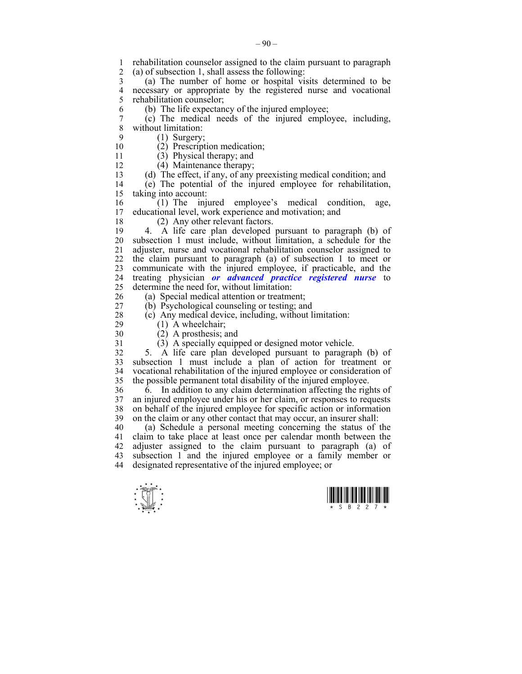- 1 rehabilitation counselor assigned to the claim pursuant to paragraph 2 (a) of subsection 1 shall assess the following  $(a)$  of subsection 1, shall assess the following:
- 3 (a) The number of home or hospital visits determined to be 4 necessary or appropriate by the registered nurse and vocational relation counselor: rehabilitation counselor:
- 6 (b) The life expectancy of the injured employee;
- 7 (c) The medical needs of the injured employee, including, without limitation:
- 
- 9 (1) Surgery;<br>10 (2) Prescript  $(2)$  Prescription medication;
- 
- 11 (3) Physical therapy; and
- 12 (4) Maintenance therapy;
- 13 (d) The effect, if any, of any preexisting medical condition; and 14 (e) The potential of the injured employee for rehabilitation,

15 taking into account:

- 16 (1) The injured employee's medical condition, age, educational level, work experience and motivation; and
- 
- 18 (2) Any other relevant factors.
- 19 4. A life care plan developed pursuant to paragraph (b) of 20 subsection 1 must include, without limitation, a schedule for the 21 adjuster, nurse and vocational rehabilitation counselor assigned to 22 the claim pursuant to paragraph (a) of subsection 1 to meet or 23 communicate with the injured employee, if practicable, and the 24 treating physician *or advanced practice registered nurse* to 25 determine the need for, without limitation:
- 
- 26 (a) Special medical attention or treatment;
- 27 (b) Psychological counseling or testing; and
- 28 (c) Any medical device, including, without limitation:<br>29 (1) A wheelchair:
- 

 $(1)$  A wheelchair; 30 (2) A prosthesis; and

- 
- 31 (3) A specially equipped or designed motor vehicle.

32 5. A life care plan developed pursuant to paragraph (b) of 33 subsection 1 must include a plan of action for treatment or 34 vocational rehabilitation of the injured employee or consideration of 35 the possible permanent total disability of the injured employee.

36 6. In addition to any claim determination affecting the rights of 37 an injured employee under his or her claim, or responses to requests 38 on behalf of the injured employee for specific action or information 39 on the claim or any other contact that may occur, an insurer shall:

40 (a) Schedule a personal meeting concerning the status of the 41 claim to take place at least once per calendar month between the 42 adjuster assigned to the claim pursuant to paragraph (a) of 43 subsection 1 and the injured employee or a family member or 44 designated representative of the injured employee; or

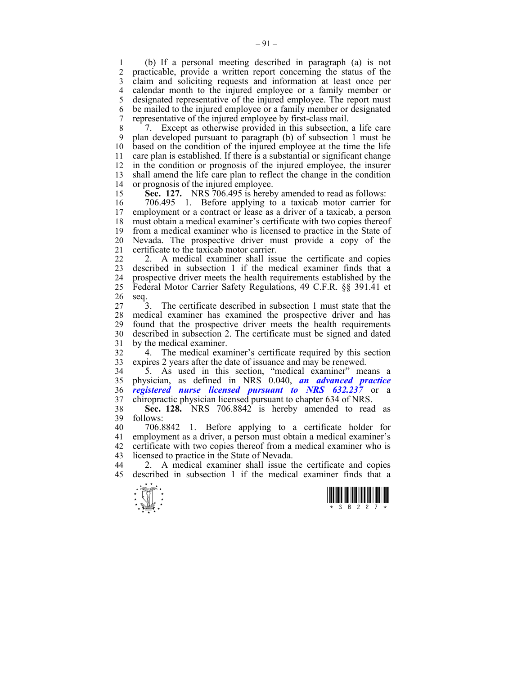1 (b) If a personal meeting described in paragraph (a) is not practicable, provide a written report concerning the status of the 3 claim and soliciting requests and information at least once per 4 calendar month to the injured employee or a family member or 5 designated representative of the injured employee. The report must 6 be mailed to the injured employee or a family member or designated 7 representative of the injured employee by first-class mail.

8 7. Except as otherwise provided in this subsection, a life care 9 plan developed pursuant to paragraph (b) of subsection 1 must be 10 based on the condition of the injured employee at the time the life 11 care plan is established. If there is a substantial or significant change 12 in the condition or prognosis of the injured employee, the insurer 13 shall amend the life care plan to reflect the change in the condition 14 or prognosis of the injured employee.

15 **Sec. 127.** NRS 706.495 is hereby amended to read as follows:

16 706.495 1. Before applying to a taxicab motor carrier for 17 employment or a contract or lease as a driver of a taxicab. a person employment or a contract or lease as a driver of a taxicab, a person 18 must obtain a medical examiner's certificate with two copies thereof 19 from a medical examiner who is licensed to practice in the State of 20 Nevada. The prospective driver must provide a copy of the 21 certificate to the taxicab motor carrier.

22 2. A medical examiner shall issue the certificate and copies 23 described in subsection 1 if the medical examiner finds that a 24 prospective driver meets the health requirements established by the 25 Federal Motor Carrier Safety Regulations, 49 C.F.R. §§ 391.41 et 26 seq.

27 3. The certificate described in subsection 1 must state that the 28 medical examiner has examined the prospective driver and has 29 found that the prospective driver meets the health requirements 30 described in subsection 2. The certificate must be signed and dated 31 by the medical examiner.

32 4. The medical examiner's certificate required by this section 33 expires 2 years after the date of issuance and may be renewed.

34 5. As used in this section, "medical examiner" means a 35 physician, as defined in NRS 0.040, *an advanced practice*  36 *registered nurse licensed pursuant to NRS 632.237* or a 37 chiropractic physician licensed pursuant to chapter 634 of NRS.

38 **Sec. 128.** NRS 706.8842 is hereby amended to read as 39 follows:<br>40 706.8842

40 706.8842 1. Before applying to a certificate holder for 41 employment as a driver, a person must obtain a medical examiner's 42 certificate with two copies thereof from a medical examiner who is 43 licensed to practice in the State of Nevada.

44 2. A medical examiner shall issue the certificate and copies 45 described in subsection 1 if the medical examiner finds that a